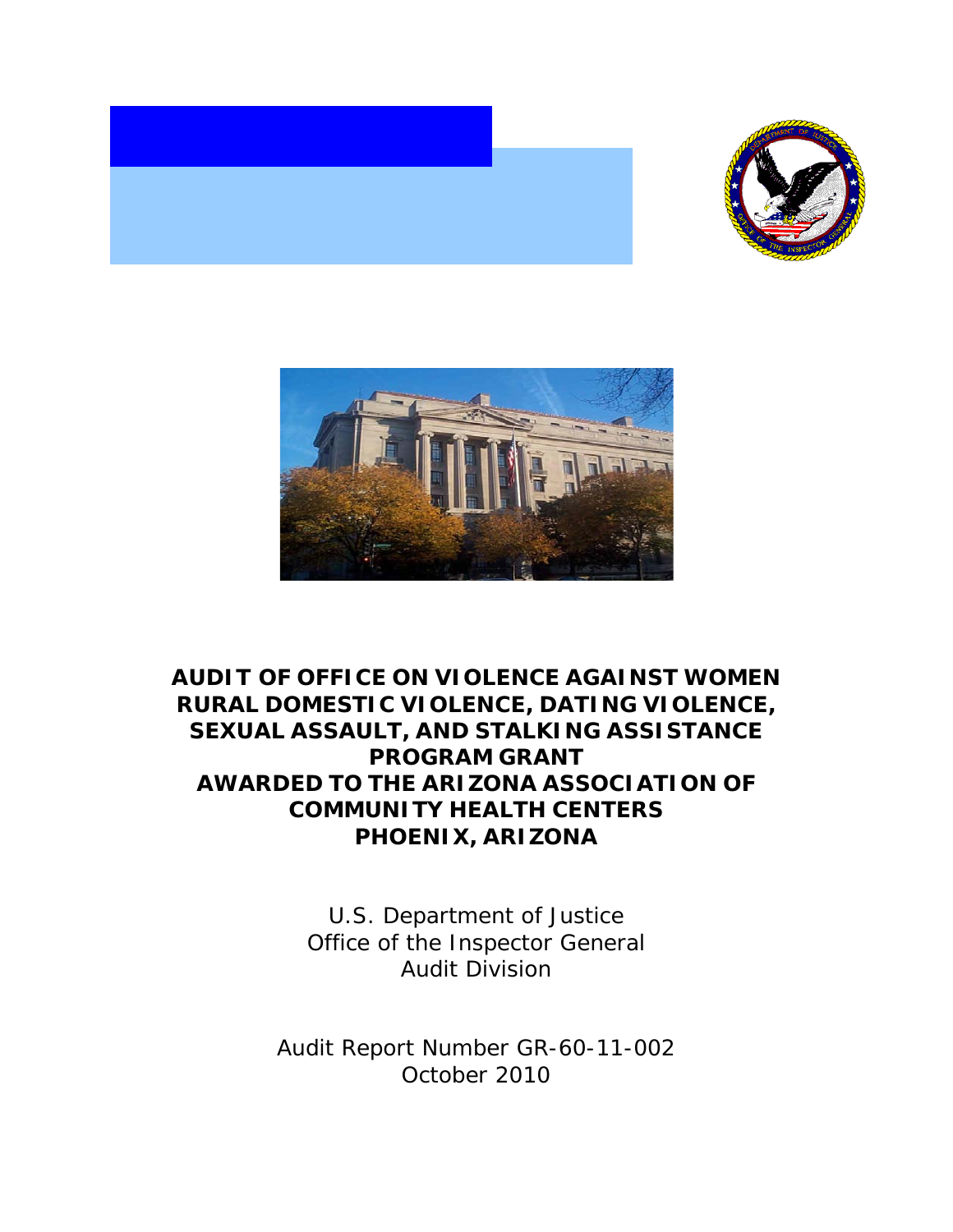



# **AUDIT OF OFFICE ON VIOLENCE AGAINST WOMEN RURAL DOMESTIC VIOLENCE, DATING VIOLENCE, SEXUAL ASSAULT, AND STALKING ASSISTANCE PROGRAM GRANT AWARDED TO THE ARIZONA ASSOCIATION OF COMMUNITY HEALTH CENTERS PHOENIX, ARIZONA**

U.S. Department of Justice Office of the Inspector General Audit Division

Audit Report Number GR-60-11-002 October 2010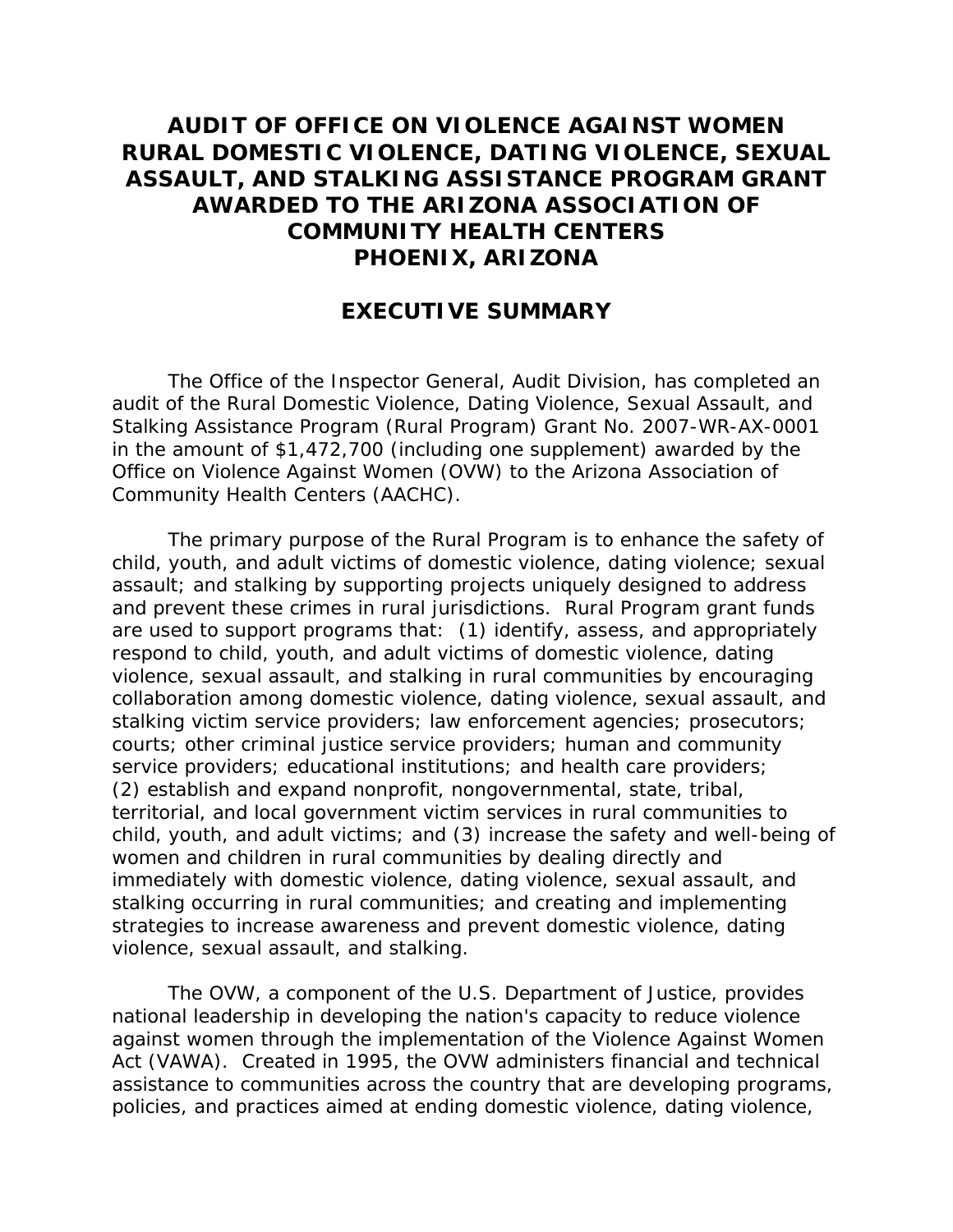# **AUDIT OF OFFICE ON VIOLENCE AGAINST WOMEN RURAL DOMESTIC VIOLENCE, DATING VIOLENCE, SEXUAL ASSAULT, AND STALKING ASSISTANCE PROGRAM GRANT AWARDED TO THE ARIZONA ASSOCIATION OF COMMUNITY HEALTH CENTERS PHOENIX, ARIZONA**

## **EXECUTIVE SUMMARY**

The Office of the Inspector General, Audit Division, has completed an audit of the Rural Domestic Violence, Dating Violence, Sexual Assault, and Stalking Assistance Program (Rural Program) Grant No. 2007-WR-AX-0001 in the amount of \$1,472,700 (including one supplement) awarded by the Office on Violence Against Women (OVW) to the Arizona Association of Community Health Centers (AACHC).

The primary purpose of the Rural Program is to enhance the safety of child, youth, and adult victims of domestic violence, dating violence; sexual assault; and stalking by supporting projects uniquely designed to address and prevent these crimes in rural jurisdictions. Rural Program grant funds are used to support programs that: (1) identify, assess, and appropriately respond to child, youth, and adult victims of domestic violence, dating violence, sexual assault, and stalking in rural communities by encouraging collaboration among domestic violence, dating violence, sexual assault, and stalking victim service providers; law enforcement agencies; prosecutors; courts; other criminal justice service providers; human and community service providers; educational institutions; and health care providers; (2) establish and expand nonprofit, nongovernmental, state, tribal, territorial, and local government victim services in rural communities to child, youth, and adult victims; and (3) increase the safety and well-being of women and children in rural communities by dealing directly and immediately with domestic violence, dating violence, sexual assault, and stalking occurring in rural communities; and creating and implementing strategies to increase awareness and prevent domestic violence, dating violence, sexual assault, and stalking.

The OVW, a component of the U.S. Department of Justice, provides national leadership in developing the nation's capacity to reduce violence against women through the implementation of the Violence Against Women Act (VAWA). Created in 1995, the OVW administers financial and technical assistance to communities across the country that are developing programs, policies, and practices aimed at ending domestic violence, dating violence,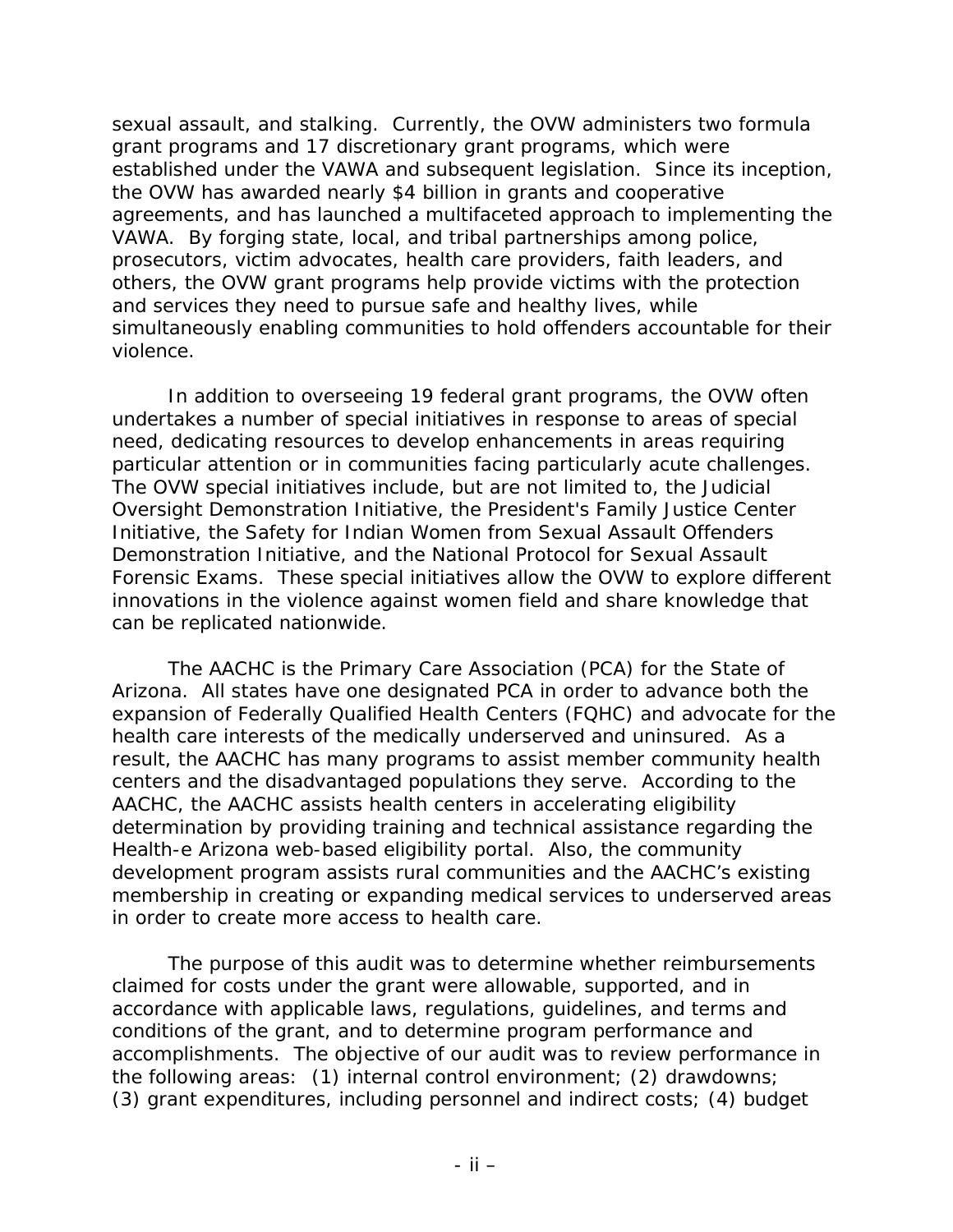sexual assault, and stalking. Currently, the OVW administers two formula grant programs and 17 discretionary grant programs, which were established under the VAWA and subsequent legislation. Since its inception, the OVW has awarded nearly \$4 billion in grants and cooperative agreements, and has launched a multifaceted approach to implementing the VAWA. By forging state, local, and tribal partnerships among police, prosecutors, victim advocates, health care providers, faith leaders, and others, the OVW grant programs help provide victims with the protection and services they need to pursue safe and healthy lives, while simultaneously enabling communities to hold offenders accountable for their violence.

In addition to overseeing 19 federal grant programs, the OVW often undertakes a number of special initiatives in response to areas of special need, dedicating resources to develop enhancements in areas requiring particular attention or in communities facing particularly acute challenges. The OVW special initiatives include, but are not limited to, the Judicial Oversight Demonstration Initiative, the President's Family Justice Center Initiative, the Safety for Indian Women from Sexual Assault Offenders Demonstration Initiative, and the National Protocol for Sexual Assault Forensic Exams. These special initiatives allow the OVW to explore different innovations in the violence against women field and share knowledge that can be replicated nationwide.

The AACHC is the Primary Care Association (PCA) for the State of Arizona. All states have one designated PCA in order to advance both the expansion of Federally Qualified Health Centers (FQHC) and advocate for the health care interests of the medically underserved and uninsured. As a result, the AACHC has many programs to assist member community health centers and the disadvantaged populations they serve. According to the AACHC, the AACHC assists health centers in accelerating eligibility determination by providing training and technical assistance regarding the Health-e Arizona web-based eligibility portal. Also, the community development program assists rural communities and the AACHC's existing membership in creating or expanding medical services to underserved areas in order to create more access to health care.

The purpose of this audit was to determine whether reimbursements claimed for costs under the grant were allowable, supported, and in accordance with applicable laws, regulations, guidelines, and terms and conditions of the grant, and to determine program performance and accomplishments. The objective of our audit was to review performance in the following areas: (1) internal control environment; (2) drawdowns; (3) grant expenditures, including personnel and indirect costs; (4) budget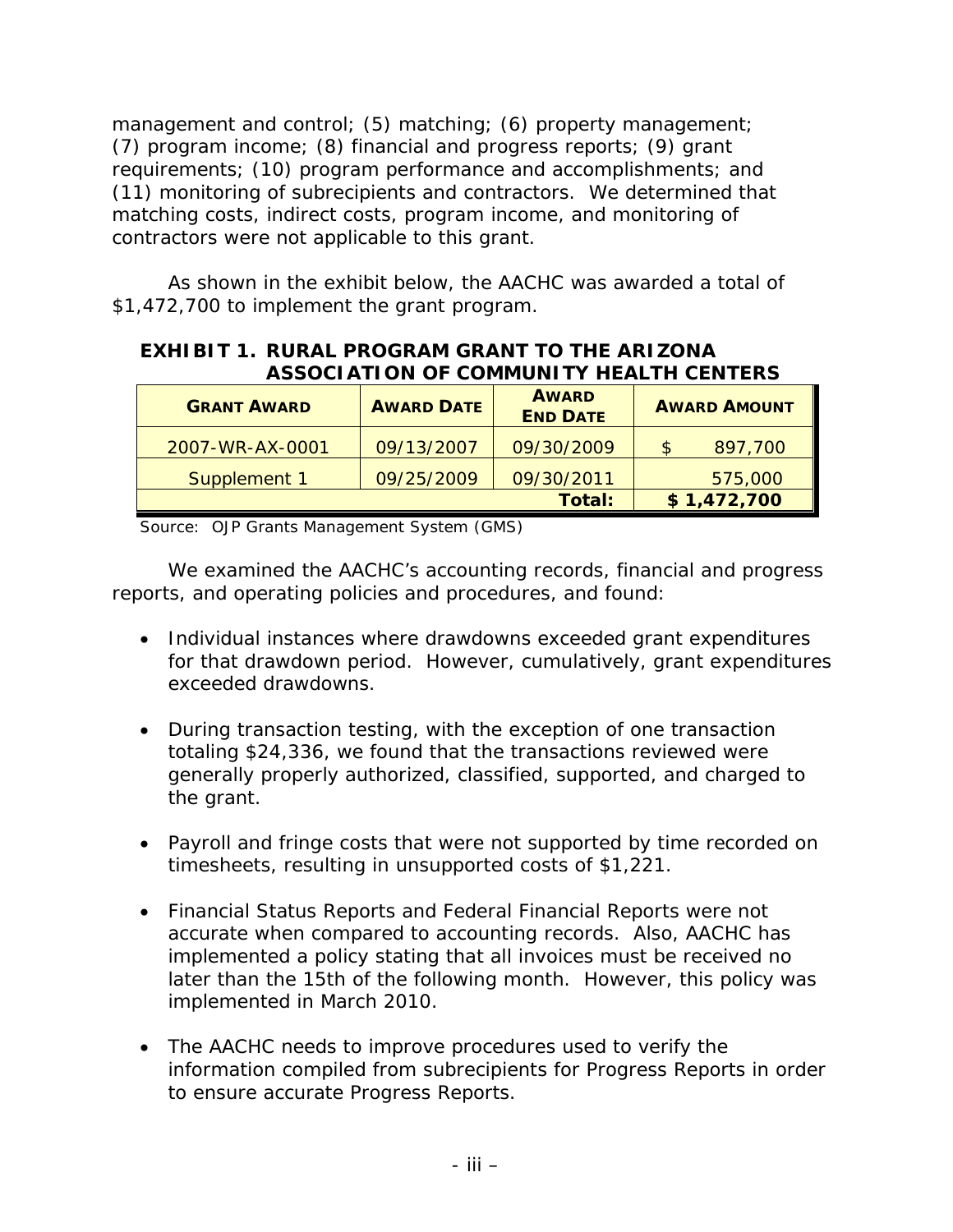management and control; (5) matching; (6) property management; (7) program income; (8) financial and progress reports; (9) grant requirements; (10) program performance and accomplishments; and (11) monitoring of subrecipients and contractors. We determined that matching costs, indirect costs, program income, and monitoring of contractors were not applicable to this grant.

As shown in the exhibit below, the AACHC was awarded a total of \$1,472,700 to implement the grant program.

### **EXHIBIT 1. RURAL PROGRAM GRANT TO THE ARIZONA ASSOCIATION OF COMMUNITY HEALTH CENTERS**

| <b>GRANT AWARD</b> | <b>AWARD DATE</b> | <b>AWARD</b><br><b>END DATE</b> | <b>AWARD AMOUNT</b> |  |
|--------------------|-------------------|---------------------------------|---------------------|--|
| 2007-WR-AX-0001    | 09/13/2007        | 09/30/2009                      | 897,700<br>S        |  |
| Supplement 1       | 09/25/2009        | 09/30/2011                      | 575,000             |  |
|                    |                   | Total:                          | \$1,472,700         |  |

Source: OJP Grants Management System (GMS)

We examined the AACHC's accounting records, financial and progress reports, and operating policies and procedures, and found:

- Individual instances where drawdowns exceeded grant expenditures for that drawdown period. However, cumulatively, grant expenditures exceeded drawdowns.
- During transaction testing, with the exception of one transaction totaling \$24,336, we found that the transactions reviewed were generally properly authorized, classified, supported, and charged to the grant.
- Payroll and fringe costs that were not supported by time recorded on timesheets, resulting in unsupported costs of \$1,221.
- Financial Status Reports and Federal Financial Reports were not accurate when compared to accounting records. Also, AACHC has implemented a policy stating that all invoices must be received no later than the 15th of the following month. However, this policy was implemented in March 2010.
- The AACHC needs to improve procedures used to verify the information compiled from subrecipients for Progress Reports in order to ensure accurate Progress Reports.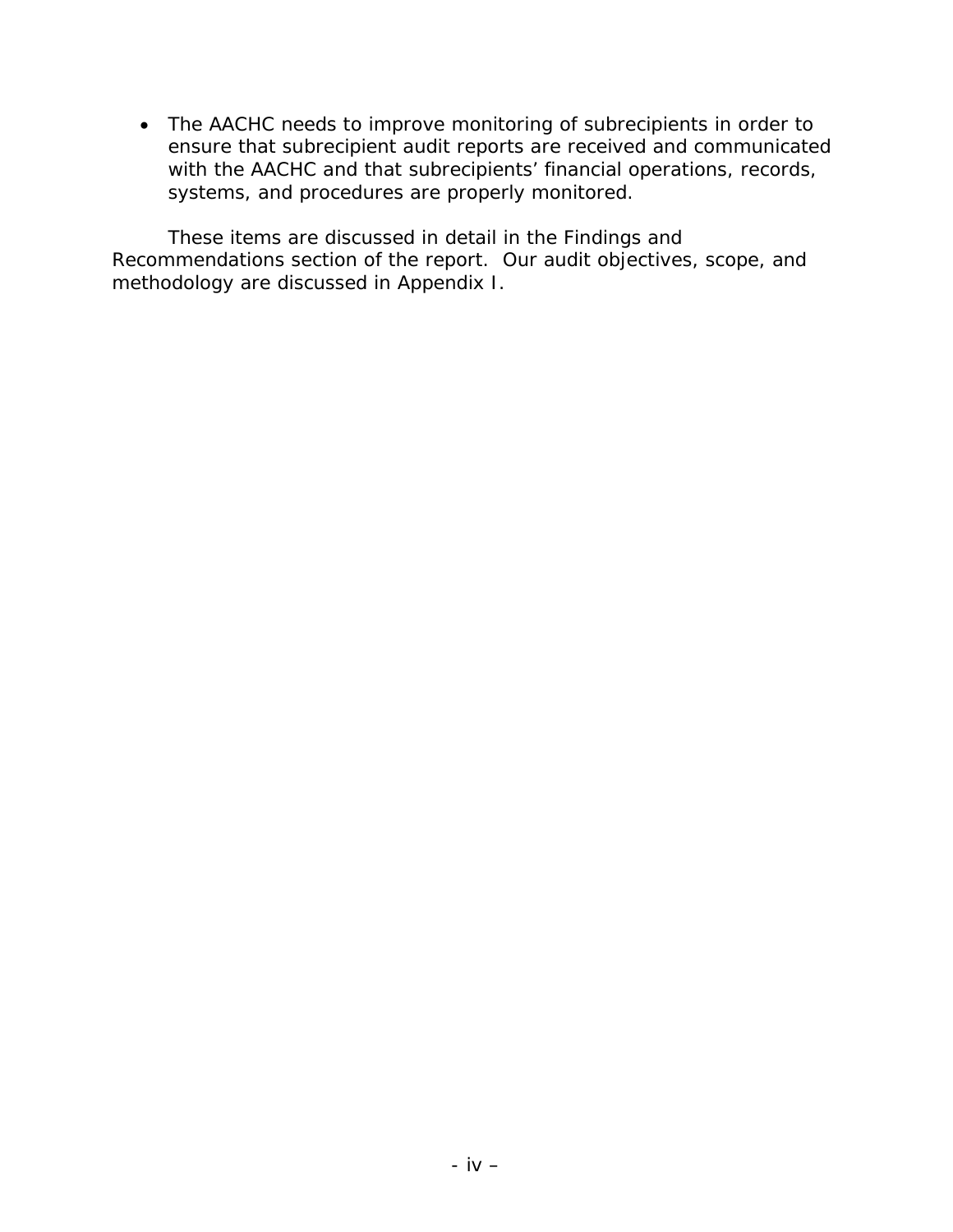• The AACHC needs to improve monitoring of subrecipients in order to ensure that subrecipient audit reports are received and communicated with the AACHC and that subrecipients' financial operations, records, systems, and procedures are properly monitored.

These items are discussed in detail in the Findings and Recommendations section of the report. Our audit objectives, scope, and methodology are discussed in Appendix I.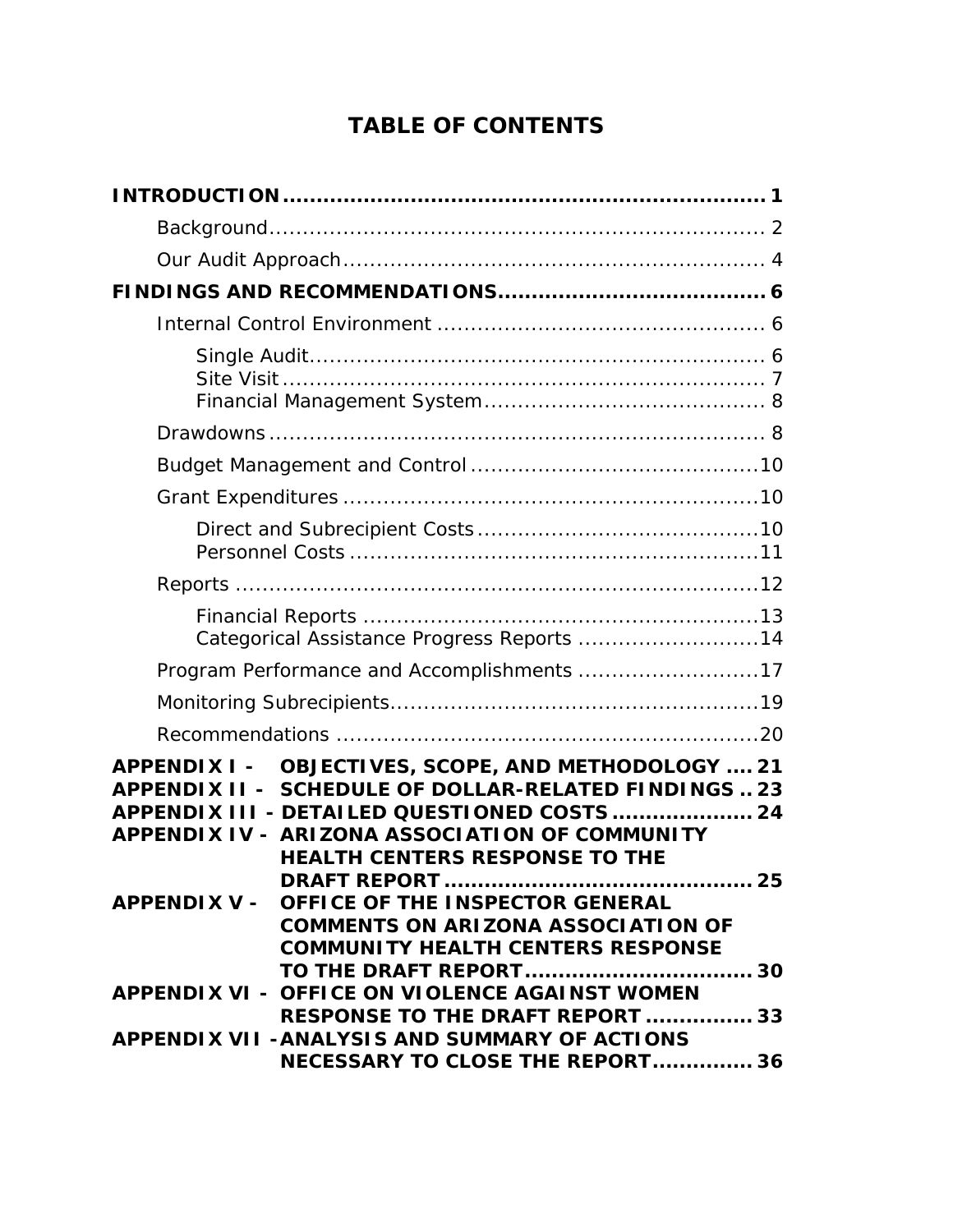# **TABLE OF CONTENTS**

| Categorical Assistance Progress Reports  14                                                                                                                                                                                                                              |
|--------------------------------------------------------------------------------------------------------------------------------------------------------------------------------------------------------------------------------------------------------------------------|
| Program Performance and Accomplishments 17                                                                                                                                                                                                                               |
|                                                                                                                                                                                                                                                                          |
|                                                                                                                                                                                                                                                                          |
| <b>OBJECTIVES, SCOPE, AND METHODOLOGY  21</b><br><b>APPENDIX I -</b><br>APPENDIX II - SCHEDULE OF DOLLAR-RELATED FINDINGS  23<br>APPENDIX III - DETAILED QUESTIONED COSTS  24<br>APPENDIX IV - ARIZONA ASSOCIATION OF COMMUNITY<br><b>HEALTH CENTERS RESPONSE TO THE</b> |
| .25<br><b>DRAFT REPORT </b><br>APPENDIX V - OFFICE OF THE INSPECTOR GENERAL<br><b>COMMENTS ON ARIZONA ASSOCIATION OF</b><br><b>COMMUNITY HEALTH CENTERS RESPONSE</b>                                                                                                     |
| APPENDIX VI - OFFICE ON VIOLENCE AGAINST WOMEN<br><b>RESPONSE TO THE DRAFT REPORT  33</b>                                                                                                                                                                                |
| APPENDIX VII - ANALYSIS AND SUMMARY OF ACTIONS<br>NECESSARY TO CLOSE THE REPORT 36                                                                                                                                                                                       |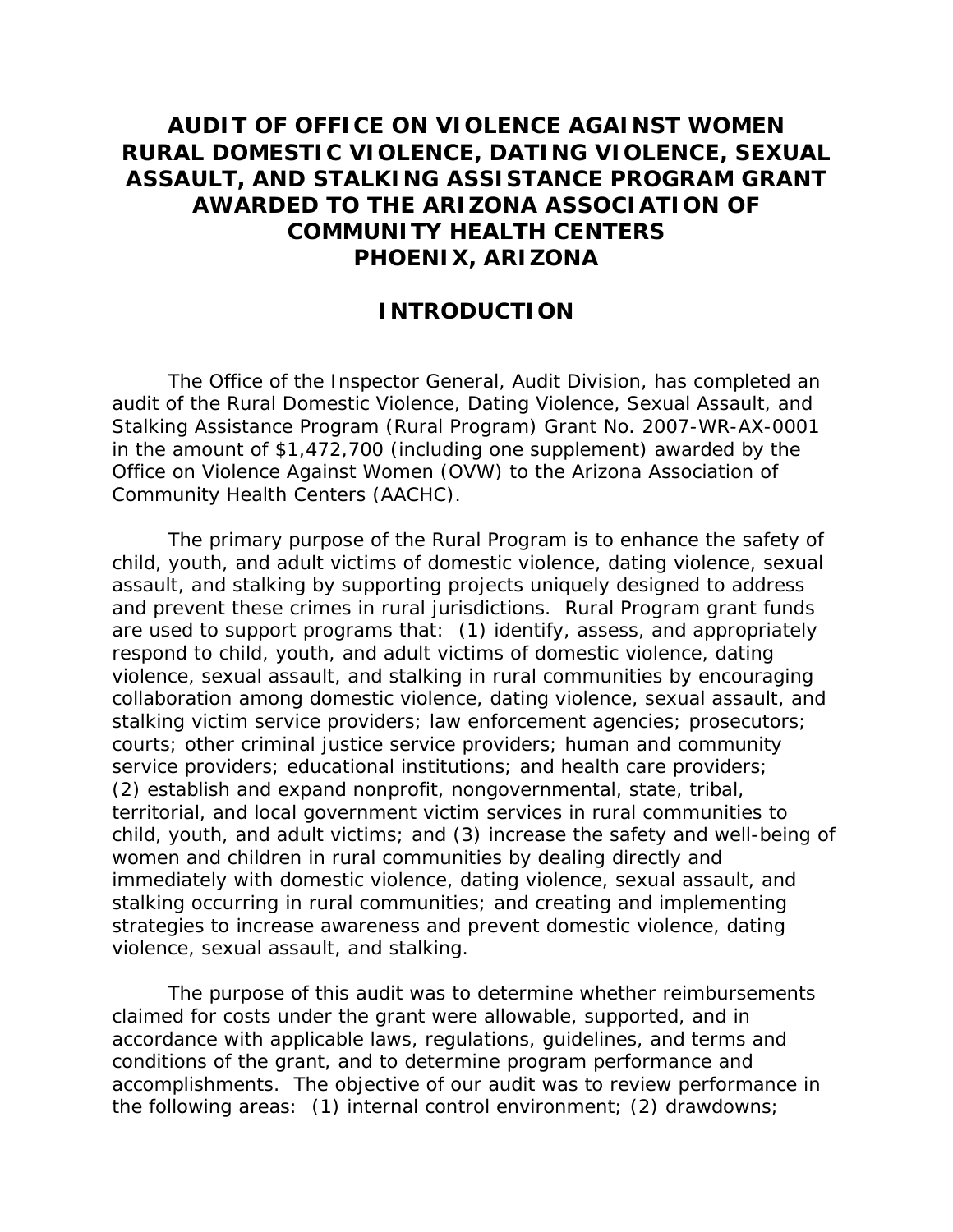# **AUDIT OF OFFICE ON VIOLENCE AGAINST WOMEN RURAL DOMESTIC VIOLENCE, DATING VIOLENCE, SEXUAL ASSAULT, AND STALKING ASSISTANCE PROGRAM GRANT AWARDED TO THE ARIZONA ASSOCIATION OF COMMUNITY HEALTH CENTERS PHOENIX, ARIZONA**

## **INTRODUCTION**

The Office of the Inspector General, Audit Division, has completed an audit of the Rural Domestic Violence, Dating Violence, Sexual Assault, and Stalking Assistance Program (Rural Program) Grant No. 2007-WR-AX-0001 in the amount of \$1,472,700 (including one supplement) awarded by the Office on Violence Against Women (OVW) to the Arizona Association of Community Health Centers (AACHC).

The primary purpose of the Rural Program is to enhance the safety of child, youth, and adult victims of domestic violence, dating violence, sexual assault, and stalking by supporting projects uniquely designed to address and prevent these crimes in rural jurisdictions. Rural Program grant funds are used to support programs that: (1) identify, assess, and appropriately respond to child, youth, and adult victims of domestic violence, dating violence, sexual assault, and stalking in rural communities by encouraging collaboration among domestic violence, dating violence, sexual assault, and stalking victim service providers; law enforcement agencies; prosecutors; courts; other criminal justice service providers; human and community service providers; educational institutions; and health care providers; (2) establish and expand nonprofit, nongovernmental, state, tribal, territorial, and local government victim services in rural communities to child, youth, and adult victims; and (3) increase the safety and well-being of women and children in rural communities by dealing directly and immediately with domestic violence, dating violence, sexual assault, and stalking occurring in rural communities; and creating and implementing strategies to increase awareness and prevent domestic violence, dating violence, sexual assault, and stalking.

The purpose of this audit was to determine whether reimbursements claimed for costs under the grant were allowable, supported, and in accordance with applicable laws, regulations, guidelines, and terms and conditions of the grant, and to determine program performance and accomplishments. The objective of our audit was to review performance in the following areas: (1) internal control environment; (2) drawdowns;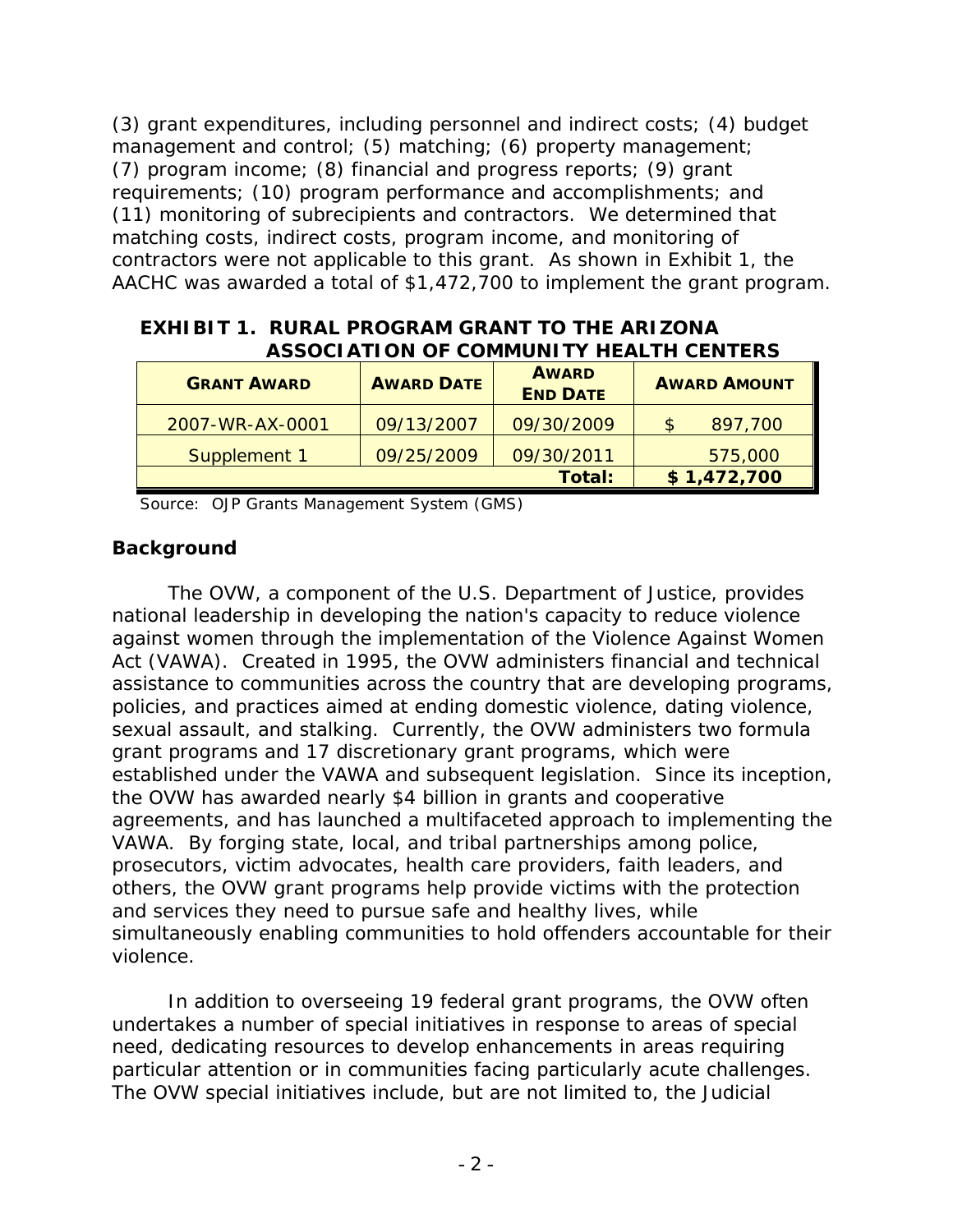(3) grant expenditures, including personnel and indirect costs; (4) budget management and control; (5) matching; (6) property management; (7) program income; (8) financial and progress reports; (9) grant requirements; (10) program performance and accomplishments; and (11) monitoring of subrecipients and contractors. We determined that matching costs, indirect costs, program income, and monitoring of contractors were not applicable to this grant. As shown in Exhibit 1, the AACHC was awarded a total of \$1,472,700 to implement the grant program.

| EXHIBIT 1. RURAL PROGRAM GRANT TO THE ARIZONA  |
|------------------------------------------------|
| <b>ASSOCIATION OF COMMUNITY HEALTH CENTERS</b> |

| <b>GRANT AWARD</b> | <b>AWARD DATE</b> | <b>AWARD</b><br><b>END DATE</b> | <b>AWARD AMOUNT</b> |
|--------------------|-------------------|---------------------------------|---------------------|
| 2007-WR-AX-0001    | 09/13/2007        | 09/30/2009                      | 897,700<br>S        |
| Supplement 1       | 09/25/2009        | 09/30/2011                      | 575,000             |
|                    |                   | Total:                          | \$1,472,700         |

Source: OJP Grants Management System (GMS)

## **Background**

The OVW, a component of the U.S. Department of Justice, provides national leadership in developing the nation's capacity to reduce violence against women through the implementation of the Violence Against Women Act (VAWA). Created in 1995, the OVW administers financial and technical assistance to communities across the country that are developing programs, policies, and practices aimed at ending domestic violence, dating violence, sexual assault, and stalking. Currently, the OVW administers two formula grant programs and 17 discretionary grant programs, which were established under the VAWA and subsequent legislation. Since its inception, the OVW has awarded nearly \$4 billion in grants and cooperative agreements, and has launched a multifaceted approach to implementing the VAWA. By forging state, local, and tribal partnerships among police, prosecutors, victim advocates, health care providers, faith leaders, and others, the OVW grant programs help provide victims with the protection and services they need to pursue safe and healthy lives, while simultaneously enabling communities to hold offenders accountable for their violence.

In addition to overseeing 19 federal grant programs, the OVW often undertakes a number of special initiatives in response to areas of special need, dedicating resources to develop enhancements in areas requiring particular attention or in communities facing particularly acute challenges. The OVW special initiatives include, but are not limited to, the Judicial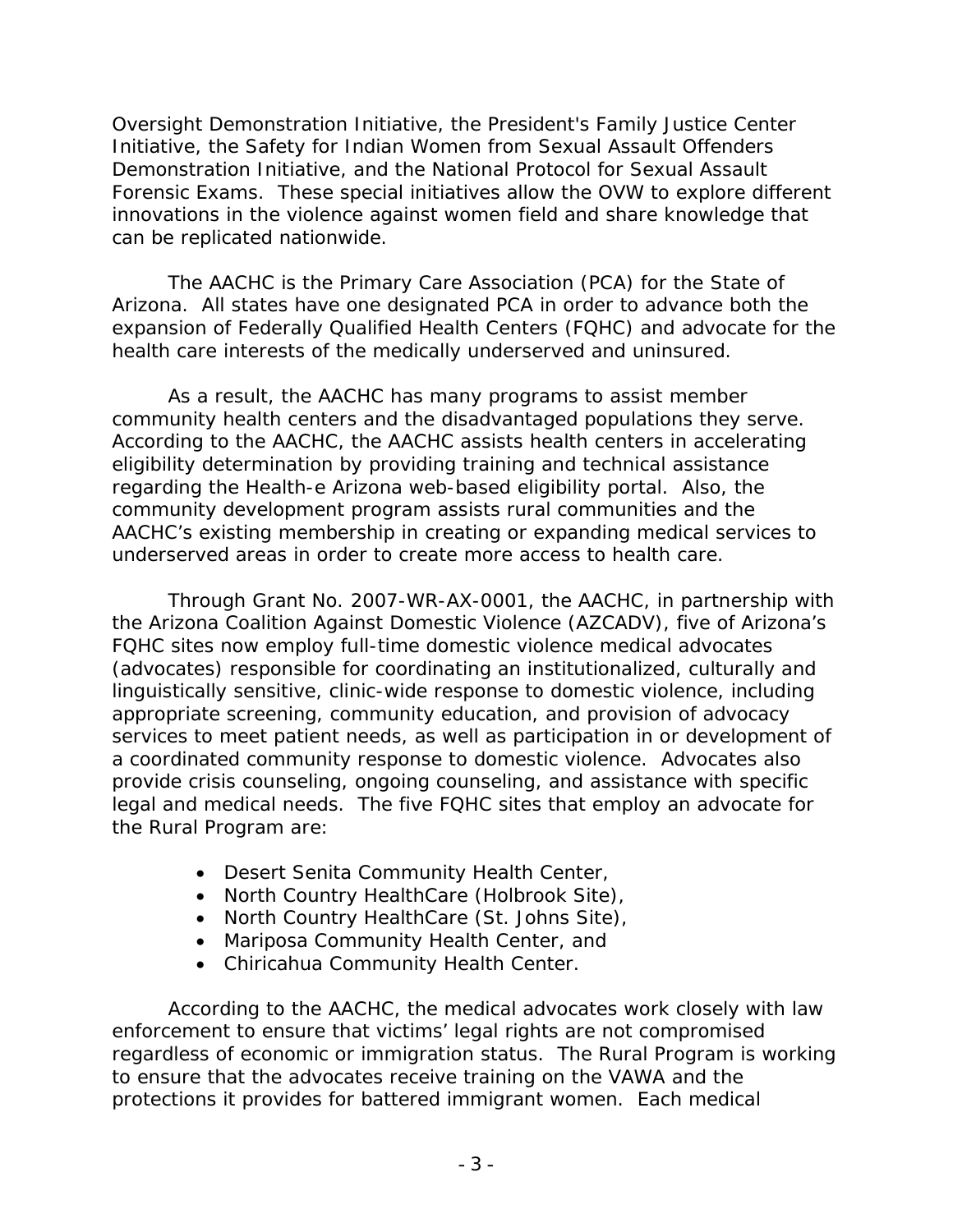Oversight Demonstration Initiative, the President's Family Justice Center Initiative, the Safety for Indian Women from Sexual Assault Offenders Demonstration Initiative, and the National Protocol for Sexual Assault Forensic Exams. These special initiatives allow the OVW to explore different innovations in the violence against women field and share knowledge that can be replicated nationwide.

The AACHC is the Primary Care Association (PCA) for the State of Arizona. All states have one designated PCA in order to advance both the expansion of Federally Qualified Health Centers (FQHC) and advocate for the health care interests of the medically underserved and uninsured.

As a result, the AACHC has many programs to assist member community health centers and the disadvantaged populations they serve. According to the AACHC, the AACHC assists health centers in accelerating eligibility determination by providing training and technical assistance regarding the Health-e Arizona web-based eligibility portal. Also, the community development program assists rural communities and the AACHC's existing membership in creating or expanding medical services to underserved areas in order to create more access to health care.

Through Grant No. 2007-WR-AX-0001, the AACHC, in partnership with the Arizona Coalition Against Domestic Violence (AZCADV), five of Arizona's FQHC sites now employ full-time domestic violence medical advocates (advocates) responsible for coordinating an institutionalized, culturally and linguistically sensitive, clinic-wide response to domestic violence, including appropriate screening, community education, and provision of advocacy services to meet patient needs, as well as participation in or development of a coordinated community response to domestic violence. Advocates also provide crisis counseling, ongoing counseling, and assistance with specific legal and medical needs. The five FQHC sites that employ an advocate for the Rural Program are:

- Desert Senita Community Health Center,
- North Country HealthCare (Holbrook Site),
- North Country HealthCare (St. Johns Site),
- Mariposa Community Health Center, and
- Chiricahua Community Health Center.

According to the AACHC, the medical advocates work closely with law enforcement to ensure that victims' legal rights are not compromised regardless of economic or immigration status. The Rural Program is working to ensure that the advocates receive training on the VAWA and the protections it provides for battered immigrant women. Each medical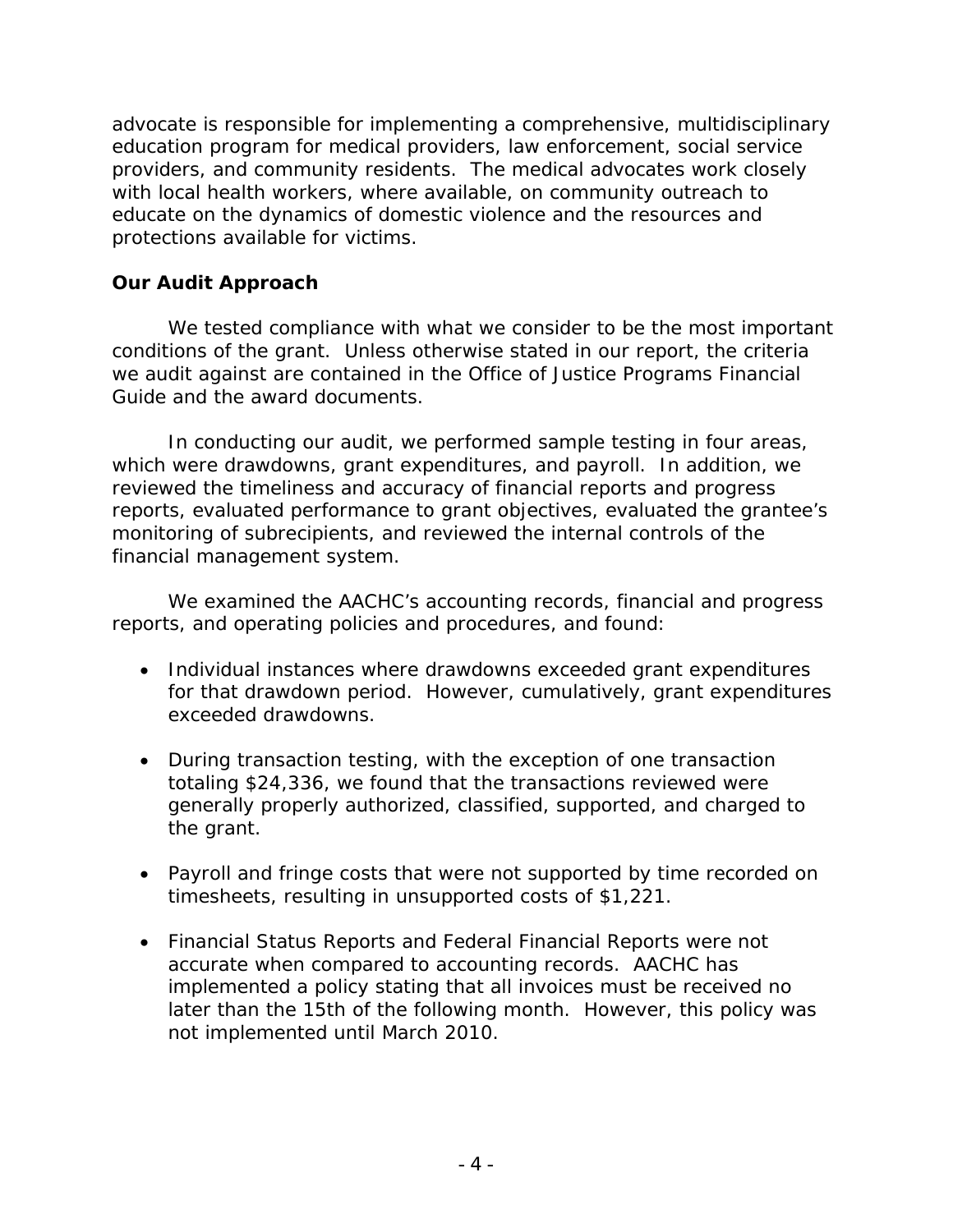advocate is responsible for implementing a comprehensive, multidisciplinary education program for medical providers, law enforcement, social service providers, and community residents. The medical advocates work closely with local health workers, where available, on community outreach to educate on the dynamics of domestic violence and the resources and protections available for victims.

### **Our Audit Approach**

We tested compliance with what we consider to be the most important conditions of the grant. Unless otherwise stated in our report, the criteria we audit against are contained in the *Office of Justice Programs Financial Guide* and the award documents.

In conducting our audit, we performed sample testing in four areas, which were drawdowns, grant expenditures, and payroll. In addition, we reviewed the timeliness and accuracy of financial reports and progress reports, evaluated performance to grant objectives, evaluated the grantee's monitoring of subrecipients, and reviewed the internal controls of the financial management system.

We examined the AACHC's accounting records, financial and progress reports, and operating policies and procedures, and found:

- Individual instances where drawdowns exceeded grant expenditures for that drawdown period. However, cumulatively, grant expenditures exceeded drawdowns.
- During transaction testing, with the exception of one transaction totaling \$24,336, we found that the transactions reviewed were generally properly authorized, classified, supported, and charged to the grant.
- Payroll and fringe costs that were not supported by time recorded on timesheets, resulting in unsupported costs of \$1,221.
- Financial Status Reports and Federal Financial Reports were not accurate when compared to accounting records. AACHC has implemented a policy stating that all invoices must be received no later than the 15th of the following month. However, this policy was not implemented until March 2010.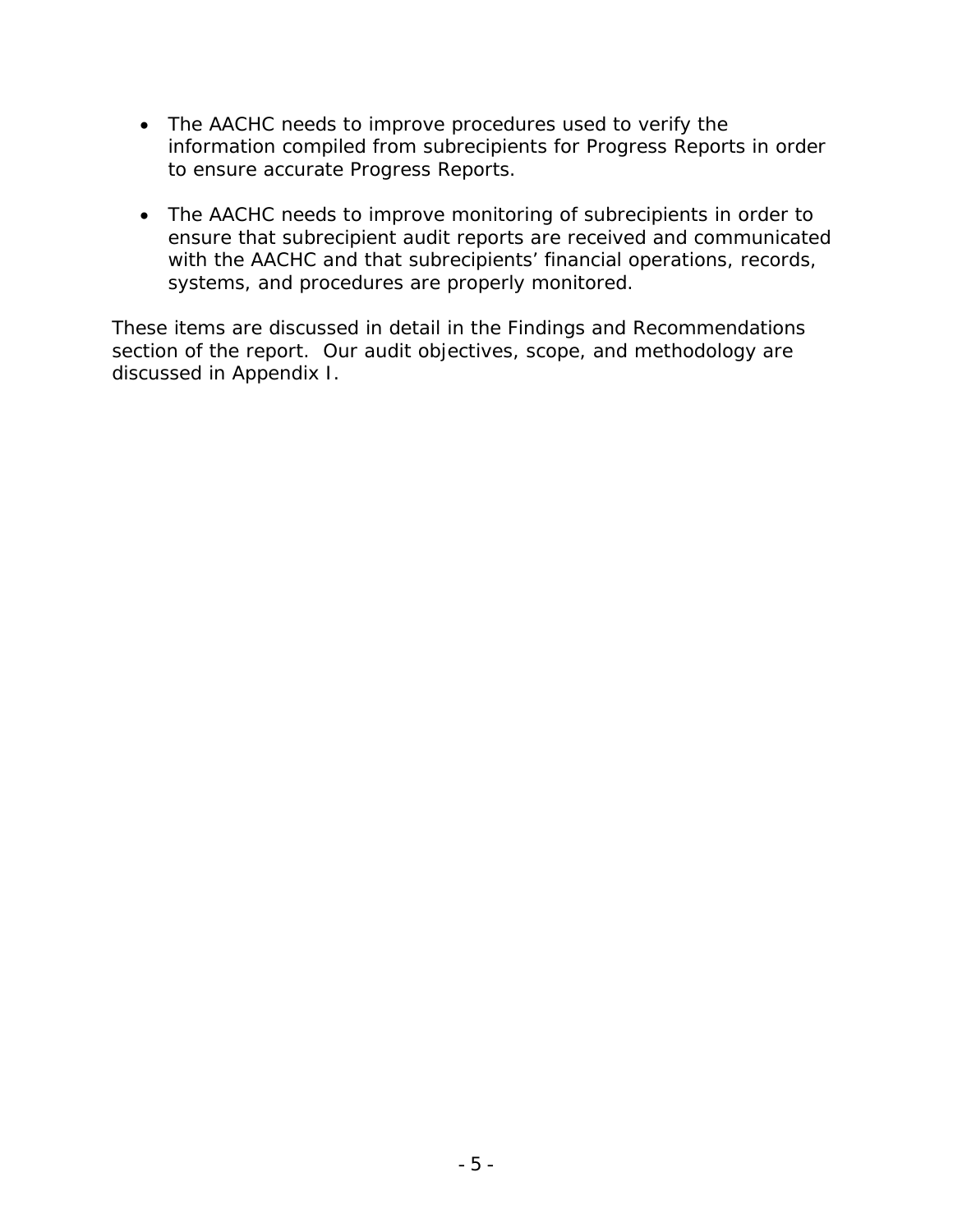- The AACHC needs to improve procedures used to verify the information compiled from subrecipients for Progress Reports in order to ensure accurate Progress Reports.
- The AACHC needs to improve monitoring of subrecipients in order to ensure that subrecipient audit reports are received and communicated with the AACHC and that subrecipients' financial operations, records, systems, and procedures are properly monitored.

These items are discussed in detail in the Findings and Recommendations section of the report. Our audit objectives, scope, and methodology are discussed in Appendix I.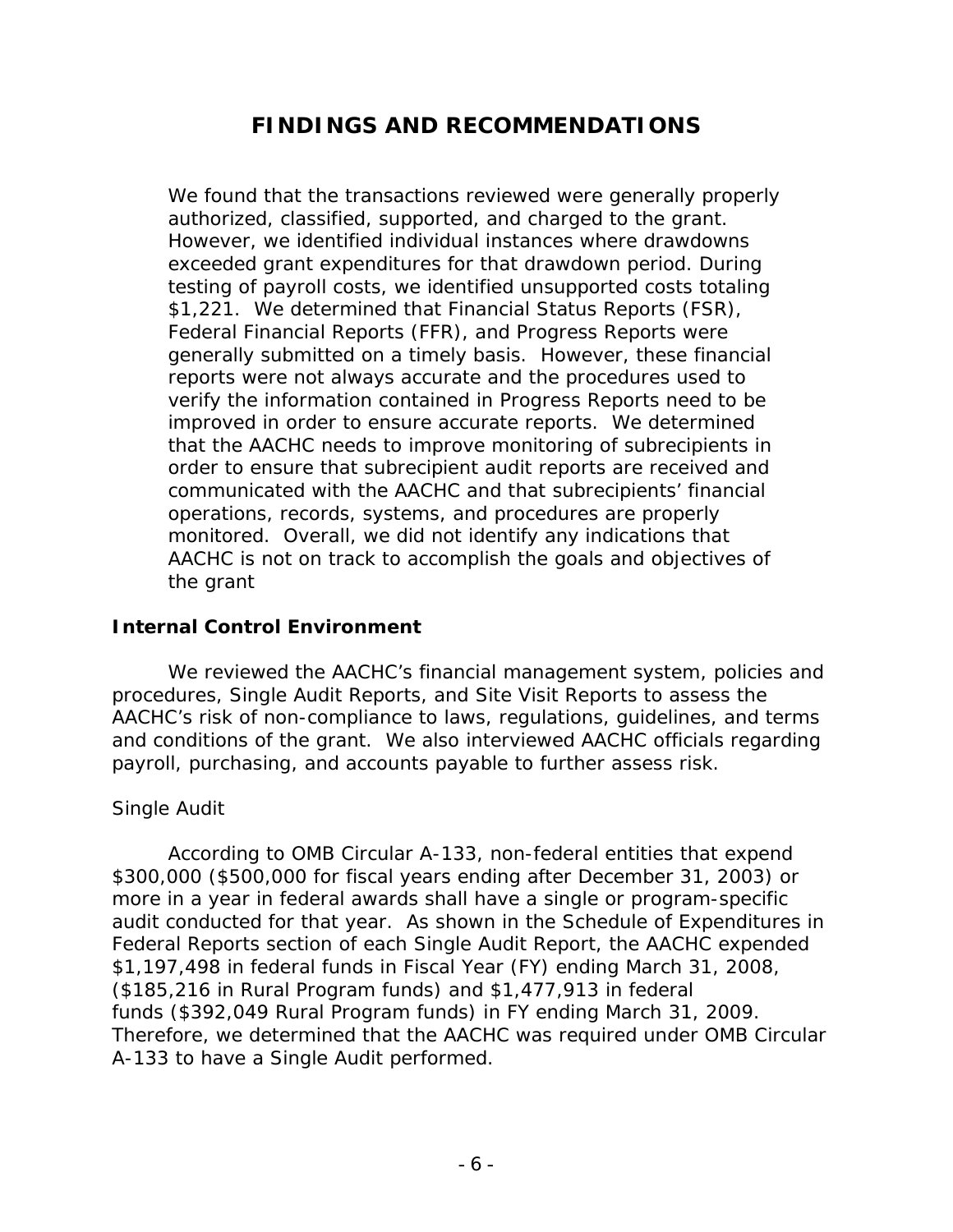# **FINDINGS AND RECOMMENDATIONS**

We found that the transactions reviewed were generally properly authorized, classified, supported, and charged to the grant. However, we identified individual instances where drawdowns exceeded grant expenditures for that drawdown period. During testing of payroll costs, we identified unsupported costs totaling \$1,221. We determined that Financial Status Reports (FSR), Federal Financial Reports (FFR), and Progress Reports were generally submitted on a timely basis. However, these financial reports were not always accurate and the procedures used to verify the information contained in Progress Reports need to be improved in order to ensure accurate reports. We determined that the AACHC needs to improve monitoring of subrecipients in order to ensure that subrecipient audit reports are received and communicated with the AACHC and that subrecipients' financial operations, records, systems, and procedures are properly monitored. Overall, we did not identify any indications that AACHC is not on track to accomplish the goals and objectives of the grant

### **Internal Control Environment**

We reviewed the AACHC's financial management system, policies and procedures, Single Audit Reports, and Site Visit Reports to assess the AACHC's risk of non-compliance to laws, regulations, guidelines, and terms and conditions of the grant. We also interviewed AACHC officials regarding payroll, purchasing, and accounts payable to further assess risk.

### *Single Audit*

According to OMB Circular A-133, non-federal entities that expend \$300,000 (\$500,000 for fiscal years ending after December 31, 2003) or more in a year in federal awards shall have a single or program-specific audit conducted for that year. As shown in the Schedule of Expenditures in Federal Reports section of each Single Audit Report, the AACHC expended \$1,197,498 in federal funds in Fiscal Year (FY) ending March 31, 2008, (\$185,216 in Rural Program funds) and \$1,477,913 in federal funds (\$392,049 Rural Program funds) in FY ending March 31, 2009. Therefore, we determined that the AACHC was required under OMB Circular A-133 to have a Single Audit performed.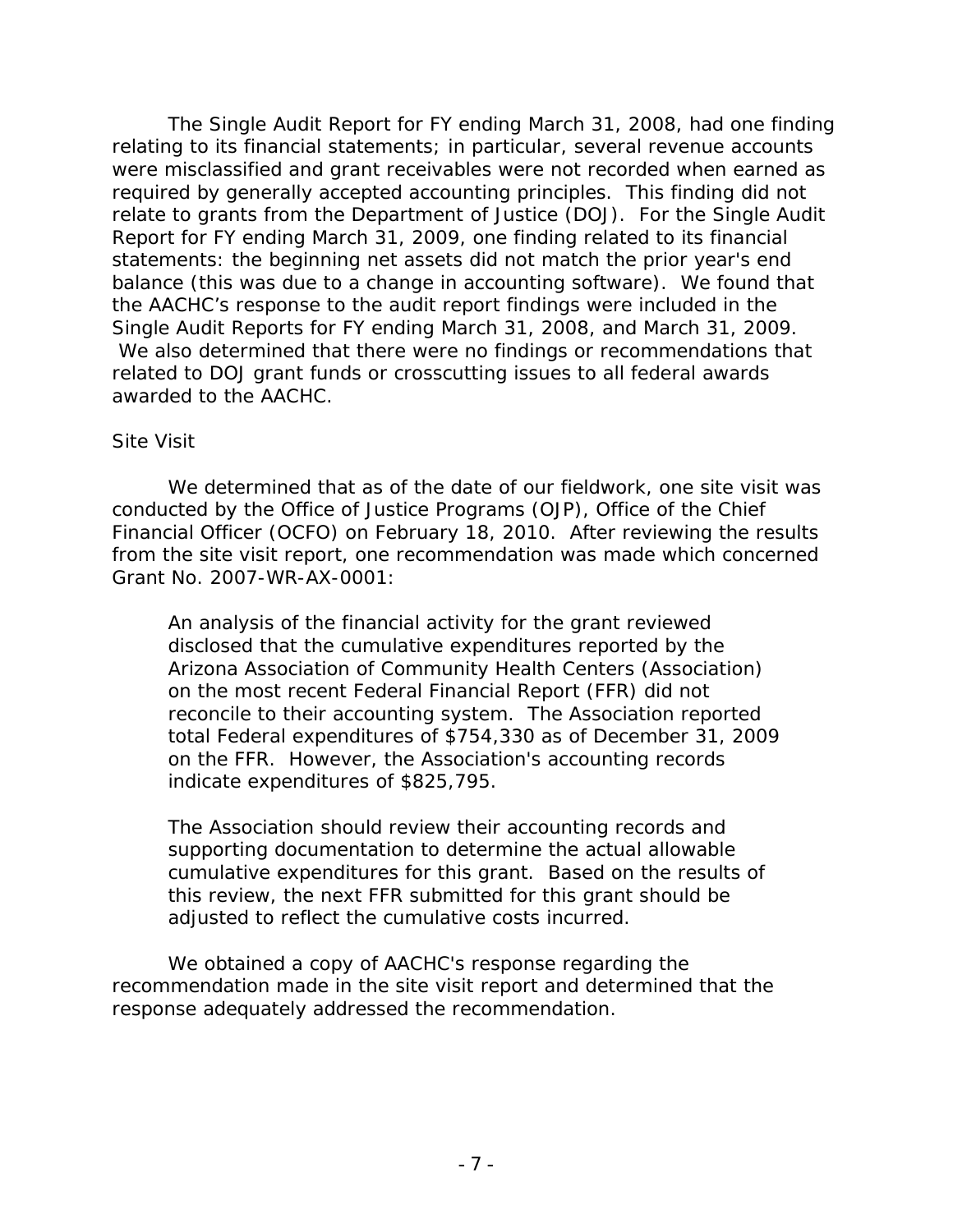The Single Audit Report for FY ending March 31, 2008, had one finding relating to its financial statements; in particular, several revenue accounts were misclassified and grant receivables were not recorded when earned as required by generally accepted accounting principles. This finding did not relate to grants from the Department of Justice (DOJ). For the Single Audit Report for FY ending March 31, 2009, one finding related to its financial statements: the beginning net assets did not match the prior year's end balance (this was due to a change in accounting software). We found that the AACHC's response to the audit report findings were included in the Single Audit Reports for FY ending March 31, 2008, and March 31, 2009. We also determined that there were no findings or recommendations that related to DOJ grant funds or crosscutting issues to all federal awards awarded to the AACHC.

#### *Site Visit*

We determined that as of the date of our fieldwork, one site visit was conducted by the Office of Justice Programs (OJP), Office of the Chief Financial Officer (OCFO) on February 18, 2010. After reviewing the results from the site visit report, one recommendation was made which concerned Grant No. 2007-WR-AX-0001:

An analysis of the financial activity for the grant reviewed disclosed that the cumulative expenditures reported by the Arizona Association of Community Health Centers (Association) on the most recent Federal Financial Report (FFR) did not reconcile to their accounting system. The Association reported total Federal expenditures of \$754,330 as of December 31, 2009 on the FFR. However, the Association's accounting records indicate expenditures of \$825,795.

The Association should review their accounting records and supporting documentation to determine the actual allowable cumulative expenditures for this grant. Based on the results of this review, the next FFR submitted for this grant should be adjusted to reflect the cumulative costs incurred.

We obtained a copy of AACHC's response regarding the recommendation made in the site visit report and determined that the response adequately addressed the recommendation.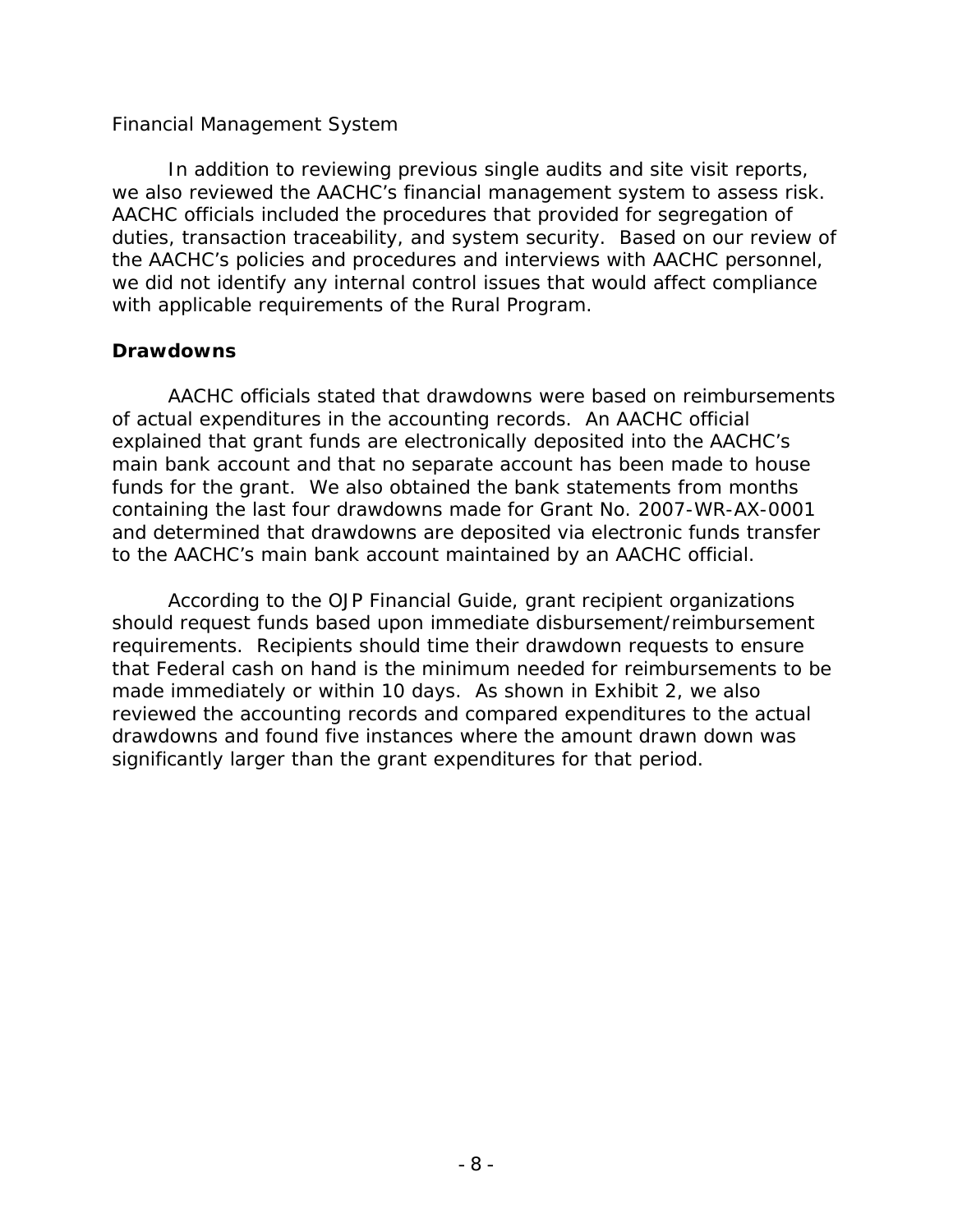#### *Financial Management System*

In addition to reviewing previous single audits and site visit reports, we also reviewed the AACHC's financial management system to assess risk. AACHC officials included the procedures that provided for segregation of duties, transaction traceability, and system security. Based on our review of the AACHC's policies and procedures and interviews with AACHC personnel, we did not identify any internal control issues that would affect compliance with applicable requirements of the Rural Program.

#### **Drawdowns**

AACHC officials stated that drawdowns were based on reimbursements of actual expenditures in the accounting records. An AACHC official explained that grant funds are electronically deposited into the AACHC's main bank account and that no separate account has been made to house funds for the grant. We also obtained the bank statements from months containing the last four drawdowns made for Grant No. 2007-WR-AX-0001 and determined that drawdowns are deposited via electronic funds transfer to the AACHC's main bank account maintained by an AACHC official.

According to the *OJP Financial Guide*, grant recipient organizations should request funds based upon immediate disbursement/reimbursement requirements. Recipients should time their drawdown requests to ensure that Federal cash on hand is the minimum needed for reimbursements to be made immediately or within 10 days. As shown in Exhibit 2, we also reviewed the accounting records and compared expenditures to the actual drawdowns and found five instances where the amount drawn down was significantly larger than the grant expenditures for that period.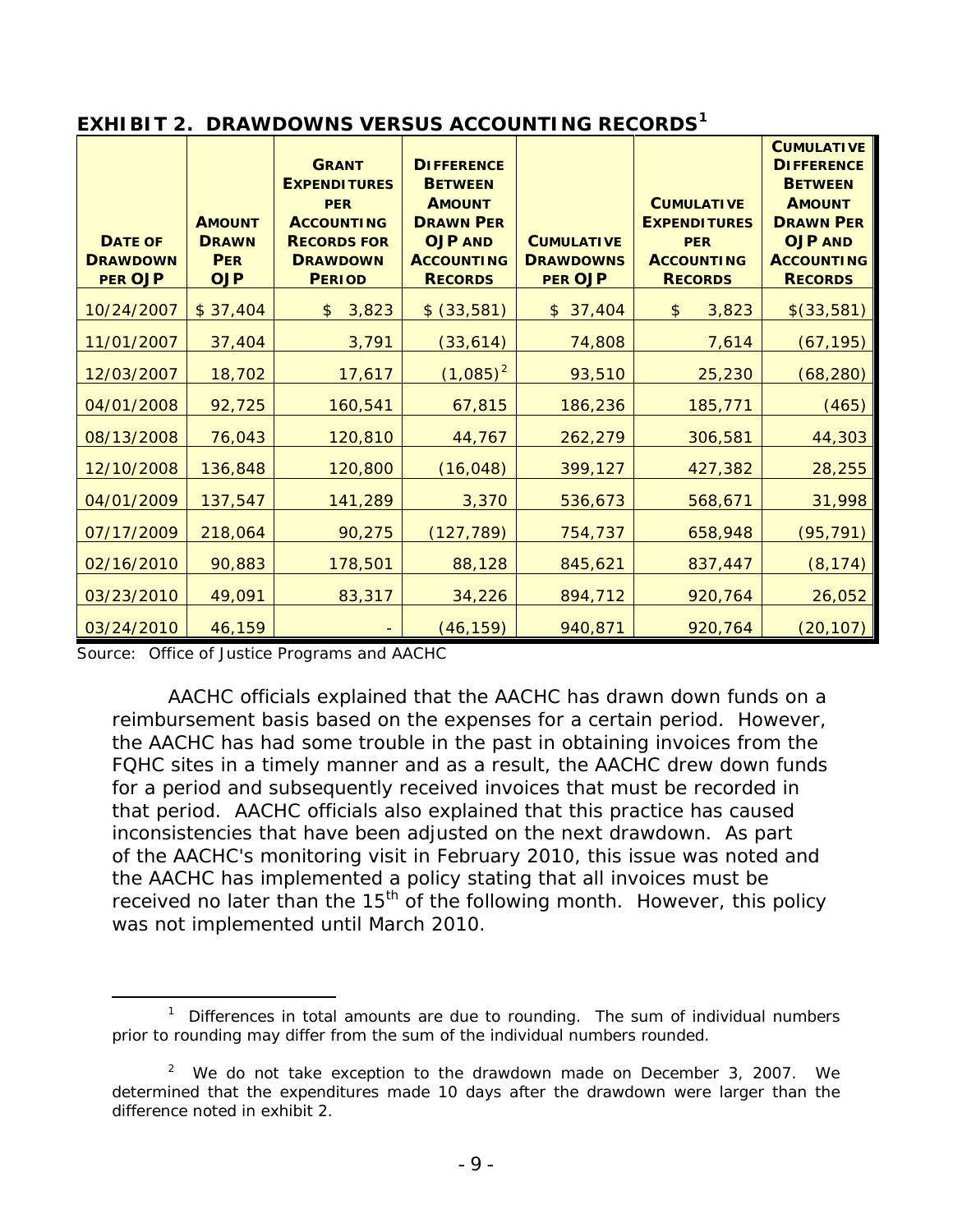| <b>DATE OF</b><br><b>DRAWDOWN</b><br><b>PER OJP</b> | <b>AMOUNT</b><br><b>DRAWN</b><br><b>PER</b><br><b>OJP</b> | <b>GRANT</b><br><b>EXPENDITURES</b><br><b>PER</b><br><b>ACCOUNTING</b><br><b>RECORDS FOR</b><br><b>DRAWDOWN</b><br><b>PERIOD</b> | <b>DIFFERENCE</b><br><b>BETWEEN</b><br><b>AMOUNT</b><br><b>DRAWN PER</b><br><b>OJP AND</b><br><b>ACCOUNTING</b><br><b>RECORDS</b> | <b>CUMULATIVE</b><br><b>DRAWDOWNS</b><br><b>PER OJP</b> | <b>CUMULATIVE</b><br><b>EXPENDITURES</b><br><b>PER</b><br><b>ACCOUNTING</b><br><b>RECORDS</b> | <b>CUMULATIVE</b><br><b>DIFFERENCE</b><br><b>BETWEEN</b><br><b>AMOUNT</b><br><b>DRAWN PER</b><br><b>OJP AND</b><br><b>ACCOUNTING</b><br><b>RECORDS</b> |
|-----------------------------------------------------|-----------------------------------------------------------|----------------------------------------------------------------------------------------------------------------------------------|-----------------------------------------------------------------------------------------------------------------------------------|---------------------------------------------------------|-----------------------------------------------------------------------------------------------|--------------------------------------------------------------------------------------------------------------------------------------------------------|
| 10/24/2007                                          | \$37,404                                                  | 3,823<br>$\mathfrak{L}$                                                                                                          | \$ (33,581)                                                                                                                       | \$37,404                                                | $\frac{1}{2}$<br>3,823                                                                        | \$(33,581)                                                                                                                                             |
| 11/01/2007                                          | 37,404                                                    | 3,791                                                                                                                            | (33, 614)                                                                                                                         | 74,808                                                  | 7,614                                                                                         | (67, 195)                                                                                                                                              |
| 12/03/2007                                          | 18,702                                                    | 17,617                                                                                                                           | $(1,085)^2$                                                                                                                       | 93,510                                                  | 25,230                                                                                        | (68, 280)                                                                                                                                              |
| 04/01/2008                                          | 92,725                                                    | 160,541                                                                                                                          | 67,815                                                                                                                            | 186,236                                                 | 185,771                                                                                       | (465)                                                                                                                                                  |
| 08/13/2008                                          | 76,043                                                    | 120,810                                                                                                                          | 44,767                                                                                                                            | 262,279                                                 | 306,581                                                                                       | 44,303                                                                                                                                                 |
| 12/10/2008                                          | 136,848                                                   | 120,800                                                                                                                          | (16, 048)                                                                                                                         | 399,127                                                 | 427,382                                                                                       | 28,255                                                                                                                                                 |
| 04/01/2009                                          | 137,547                                                   | 141,289                                                                                                                          | 3,370                                                                                                                             | 536,673                                                 | 568,671                                                                                       | 31,998                                                                                                                                                 |
| 07/17/2009                                          | 218,064                                                   | 90,275                                                                                                                           | (127, 789)                                                                                                                        | 754,737                                                 | 658,948                                                                                       | (95, 791)                                                                                                                                              |
| 02/16/2010                                          | 90,883                                                    | 178,501                                                                                                                          | 88,128                                                                                                                            | 845,621                                                 | 837,447                                                                                       | (8, 174)                                                                                                                                               |
| 03/23/2010                                          | 49,091                                                    | 83,317                                                                                                                           | 34,226                                                                                                                            | 894,712                                                 | 920,764                                                                                       | 26,052                                                                                                                                                 |
| 03/24/2010                                          | 46,159                                                    |                                                                                                                                  | (46, 159)                                                                                                                         | 940,871                                                 | 920,764                                                                                       | (20, 107)                                                                                                                                              |

#### **EXHIBIT 2. DRAWDOWNS VERSUS ACCOUNTING RECORDS[1](#page-14-0)**

Source: Office of Justice Programs and AACHC

AACHC officials explained that the AACHC has drawn down funds on a reimbursement basis based on the expenses for a certain period. However, the AACHC has had some trouble in the past in obtaining invoices from the FQHC sites in a timely manner and as a result, the AACHC drew down funds for a period and subsequently received invoices that must be recorded in that period. AACHC officials also explained that this practice has caused inconsistencies that have been adjusted on the next drawdown. As part of the AACHC's monitoring visit in February 2010, this issue was noted and the AACHC has implemented a policy stating that all invoices must be received no later than the  $15<sup>th</sup>$  of the following month. However, this policy was not implemented until March 2010.

<span id="page-14-0"></span> $\overline{\phantom{a}}$  $1$  Differences in total amounts are due to rounding. The sum of individual numbers prior to rounding may differ from the sum of the individual numbers rounded.

<span id="page-14-1"></span> $2$  We do not take exception to the drawdown made on December 3, 2007. We determined that the expenditures made 10 days after the drawdown were larger than the difference noted in exhibit 2.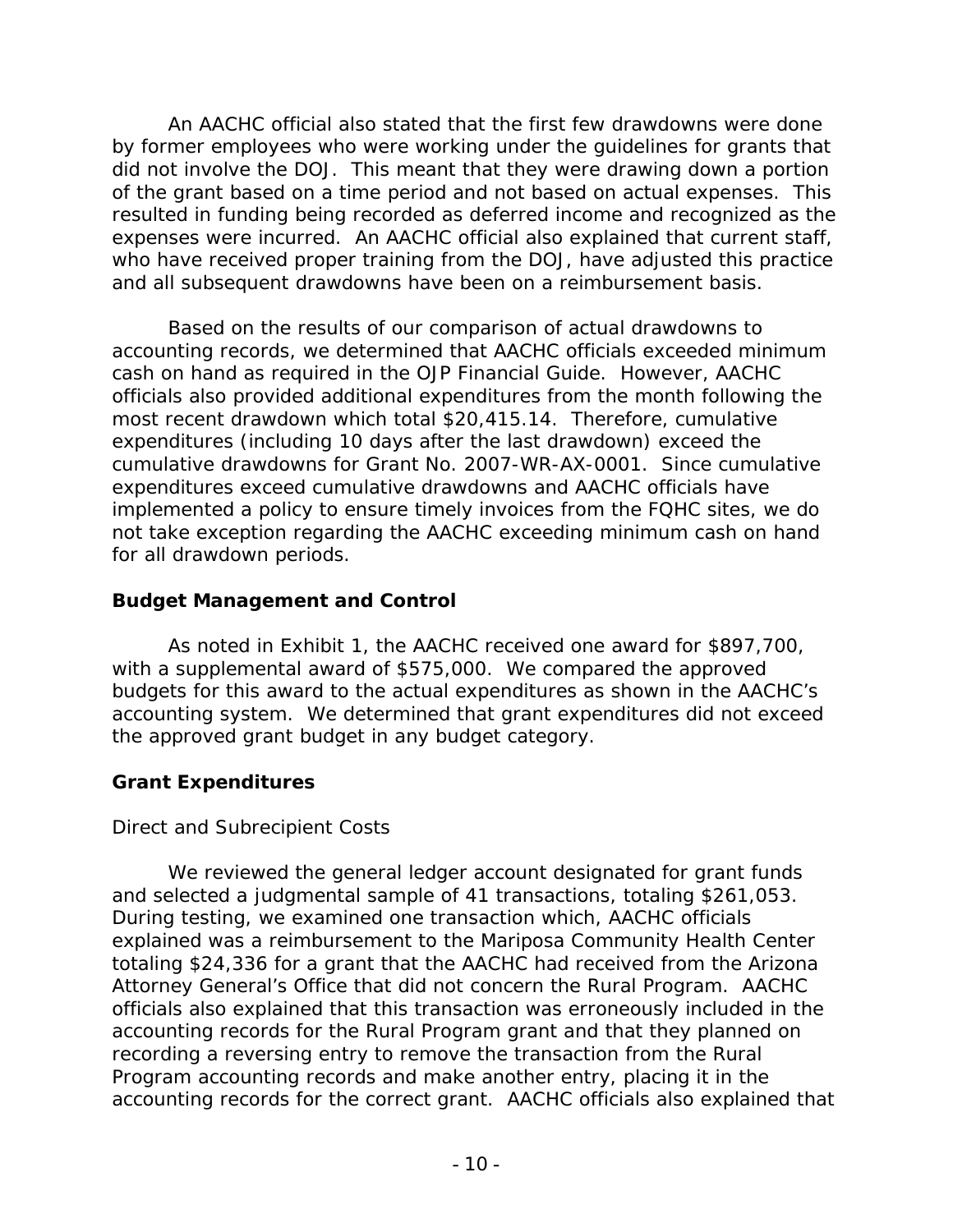An AACHC official also stated that the first few drawdowns were done by former employees who were working under the guidelines for grants that did not involve the DOJ. This meant that they were drawing down a portion of the grant based on a time period and not based on actual expenses. This resulted in funding being recorded as deferred income and recognized as the expenses were incurred. An AACHC official also explained that current staff, who have received proper training from the DOJ, have adjusted this practice and all subsequent drawdowns have been on a reimbursement basis.

Based on the results of our comparison of actual drawdowns to accounting records, we determined that AACHC officials exceeded minimum cash on hand as required in the *OJP Financial Guide*. However, AACHC officials also provided additional expenditures from the month following the most recent drawdown which total \$20,415.14. Therefore, cumulative expenditures (including 10 days after the last drawdown) exceed the cumulative drawdowns for Grant No. 2007-WR-AX-0001. Since cumulative expenditures exceed cumulative drawdowns and AACHC officials have implemented a policy to ensure timely invoices from the FQHC sites, we do not take exception regarding the AACHC exceeding minimum cash on hand for all drawdown periods.

### **Budget Management and Control**

As noted in Exhibit 1, the AACHC received one award for \$897,700, with a supplemental award of \$575,000. We compared the approved budgets for this award to the actual expenditures as shown in the AACHC's accounting system. We determined that grant expenditures did not exceed the approved grant budget in any budget category.

## **Grant Expenditures**

## *Direct and Subrecipient Costs*

We reviewed the general ledger account designated for grant funds and selected a judgmental sample of 41 transactions, totaling \$261,053. During testing, we examined one transaction which, AACHC officials explained was a reimbursement to the Mariposa Community Health Center totaling \$24,336 for a grant that the AACHC had received from the Arizona Attorney General's Office that did not concern the Rural Program. AACHC officials also explained that this transaction was erroneously included in the accounting records for the Rural Program grant and that they planned on recording a reversing entry to remove the transaction from the Rural Program accounting records and make another entry, placing it in the accounting records for the correct grant. AACHC officials also explained that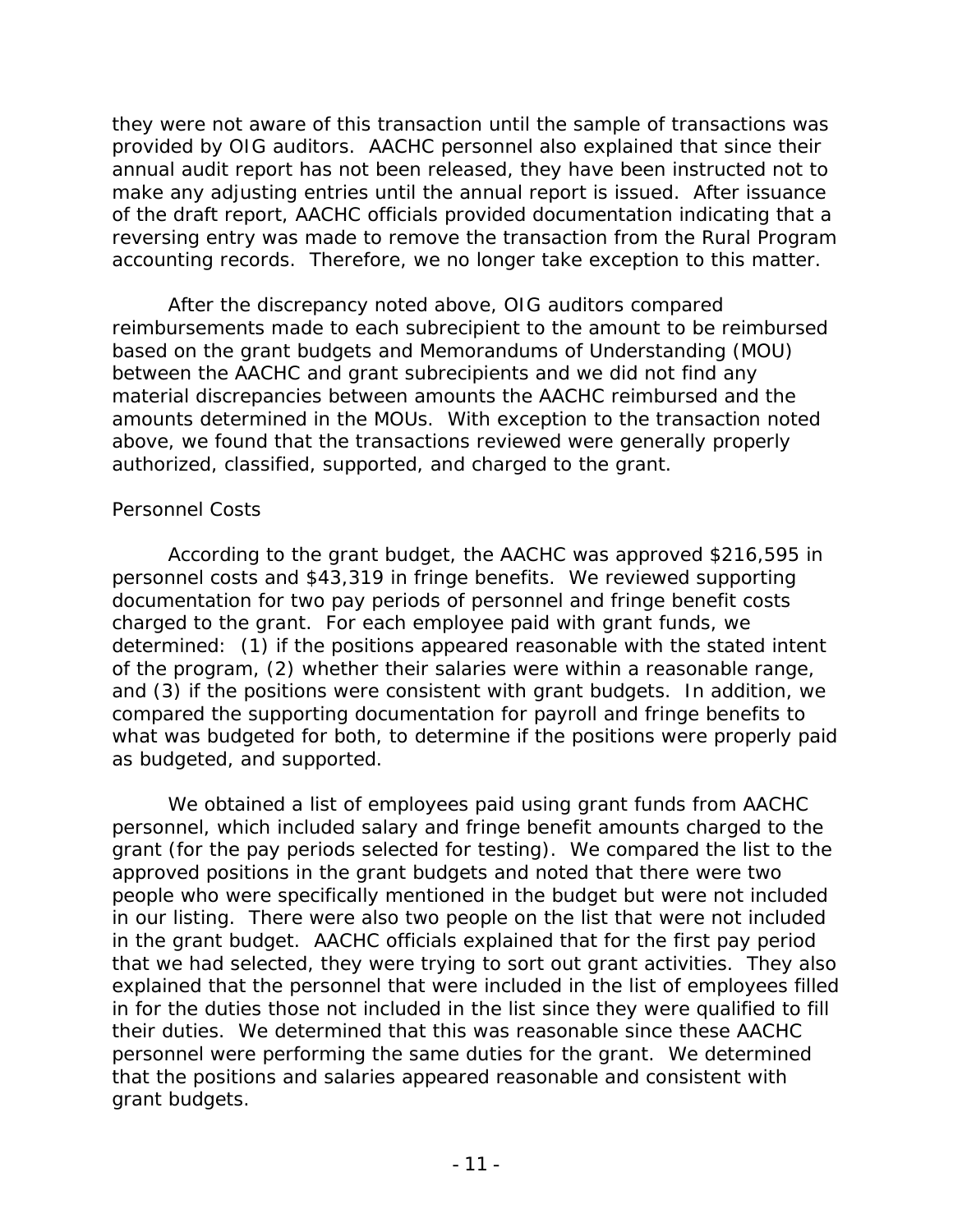they were not aware of this transaction until the sample of transactions was provided by OIG auditors. AACHC personnel also explained that since their annual audit report has not been released, they have been instructed not to make any adjusting entries until the annual report is issued. After issuance of the draft report, AACHC officials provided documentation indicating that a reversing entry was made to remove the transaction from the Rural Program accounting records. Therefore, we no longer take exception to this matter.

After the discrepancy noted above, OIG auditors compared reimbursements made to each subrecipient to the amount to be reimbursed based on the grant budgets and Memorandums of Understanding (MOU) between the AACHC and grant subrecipients and we did not find any material discrepancies between amounts the AACHC reimbursed and the amounts determined in the MOUs. With exception to the transaction noted above, we found that the transactions reviewed were generally properly authorized, classified, supported, and charged to the grant.

### *Personnel Costs*

According to the grant budget, the AACHC was approved \$216,595 in personnel costs and \$43,319 in fringe benefits. We reviewed supporting documentation for two pay periods of personnel and fringe benefit costs charged to the grant. For each employee paid with grant funds, we determined: (1) if the positions appeared reasonable with the stated intent of the program, (2) whether their salaries were within a reasonable range, and (3) if the positions were consistent with grant budgets. In addition, we compared the supporting documentation for payroll and fringe benefits to what was budgeted for both, to determine if the positions were properly paid as budgeted, and supported.

We obtained a list of employees paid using grant funds from AACHC personnel, which included salary and fringe benefit amounts charged to the grant (for the pay periods selected for testing). We compared the list to the approved positions in the grant budgets and noted that there were two people who were specifically mentioned in the budget but were not included in our listing. There were also two people on the list that were not included in the grant budget. AACHC officials explained that for the first pay period that we had selected, they were trying to sort out grant activities. They also explained that the personnel that were included in the list of employees filled in for the duties those not included in the list since they were qualified to fill their duties. We determined that this was reasonable since these AACHC personnel were performing the same duties for the grant. We determined that the positions and salaries appeared reasonable and consistent with grant budgets.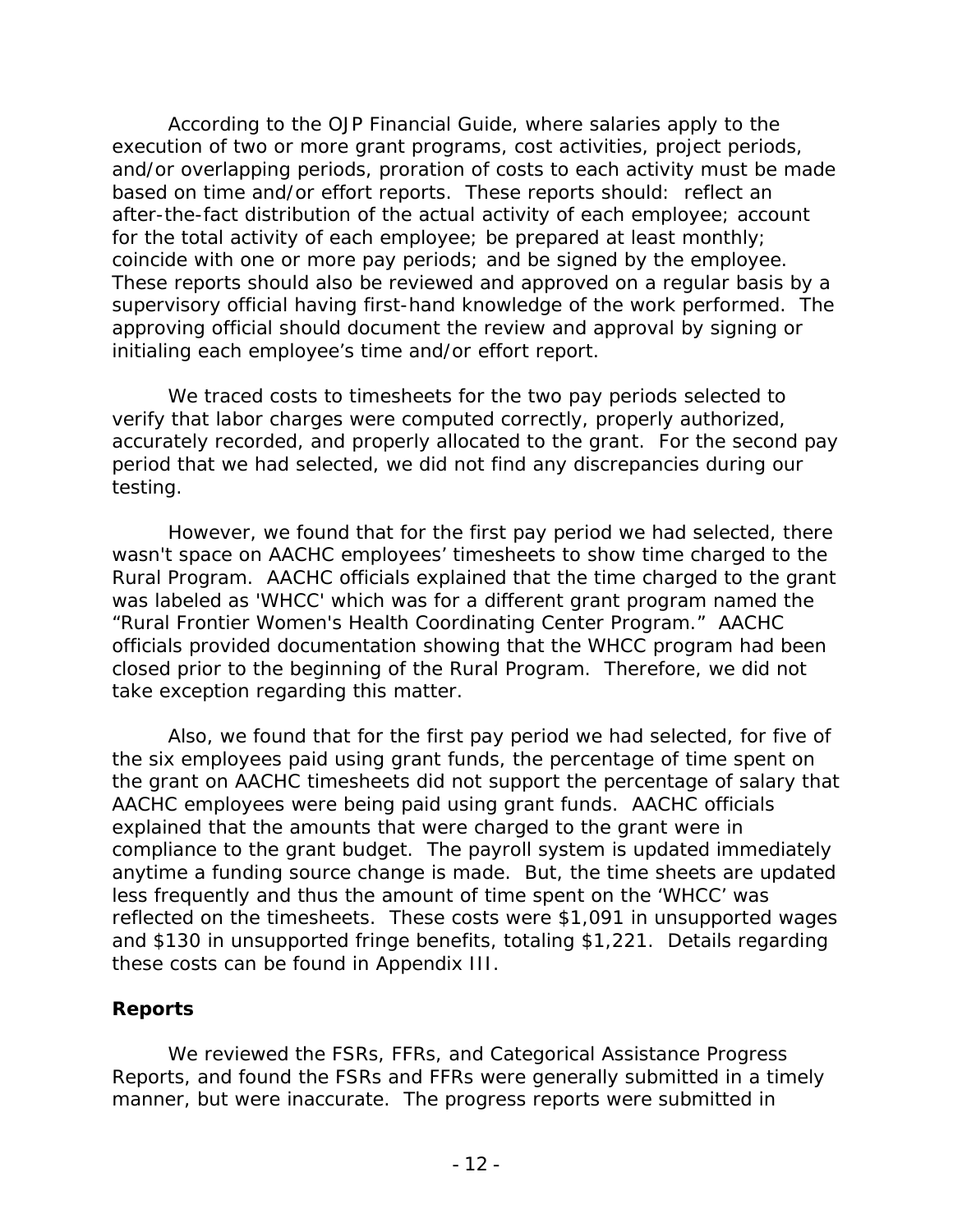According to the *OJP Financial Guide*, where salaries apply to the execution of two or more grant programs, cost activities, project periods, and/or overlapping periods, proration of costs to each activity must be made based on time and/or effort reports. These reports should: reflect an after-the-fact distribution of the actual activity of each employee; account for the total activity of each employee; be prepared at least monthly; coincide with one or more pay periods; and be signed by the employee. These reports should also be reviewed and approved on a regular basis by a supervisory official having first-hand knowledge of the work performed. The approving official should document the review and approval by signing or initialing each employee's time and/or effort report.

We traced costs to timesheets for the two pay periods selected to verify that labor charges were computed correctly, properly authorized, accurately recorded, and properly allocated to the grant. For the second pay period that we had selected, we did not find any discrepancies during our testing.

However, we found that for the first pay period we had selected, there wasn't space on AACHC employees' timesheets to show time charged to the Rural Program. AACHC officials explained that the time charged to the grant was labeled as 'WHCC' which was for a different grant program named the "Rural Frontier Women's Health Coordinating Center Program." AACHC officials provided documentation showing that the WHCC program had been closed prior to the beginning of the Rural Program. Therefore, we did not take exception regarding this matter.

Also, we found that for the first pay period we had selected, for five of the six employees paid using grant funds, the percentage of time spent on the grant on AACHC timesheets did not support the percentage of salary that AACHC employees were being paid using grant funds. AACHC officials explained that the amounts that were charged to the grant were in compliance to the grant budget. The payroll system is updated immediately anytime a funding source change is made. But, the time sheets are updated less frequently and thus the amount of time spent on the 'WHCC' was reflected on the timesheets. These costs were \$1,091 in unsupported wages and \$130 in unsupported fringe benefits, totaling \$1,221. Details regarding these costs can be found in Appendix III.

### **Reports**

We reviewed the FSRs, FFRs, and Categorical Assistance Progress Reports, and found the FSRs and FFRs were generally submitted in a timely manner, but were inaccurate. The progress reports were submitted in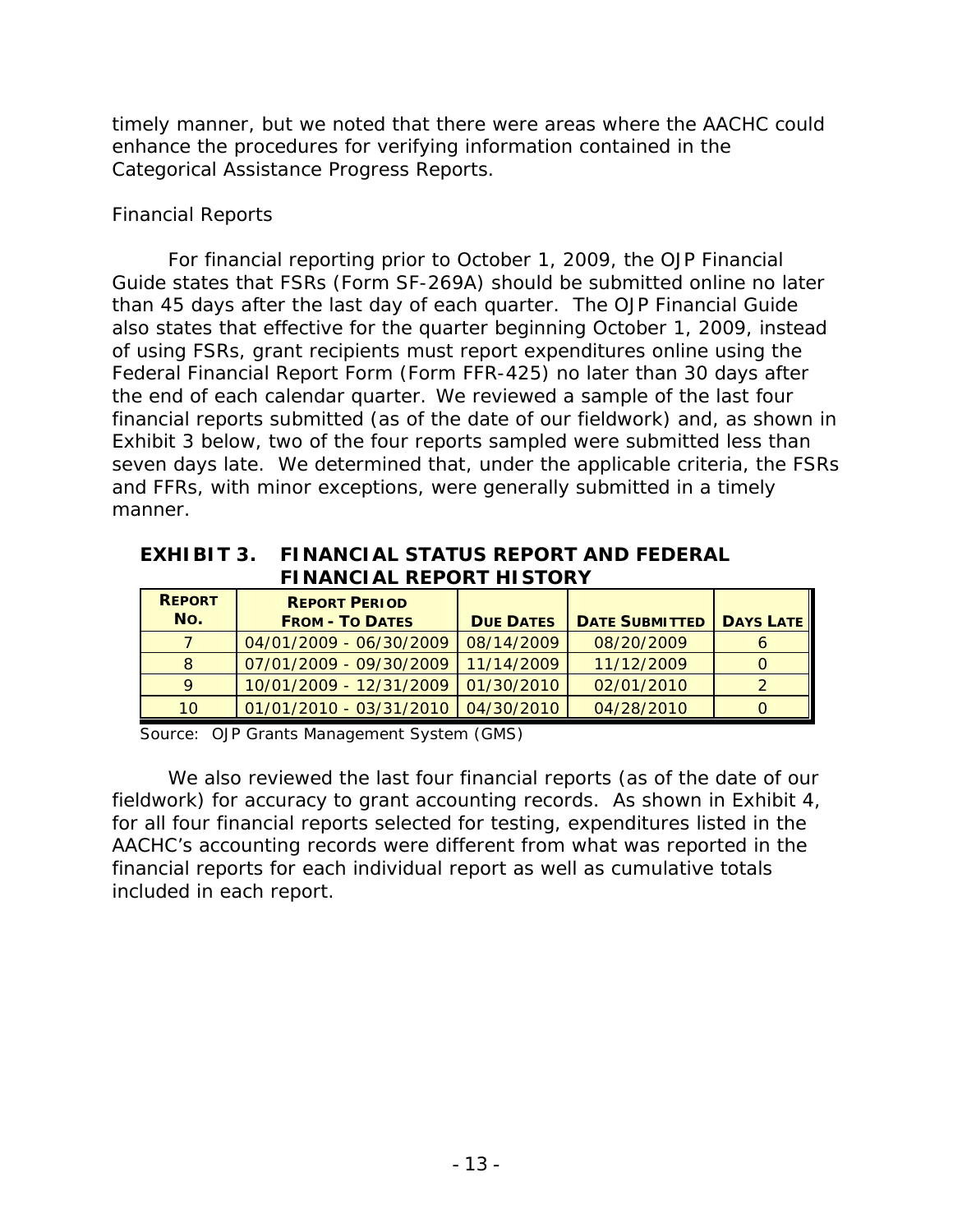timely manner, but we noted that there were areas where the AACHC could enhance the procedures for verifying information contained in the Categorical Assistance Progress Reports.

## *Financial Reports*

For financial reporting prior to October 1, 2009, the *OJP Financial Guide* states that FSRs (Form SF-269A) should be submitted online no later than 45 days after the last day of each quarter. The *OJP Financial Guide* also states that effective for the quarter beginning October 1, 2009, instead of using FSRs, grant recipients must report expenditures online using the Federal Financial Report Form (Form FFR-425) no later than 30 days after the end of each calendar quarter.We reviewed a sample of the last four financial reports submitted (as of the date of our fieldwork) and, as shown in Exhibit 3 below, two of the four reports sampled were submitted less than seven days late. We determined that, under the applicable criteria, the FSRs and FFRs, with minor exceptions, were generally submitted in a timely manner.

#### **EXHIBIT 3. FINANCIAL STATUS REPORT AND FEDERAL FINANCIAL REPORT HISTORY**

| <b>REPORT</b><br>No. | <b>REPORT PERIOD</b><br><b>FROM - TO DATES</b> | <b>DUE DATES</b> | <b>DATE SUBMITTED</b> | <b>DAYS LATE</b> |
|----------------------|------------------------------------------------|------------------|-----------------------|------------------|
|                      | 04/01/2009 - 06/30/2009                        | 08/14/2009       | 08/20/2009            |                  |
| <sup>8</sup>         | 07/01/2009 - 09/30/2009                        | 11/14/2009       | 11/12/2009            |                  |
|                      | 10/01/2009 - 12/31/2009   01/30/2010           |                  | 02/01/2010            |                  |
| 10                   | 01/01/2010 - 03/31/2010   04/30/2010           |                  | 04/28/2010            |                  |

Source: OJP Grants Management System (GMS)

We also reviewed the last four financial reports (as of the date of our fieldwork) for accuracy to grant accounting records. As shown in Exhibit 4, for all four financial reports selected for testing, expenditures listed in the AACHC's accounting records were different from what was reported in the financial reports for each individual report as well as cumulative totals included in each report.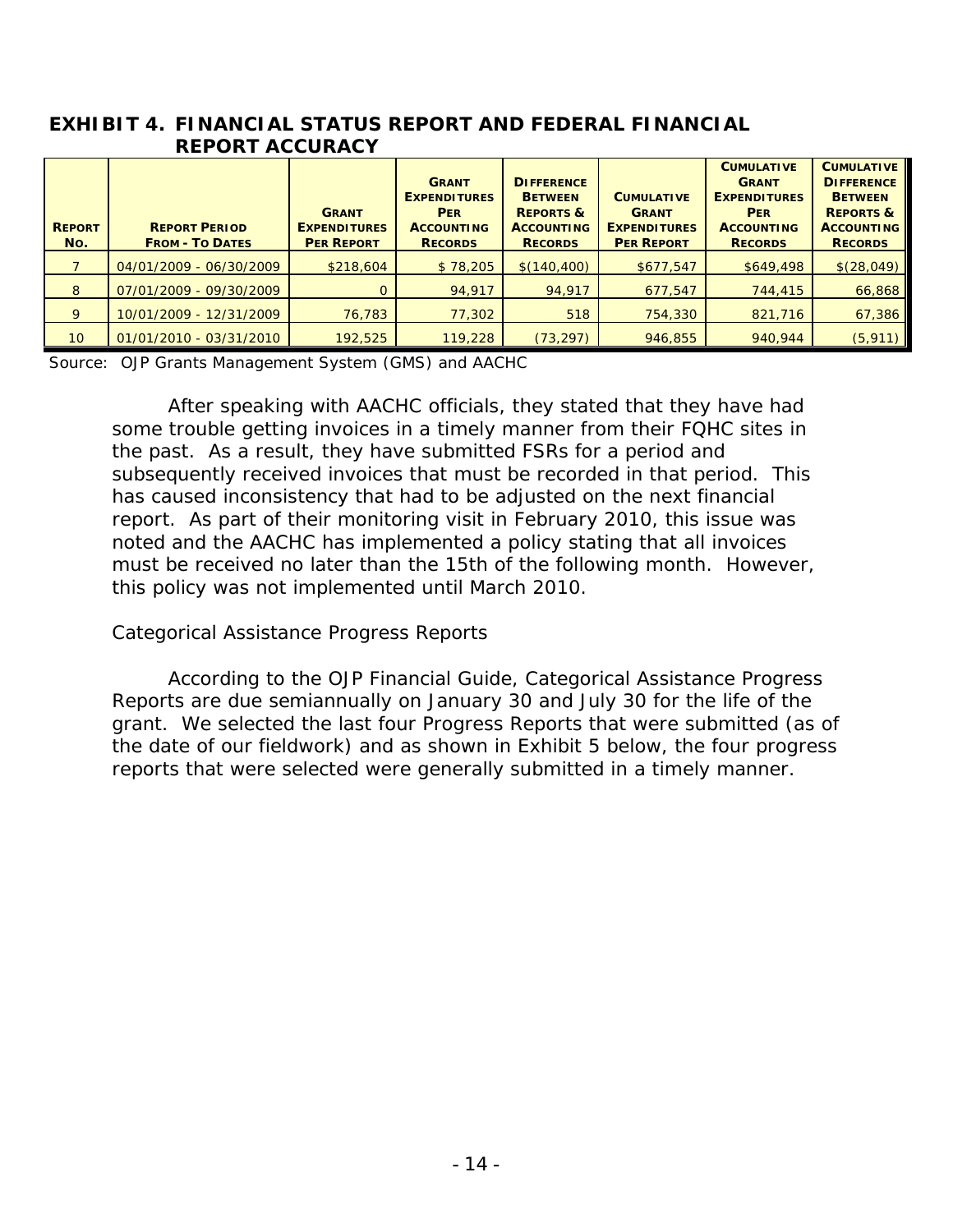| EXHIBIT 4. FINANCIAL STATUS REPORT AND FEDERAL FINANCIAL |
|----------------------------------------------------------|
| <b>REPORT ACCURACY</b>                                   |

| <b>REPORT</b><br>No. | <b>REPORT PERIOD</b><br><b>FROM - TO DATES</b> | <b>GRANT</b><br><b>EXPENDITURES</b><br><b>PER REPORT</b> | <b>GRANT</b><br><b>EXPENDITURES</b><br><b>PER</b><br><b>ACCOUNTING</b><br><b>RECORDS</b> | <b>DIFFERENCE</b><br><b>BETWEEN</b><br><b>REPORTS &amp;</b><br><b>ACCOUNTING</b><br><b>RECORDS</b> | <b>CUMULATIVE</b><br><b>GRANT</b><br><b>EXPENDITURES</b><br><b>PER REPORT</b> | <b>CUMULATIVE</b><br><b>GRANT</b><br><b>EXPENDITURES</b><br><b>PER</b><br><b>ACCOUNTING</b><br><b>RECORDS</b> | <b>CUMULATIVE</b><br><b>DIFFERENCE</b><br><b>BETWEEN</b><br><b>REPORTS &amp;</b><br><b>ACCOUNTING</b><br><b>RECORDS</b> |
|----------------------|------------------------------------------------|----------------------------------------------------------|------------------------------------------------------------------------------------------|----------------------------------------------------------------------------------------------------|-------------------------------------------------------------------------------|---------------------------------------------------------------------------------------------------------------|-------------------------------------------------------------------------------------------------------------------------|
|                      | 04/01/2009 - 06/30/2009                        | \$218,604                                                | \$78,205                                                                                 | \$(140, 400)                                                                                       | \$677,547                                                                     | \$649,498                                                                                                     | \$(28,049)                                                                                                              |
| 8                    | 07/01/2009 - 09/30/2009                        |                                                          | 94,917                                                                                   | 94,917                                                                                             | 677,547                                                                       | 744,415                                                                                                       | 66,868                                                                                                                  |
| 9                    | 10/01/2009 - 12/31/2009                        | 76,783                                                   | 77,302                                                                                   | 518                                                                                                | 754,330                                                                       | 821,716                                                                                                       | 67,386                                                                                                                  |
| 10                   | 01/01/2010 - 03/31/2010                        | 192,525                                                  | 119,228                                                                                  | (73, 297)                                                                                          | 946,855                                                                       | 940.944                                                                                                       | (5, 911)                                                                                                                |

Source: OJP Grants Management System (GMS) and AACHC

After speaking with AACHC officials, they stated that they have had some trouble getting invoices in a timely manner from their FQHC sites in the past. As a result, they have submitted FSRs for a period and subsequently received invoices that must be recorded in that period. This has caused inconsistency that had to be adjusted on the next financial report. As part of their monitoring visit in February 2010, this issue was noted and the AACHC has implemented a policy stating that all invoices must be received no later than the 15th of the following month. However, this policy was not implemented until March 2010.

### *Categorical Assistance Progress Reports*

According to the *OJP Financial Guide*, Categorical Assistance Progress Reports are due semiannually on January 30 and July 30 for the life of the grant. We selected the last four Progress Reports that were submitted (as of the date of our fieldwork) and as shown in Exhibit 5 below, the four progress reports that were selected were generally submitted in a timely manner.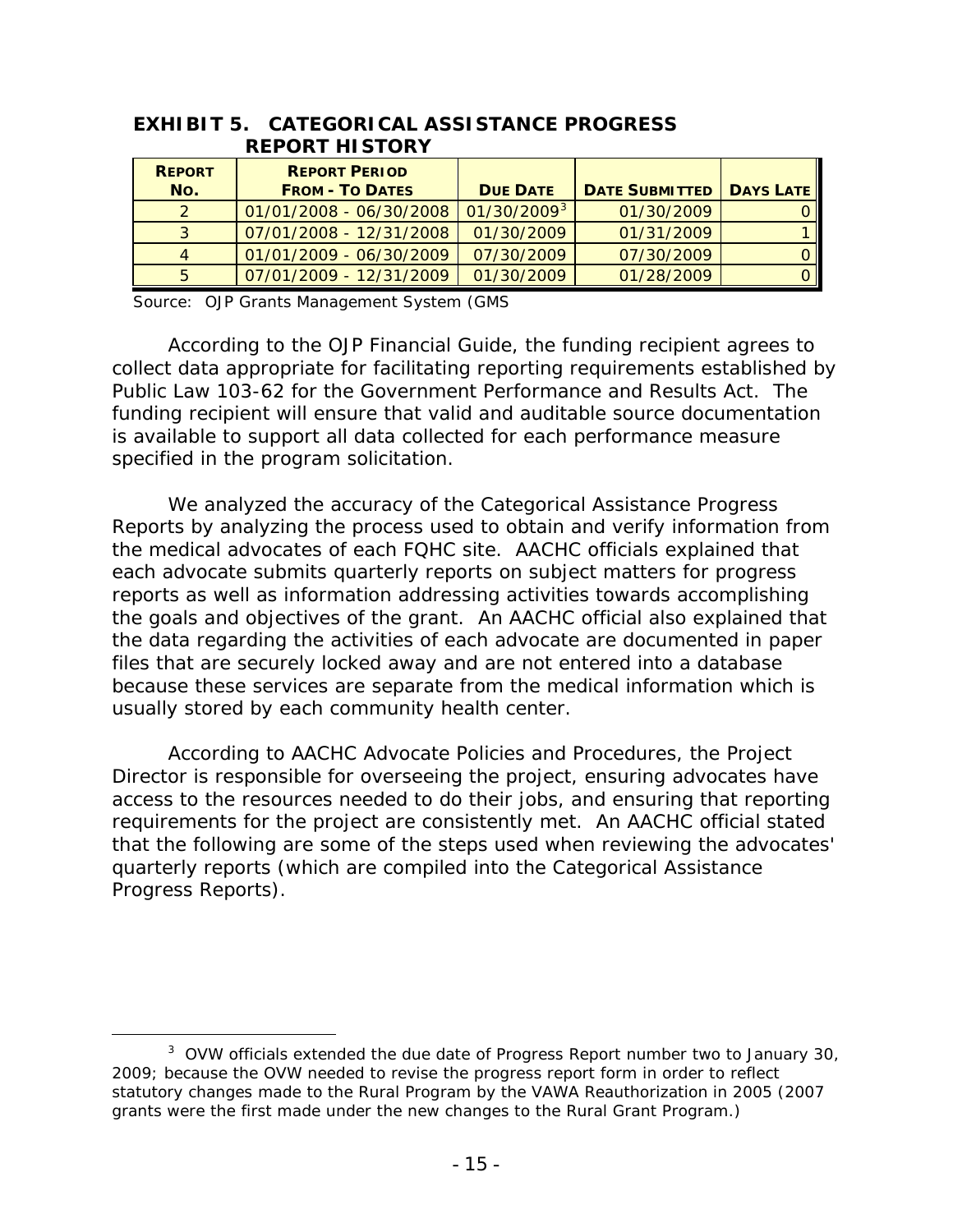|  | <b>REPORT</b><br>No. | <b>REPORT PERIOD</b><br><b>FROM - TO DATES</b> | <b>DUE DATE</b> | <b>DATE SUBMITTED</b> | <b>DAYS LATE</b> |
|--|----------------------|------------------------------------------------|-----------------|-----------------------|------------------|
|  |                      | 01/01/2008 - 06/30/2008                        | $01/30/2009^3$  | 01/30/2009            | 0 I              |
|  |                      | 07/01/2008 - 12/31/2008                        | 01/30/2009      | 01/31/2009            |                  |
|  |                      | 01/01/2009 - 06/30/2009                        | 07/30/2009      | 07/30/2009            | O I              |
|  |                      | 07/01/2009 - 12/31/2009                        | 01/30/2009      | 01/28/2009            | 0 I              |

#### **EXHIBIT 5. CATEGORICAL ASSISTANCE PROGRESS REPORT HISTORY**

Source: OJP Grants Management System (GMS

According to the *OJP Financial Guide*, the funding recipient agrees to collect data appropriate for facilitating reporting requirements established by Public Law 103-62 for the Government Performance and Results Act. The funding recipient will ensure that valid and auditable source documentation is available to support all data collected for each performance measure specified in the program solicitation.

We analyzed the accuracy of the Categorical Assistance Progress Reports by analyzing the process used to obtain and verify information from the medical advocates of each FQHC site. AACHC officials explained that each advocate submits quarterly reports on subject matters for progress reports as well as information addressing activities towards accomplishing the goals and objectives of the grant. An AACHC official also explained that the data regarding the activities of each advocate are documented in paper files that are securely locked away and are not entered into a database because these services are separate from the medical information which is usually stored by each community health center.

According to AACHC Advocate Policies and Procedures, the Project Director is responsible for overseeing the project, ensuring advocates have access to the resources needed to do their jobs, and ensuring that reporting requirements for the project are consistently met. An AACHC official stated that the following are some of the steps used when reviewing the advocates' quarterly reports (which are compiled into the Categorical Assistance Progress Reports).

<span id="page-20-0"></span> $\frac{1}{3}$ <sup>3</sup> OVW officials extended the due date of Progress Report number two to January 30, 2009; because the OVW needed to revise the progress report form in order to reflect statutory changes made to the Rural Program by the VAWA Reauthorization in 2005 (2007 grants were the first made under the new changes to the Rural Grant Program.)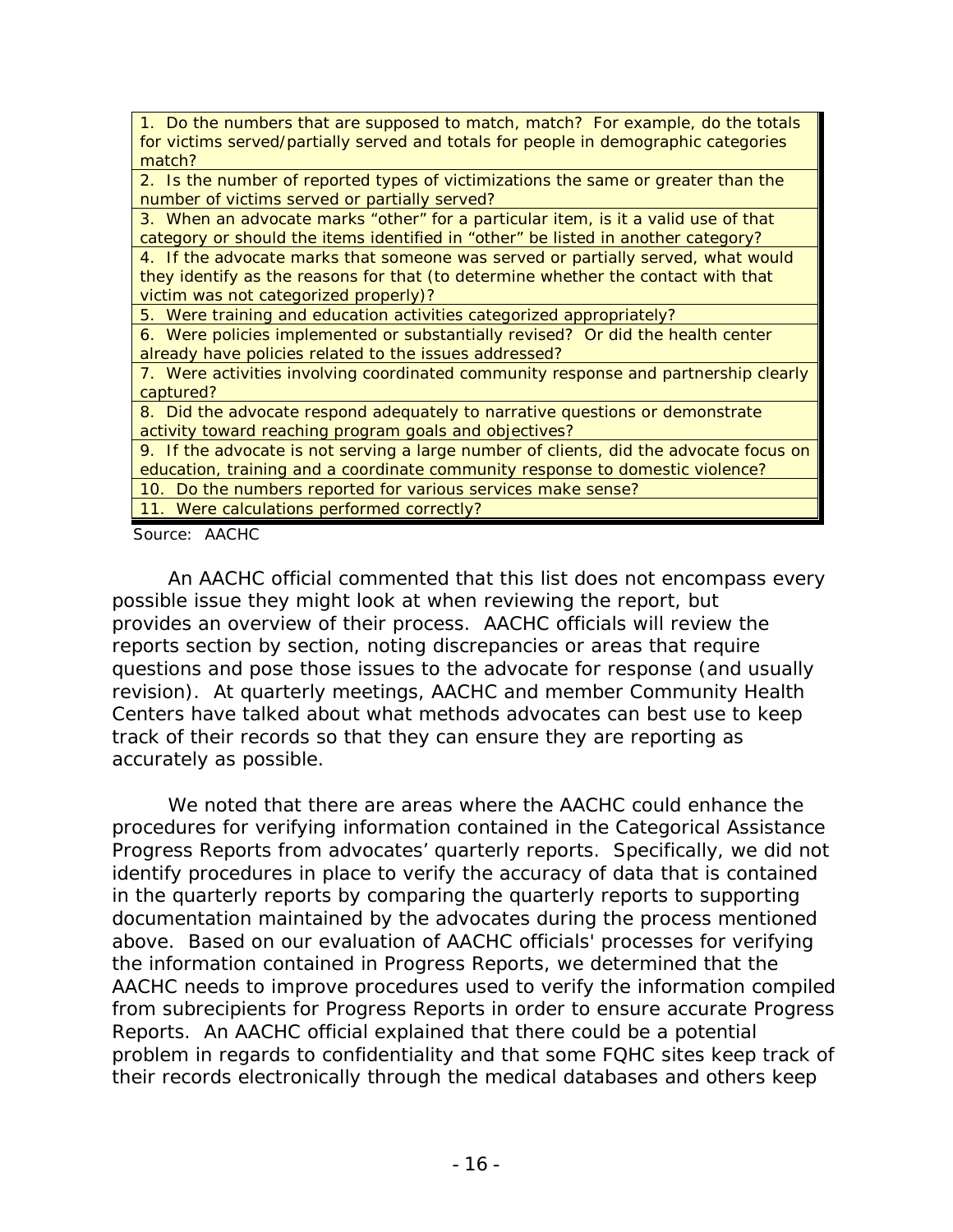| 1. Do the numbers that are supposed to match, match? For example, do the totals        |
|----------------------------------------------------------------------------------------|
| for victims served/partially served and totals for people in demographic categories    |
| match?                                                                                 |
| 2. Is the number of reported types of victimizations the same or greater than the      |
| number of victims served or partially served?                                          |
| 3. When an advocate marks "other" for a particular item, is it a valid use of that     |
| category or should the items identified in "other" be listed in another category?      |
| 4. If the advocate marks that someone was served or partially served, what would       |
| they identify as the reasons for that (to determine whether the contact with that      |
| victim was not categorized properly)?                                                  |
| 5. Were training and education activities categorized appropriately?                   |
| 6. Were policies implemented or substantially revised? Or did the health center        |
| already have policies related to the issues addressed?                                 |
| 7. Were activities involving coordinated community response and partnership clearly    |
| captured?                                                                              |
| 8. Did the advocate respond adequately to narrative questions or demonstrate           |
| activity toward reaching program goals and objectives?                                 |
| 9. If the advocate is not serving a large number of clients, did the advocate focus on |
| education, training and a coordinate community response to domestic violence?          |
| 10. Do the numbers reported for various services make sense?                           |
| 11. Were calculations performed correctly?                                             |

Source: AACHC

An AACHC official commented that this list does not encompass every possible issue they might look at when reviewing the report, but provides an overview of their process. AACHC officials will review the reports section by section, noting discrepancies or areas that require questions and pose those issues to the advocate for response (and usually revision). At quarterly meetings, AACHC and member Community Health Centers have talked about what methods advocates can best use to keep track of their records so that they can ensure they are reporting as accurately as possible.

We noted that there are areas where the AACHC could enhance the procedures for verifying information contained in the Categorical Assistance Progress Reports from advocates' quarterly reports. Specifically, we did not identify procedures in place to verify the accuracy of data that is contained in the quarterly reports by comparing the quarterly reports to supporting documentation maintained by the advocates during the process mentioned above. Based on our evaluation of AACHC officials' processes for verifying the information contained in Progress Reports, we determined that the AACHC needs to improve procedures used to verify the information compiled from subrecipients for Progress Reports in order to ensure accurate Progress Reports. An AACHC official explained that there could be a potential problem in regards to confidentiality and that some FQHC sites keep track of their records electronically through the medical databases and others keep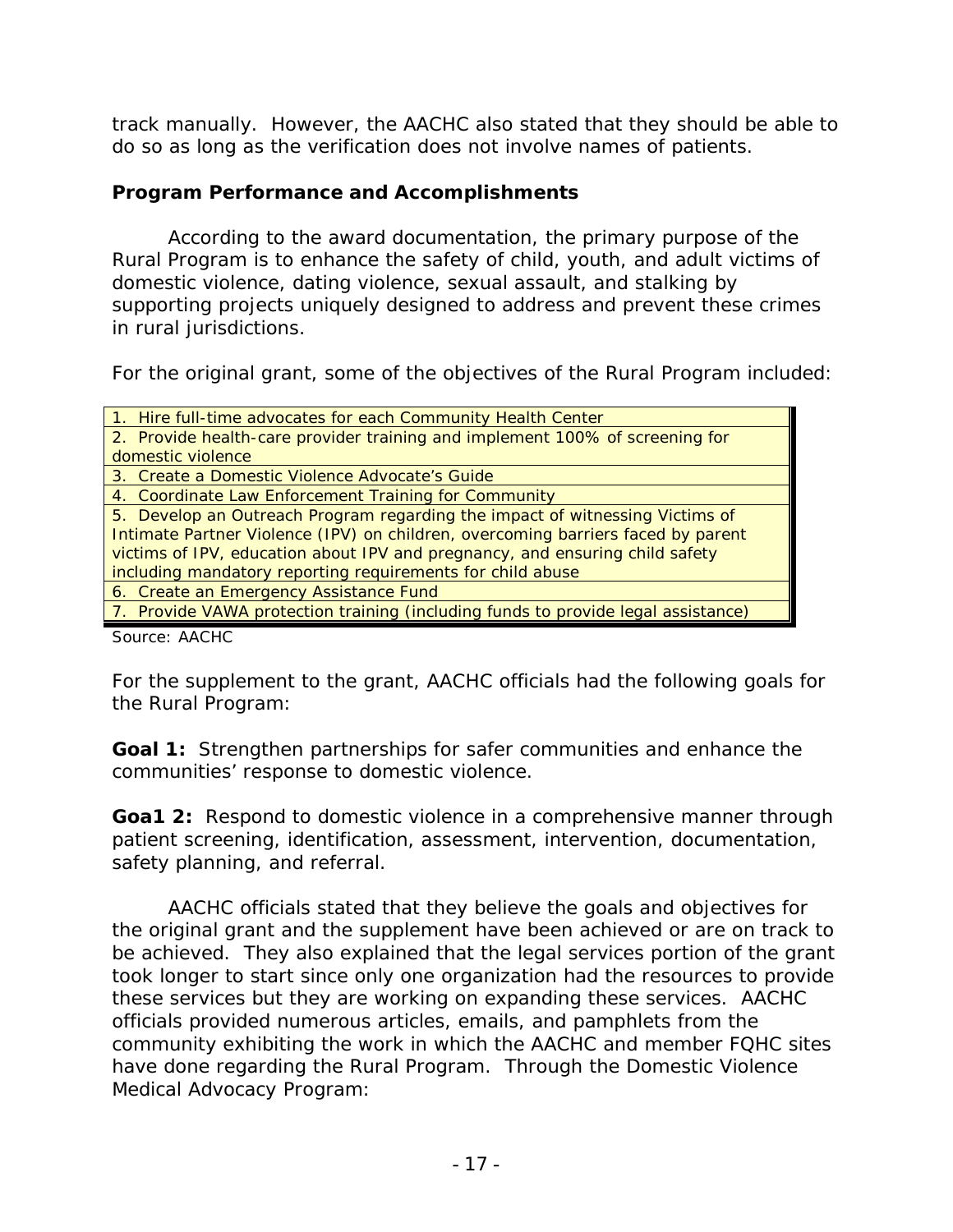track manually. However, the AACHC also stated that they should be able to do so as long as the verification does not involve names of patients.

## **Program Performance and Accomplishments**

According to the award documentation, the primary purpose of the Rural Program is to enhance the safety of child, youth, and adult victims of domestic violence, dating violence, sexual assault, and stalking by supporting projects uniquely designed to address and prevent these crimes in rural jurisdictions.

For the original grant, some of the objectives of the Rural Program included:

| 1. Hire full-time advocates for each Community Health Center                      |
|-----------------------------------------------------------------------------------|
| 2. Provide health-care provider training and implement 100% of screening for      |
| domestic violence                                                                 |
| 3. Create a Domestic Violence Advocate's Guide                                    |
| 4. Coordinate Law Enforcement Training for Community                              |
| 5. Develop an Outreach Program regarding the impact of witnessing Victims of      |
| Intimate Partner Violence (IPV) on children, overcoming barriers faced by parent  |
| victims of IPV, education about IPV and pregnancy, and ensuring child safety      |
| including mandatory reporting requirements for child abuse                        |
| 6. Create an Emergency Assistance Fund                                            |
| 7. Provide VAWA protection training (including funds to provide legal assistance) |

Source: AACHC

For the supplement to the grant, AACHC officials had the following goals for the Rural Program:

**Goal 1:** Strengthen partnerships for safer communities and enhance the communities' response to domestic violence.

**Goa1 2:** Respond to domestic violence in a comprehensive manner through patient screening, identification, assessment, intervention, documentation, safety planning, and referral.

AACHC officials stated that they believe the goals and objectives for the original grant and the supplement have been achieved or are on track to be achieved. They also explained that the legal services portion of the grant took longer to start since only one organization had the resources to provide these services but they are working on expanding these services. AACHC officials provided numerous articles, emails, and pamphlets from the community exhibiting the work in which the AACHC and member FQHC sites have done regarding the Rural Program. Through the Domestic Violence Medical Advocacy Program: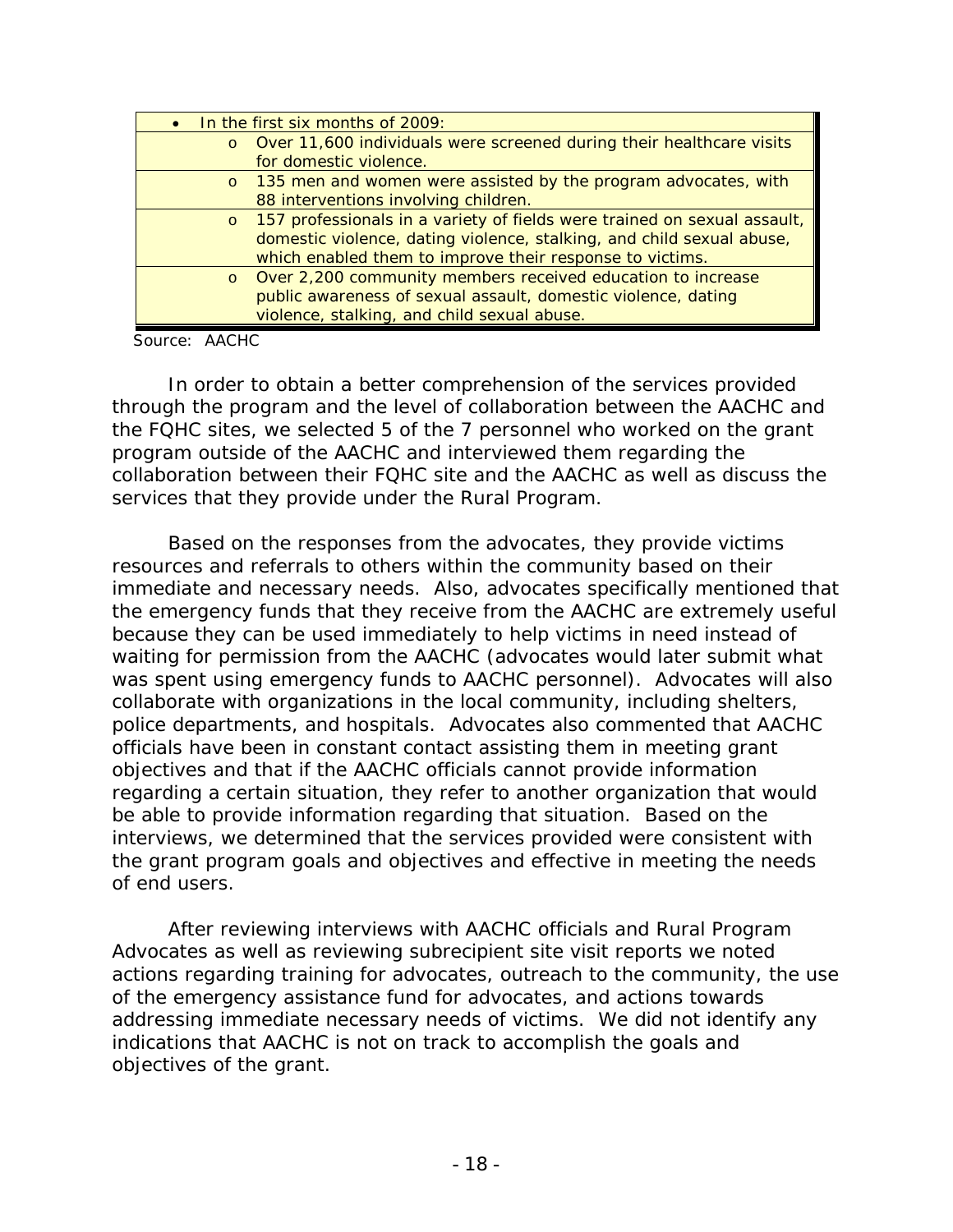| $\bullet$ |         | In the first six months of 2009:                                         |
|-----------|---------|--------------------------------------------------------------------------|
|           |         | o Over 11,600 individuals were screened during their healthcare visits   |
|           |         | for domestic violence.                                                   |
|           |         | o 135 men and women were assisted by the program advocates, with         |
|           |         | 88 interventions involving children.                                     |
|           | $\circ$ | 157 professionals in a variety of fields were trained on sexual assault, |
|           |         | domestic violence, dating violence, stalking, and child sexual abuse,    |
|           |         | which enabled them to improve their response to victims.                 |
|           | $\circ$ | Over 2,200 community members received education to increase              |
|           |         | public awareness of sexual assault, domestic violence, dating            |
|           |         | violence, stalking, and child sexual abuse.                              |

Source: AACHC

In order to obtain a better comprehension of the services provided through the program and the level of collaboration between the AACHC and the FQHC sites, we selected 5 of the 7 personnel who worked on the grant program outside of the AACHC and interviewed them regarding the collaboration between their FQHC site and the AACHC as well as discuss the services that they provide under the Rural Program.

Based on the responses from the advocates, they provide victims resources and referrals to others within the community based on their immediate and necessary needs. Also, advocates specifically mentioned that the emergency funds that they receive from the AACHC are extremely useful because they can be used immediately to help victims in need instead of waiting for permission from the AACHC (advocates would later submit what was spent using emergency funds to AACHC personnel). Advocates will also collaborate with organizations in the local community, including shelters, police departments, and hospitals. Advocates also commented that AACHC officials have been in constant contact assisting them in meeting grant objectives and that if the AACHC officials cannot provide information regarding a certain situation, they refer to another organization that would be able to provide information regarding that situation. Based on the interviews, we determined that the services provided were consistent with the grant program goals and objectives and effective in meeting the needs of end users.

After reviewing interviews with AACHC officials and Rural Program Advocates as well as reviewing subrecipient site visit reports we noted actions regarding training for advocates, outreach to the community, the use of the emergency assistance fund for advocates, and actions towards addressing immediate necessary needs of victims. We did not identify any indications that AACHC is not on track to accomplish the goals and objectives of the grant.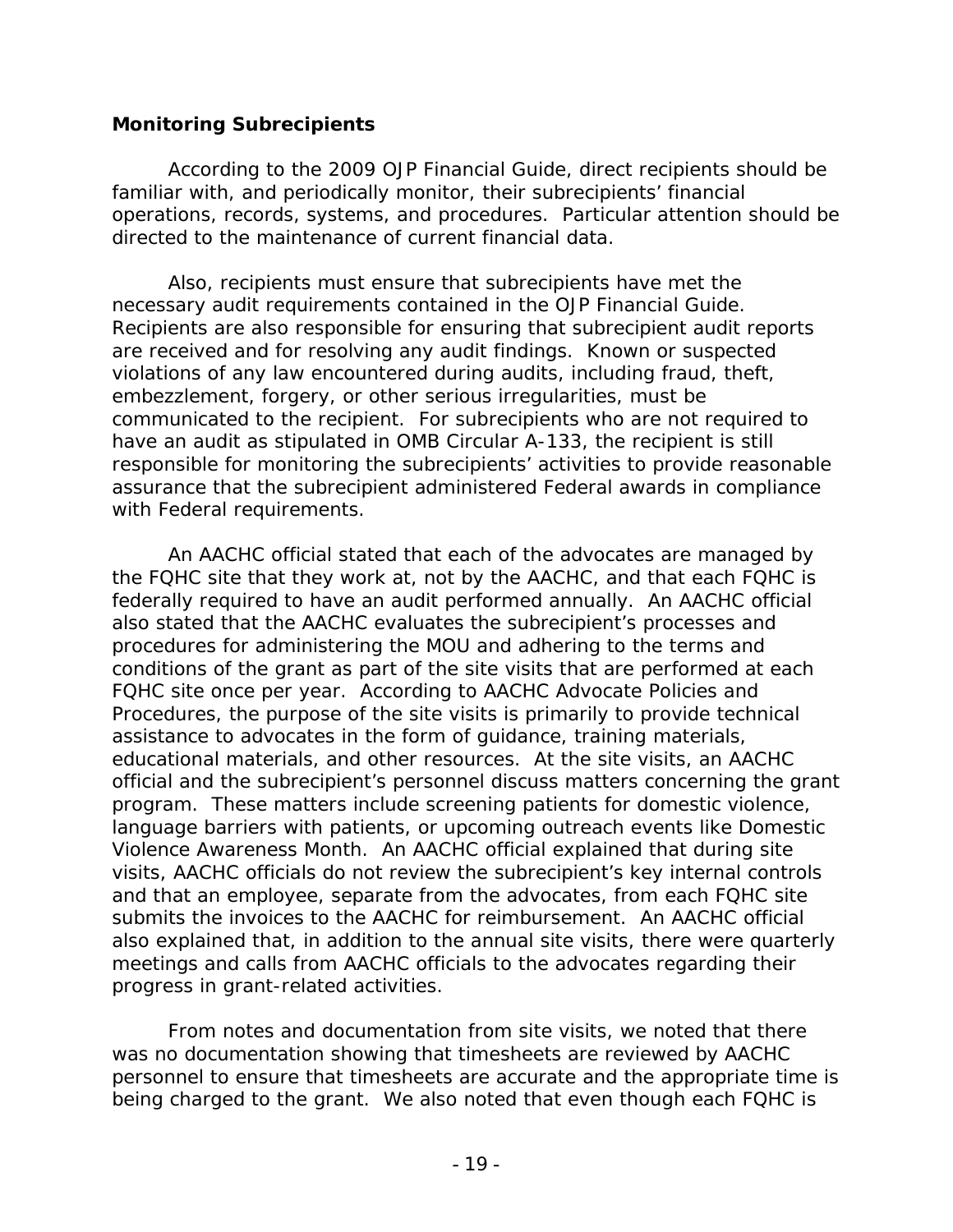#### **Monitoring Subrecipients**

According to the 2009 *OJP Financial Guide*, direct recipients should be familiar with, and periodically monitor, their subrecipients' financial operations, records, systems, and procedures. Particular attention should be directed to the maintenance of current financial data.

Also, recipients must ensure that subrecipients have met the necessary audit requirements contained in the *OJP Financial Guide*. Recipients are also responsible for ensuring that subrecipient audit reports are received and for resolving any audit findings. Known or suspected violations of any law encountered during audits, including fraud, theft, embezzlement, forgery, or other serious irregularities, must be communicated to the recipient. For subrecipients who are not required to have an audit as stipulated in OMB Circular A-133, the recipient is still responsible for monitoring the subrecipients' activities to provide reasonable assurance that the subrecipient administered Federal awards in compliance with Federal requirements.

An AACHC official stated that each of the advocates are managed by the FQHC site that they work at, not by the AACHC, and that each FQHC is federally required to have an audit performed annually. An AACHC official also stated that the AACHC evaluates the subrecipient's processes and procedures for administering the MOU and adhering to the terms and conditions of the grant as part of the site visits that are performed at each FQHC site once per year. According to AACHC Advocate Policies and Procedures, the purpose of the site visits is primarily to provide technical assistance to advocates in the form of guidance, training materials, educational materials, and other resources. At the site visits, an AACHC official and the subrecipient's personnel discuss matters concerning the grant program. These matters include screening patients for domestic violence, language barriers with patients, or upcoming outreach events like Domestic Violence Awareness Month. An AACHC official explained that during site visits, AACHC officials do not review the subrecipient's key internal controls and that an employee, separate from the advocates, from each FQHC site submits the invoices to the AACHC for reimbursement. An AACHC official also explained that, in addition to the annual site visits, there were quarterly meetings and calls from AACHC officials to the advocates regarding their progress in grant-related activities.

From notes and documentation from site visits, we noted that there was no documentation showing that timesheets are reviewed by AACHC personnel to ensure that timesheets are accurate and the appropriate time is being charged to the grant. We also noted that even though each FQHC is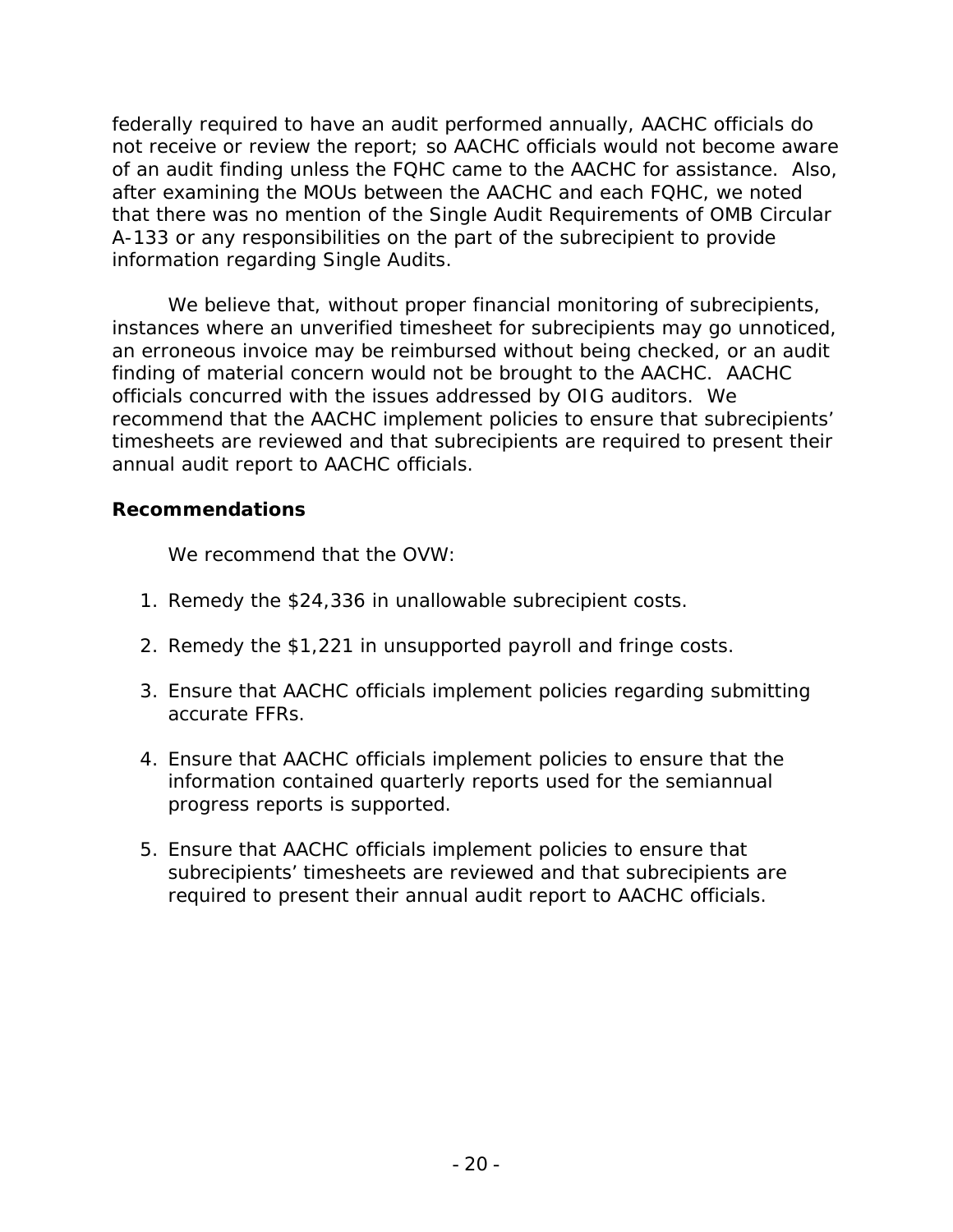federally required to have an audit performed annually, AACHC officials do not receive or review the report; so AACHC officials would not become aware of an audit finding unless the FQHC came to the AACHC for assistance. Also, after examining the MOUs between the AACHC and each FQHC, we noted that there was no mention of the Single Audit Requirements of OMB Circular A-133 or any responsibilities on the part of the subrecipient to provide information regarding Single Audits.

We believe that, without proper financial monitoring of subrecipients, instances where an unverified timesheet for subrecipients may go unnoticed, an erroneous invoice may be reimbursed without being checked, or an audit finding of material concern would not be brought to the AACHC. AACHC officials concurred with the issues addressed by OIG auditors. We recommend that the AACHC implement policies to ensure that subrecipients' timesheets are reviewed and that subrecipients are required to present their annual audit report to AACHC officials.

### **Recommendations**

We recommend that the OVW:

- 1. Remedy the \$24,336 in unallowable subrecipient costs.
- 2. Remedy the \$1,221 in unsupported payroll and fringe costs.
- 3. Ensure that AACHC officials implement policies regarding submitting accurate FFRs.
- 4. Ensure that AACHC officials implement policies to ensure that the information contained quarterly reports used for the semiannual progress reports is supported.
- 5. Ensure that AACHC officials implement policies to ensure that subrecipients' timesheets are reviewed and that subrecipients are required to present their annual audit report to AACHC officials.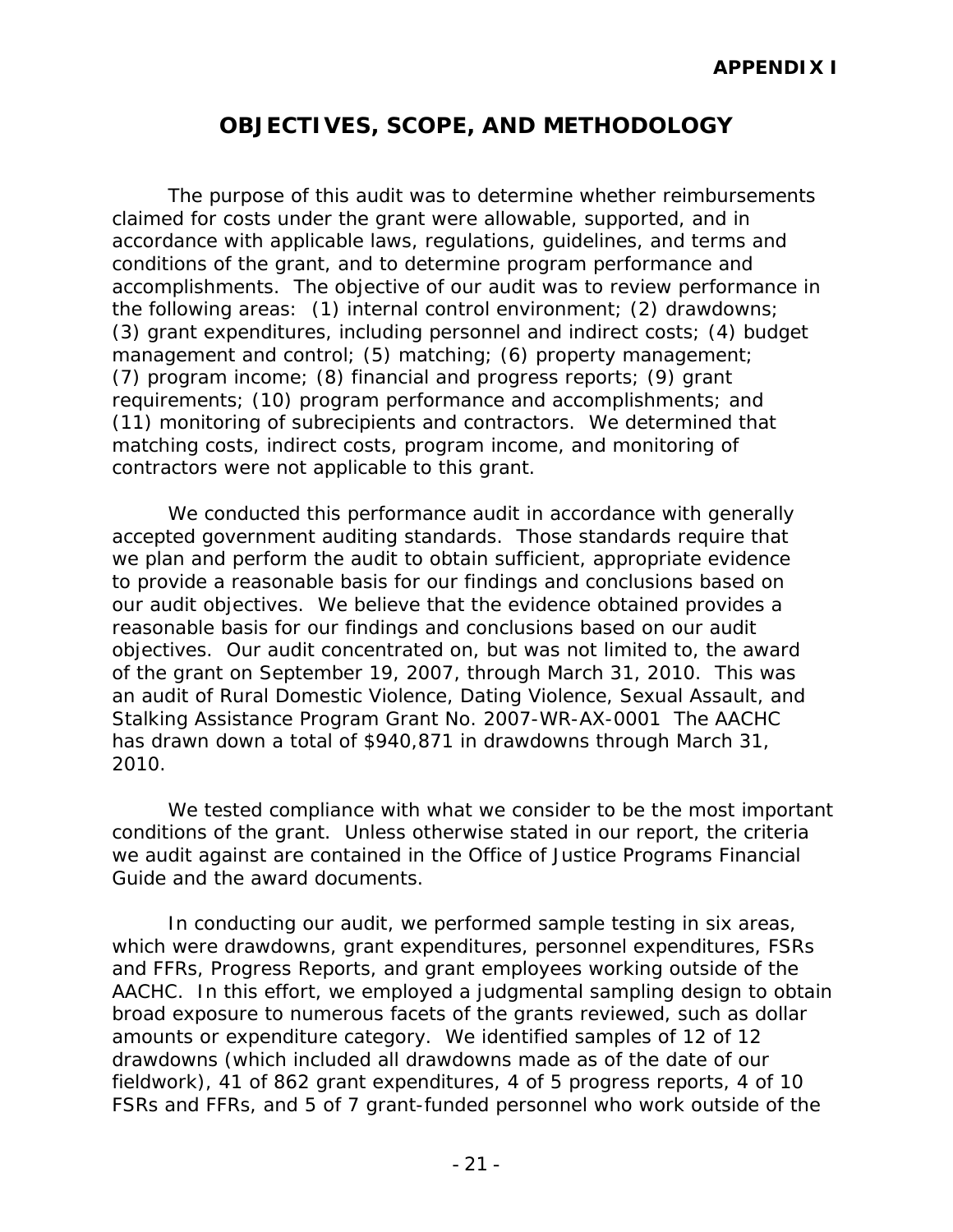# **OBJECTIVES, SCOPE, AND METHODOLOGY**

The purpose of this audit was to determine whether reimbursements claimed for costs under the grant were allowable, supported, and in accordance with applicable laws, regulations, guidelines, and terms and conditions of the grant, and to determine program performance and accomplishments. The objective of our audit was to review performance in the following areas: (1) internal control environment; (2) drawdowns; (3) grant expenditures, including personnel and indirect costs; (4) budget management and control; (5) matching; (6) property management; (7) program income; (8) financial and progress reports; (9) grant requirements; (10) program performance and accomplishments; and (11) monitoring of subrecipients and contractors. We determined that matching costs, indirect costs, program income, and monitoring of contractors were not applicable to this grant.

We conducted this performance audit in accordance with generally accepted government auditing standards. Those standards require that we plan and perform the audit to obtain sufficient, appropriate evidence to provide a reasonable basis for our findings and conclusions based on our audit objectives. We believe that the evidence obtained provides a reasonable basis for our findings and conclusions based on our audit objectives. Our audit concentrated on, but was not limited to, the award of the grant on September 19, 2007, through March 31, 2010. This was an audit of Rural Domestic Violence, Dating Violence, Sexual Assault, and Stalking Assistance Program Grant No. 2007-WR-AX-0001 The AACHC has drawn down a total of \$940,871 in drawdowns through March 31, 2010.

We tested compliance with what we consider to be the most important conditions of the grant. Unless otherwise stated in our report, the criteria we audit against are contained in the Office of Justice Programs Financial Guide and the award documents.

In conducting our audit, we performed sample testing in six areas, which were drawdowns, grant expenditures, personnel expenditures, FSRs and FFRs, Progress Reports, and grant employees working outside of the AACHC. In this effort, we employed a judgmental sampling design to obtain broad exposure to numerous facets of the grants reviewed, such as dollar amounts or expenditure category. We identified samples of 12 of 12 drawdowns (which included all drawdowns made as of the date of our fieldwork), 41 of 862 grant expenditures, 4 of 5 progress reports, 4 of 10 FSRs and FFRs, and 5 of 7 grant-funded personnel who work outside of the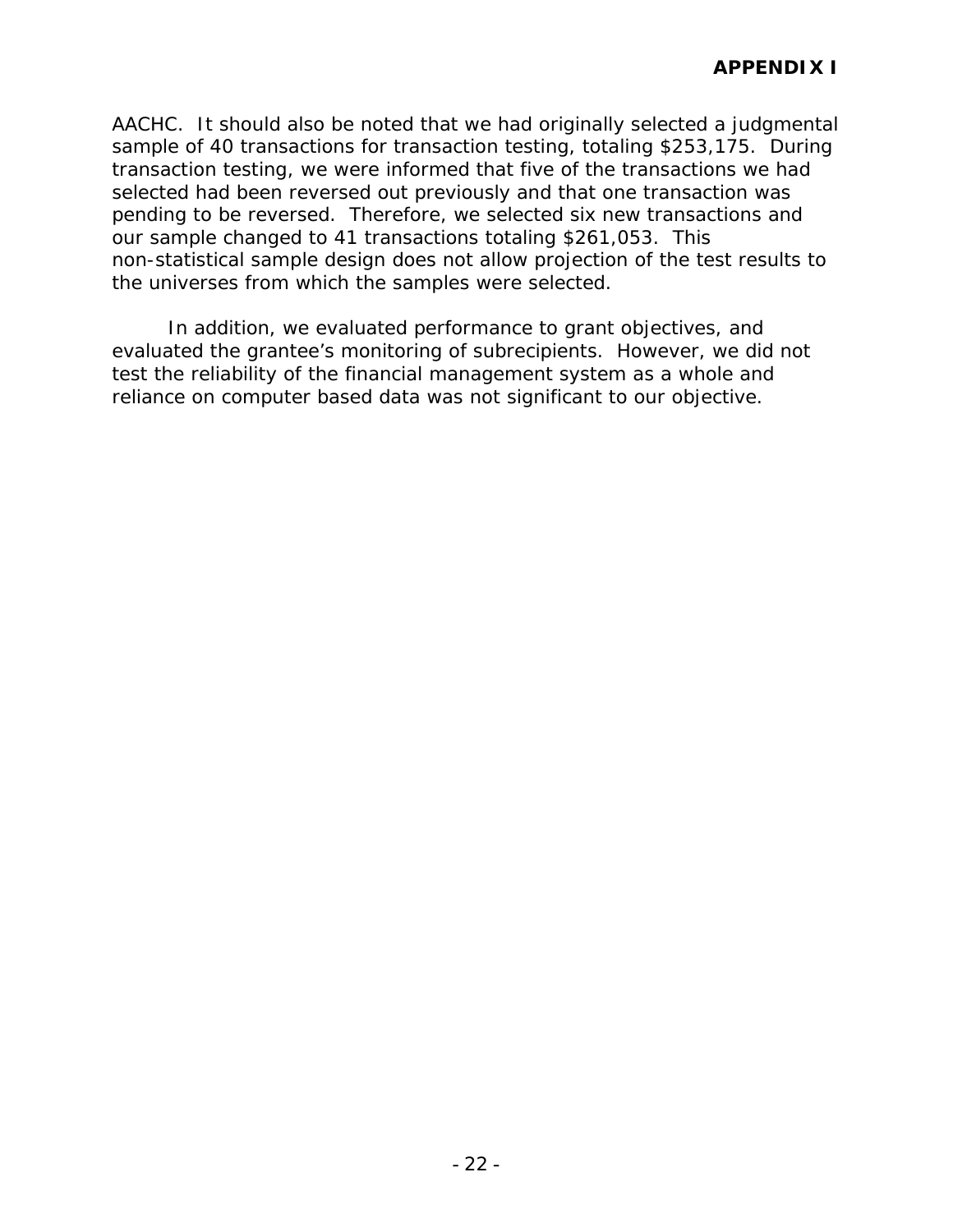AACHC. It should also be noted that we had originally selected a judgmental sample of 40 transactions for transaction testing, totaling \$253,175. During transaction testing, we were informed that five of the transactions we had selected had been reversed out previously and that one transaction was pending to be reversed. Therefore, we selected six new transactions and our sample changed to 41 transactions totaling \$261,053. This non-statistical sample design does not allow projection of the test results to the universes from which the samples were selected.

In addition, we evaluated performance to grant objectives, and evaluated the grantee's monitoring of subrecipients. However, we did not test the reliability of the financial management system as a whole and reliance on computer based data was not significant to our objective.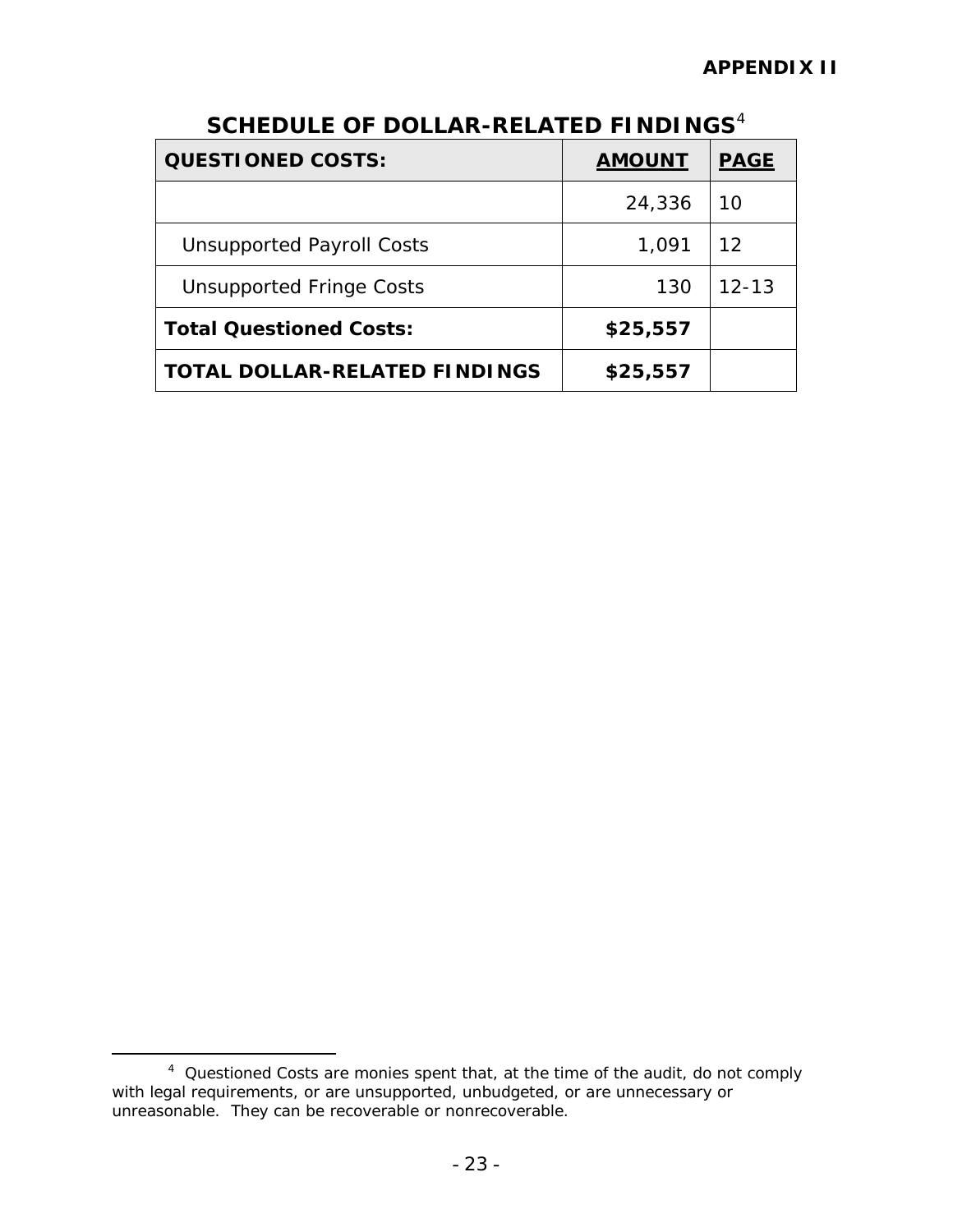| <b>QUESTIONED COSTS:</b>             | <b>AMOUNT</b> | <b>PAGE</b> |
|--------------------------------------|---------------|-------------|
|                                      | 24,336        | 10          |
| <b>Unsupported Payroll Costs</b>     | 1,091         | 12          |
| <b>Unsupported Fringe Costs</b>      | 130           | $12 - 13$   |
| <b>Total Questioned Costs:</b>       | \$25,557      |             |
| <b>TOTAL DOLLAR-RELATED FINDINGS</b> | \$25,557      |             |

# **SCHEDULE OF DOLLAR-RELATED FINDINGS**[4](#page-28-0)

<span id="page-28-0"></span> $\frac{1}{4}$  Questioned Costs are monies spent that, at the time of the audit, do not comply with legal requirements, or are unsupported, unbudgeted, or are unnecessary or unreasonable. They can be recoverable or nonrecoverable.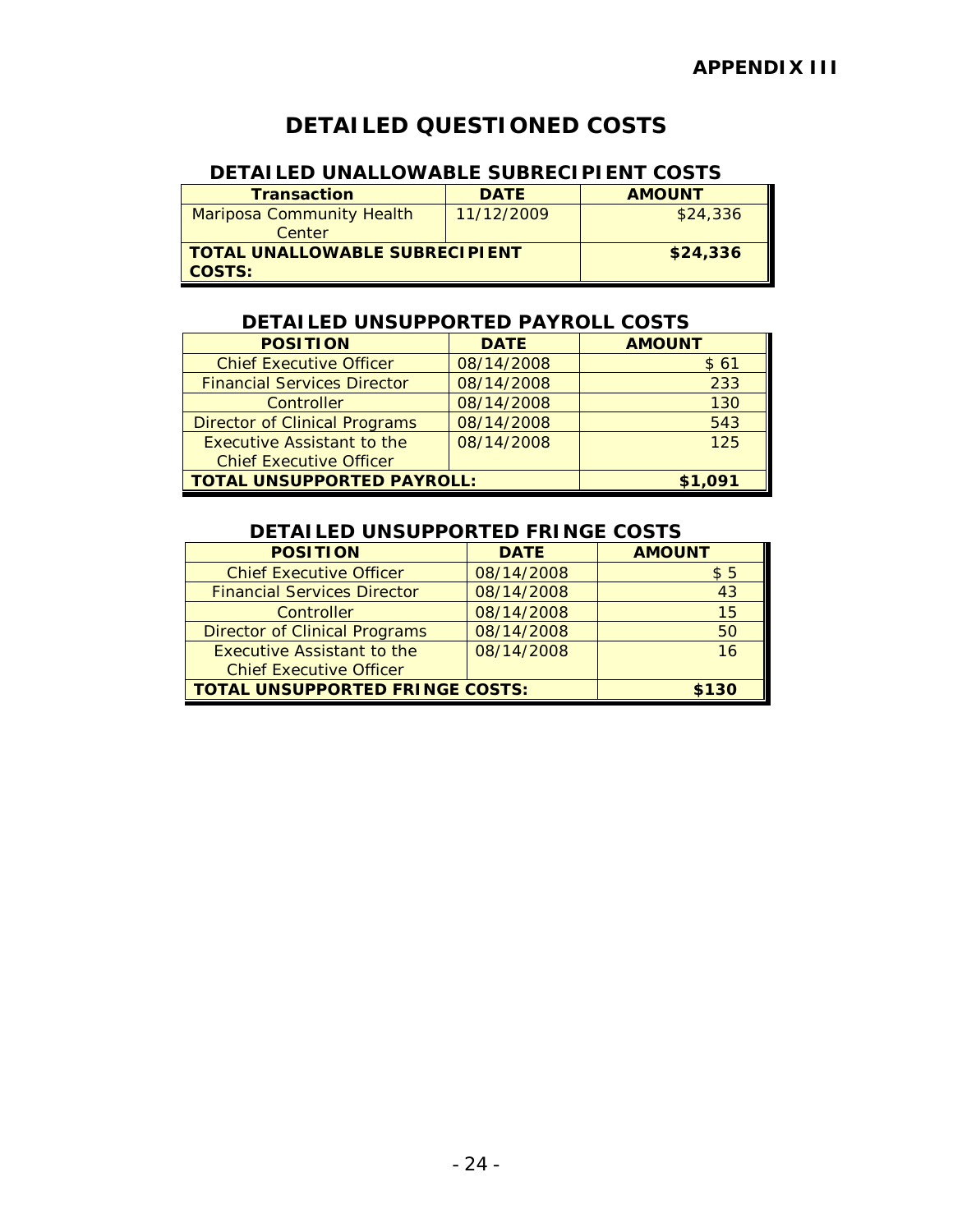# **DETAILED QUESTIONED COSTS**

### **DETAILED UNALLOWABLE SUBRECIPIENT COSTS**

| <b>Transaction</b>               | <b>DATE</b> | <b>AMOUNT</b> |
|----------------------------------|-------------|---------------|
| <b>Mariposa Community Health</b> | 11/12/2009  | \$24,336      |
| Center                           |             |               |
| TOTAL UNALLOWABLE SUBRECIPIENT   |             | \$24,336      |
| <b>COSTS:</b>                    |             |               |

#### **DETAILED UNSUPPORTED PAYROLL COSTS**

| <b>POSITION</b>                      | <b>DATE</b> | <b>AMOUNT</b> |
|--------------------------------------|-------------|---------------|
| <b>Chief Executive Officer</b>       | 08/14/2008  | \$61          |
| <b>Financial Services Director</b>   | 08/14/2008  | 233           |
| Controller                           | 08/14/2008  | 130           |
| <b>Director of Clinical Programs</b> | 08/14/2008  | 543           |
| <b>Executive Assistant to the</b>    | 08/14/2008  | 125           |
| <b>Chief Executive Officer</b>       |             |               |
| <b>TOTAL UNSUPPORTED PAYROLL:</b>    |             | \$1,091       |

### **DETAILED UNSUPPORTED FRINGE COSTS**

| <b>POSITION</b>                        | <b>DATE</b> | <b>AMOUNT</b> |
|----------------------------------------|-------------|---------------|
| <b>Chief Executive Officer</b>         | 08/14/2008  | \$5           |
| <b>Financial Services Director</b>     | 08/14/2008  | 43            |
| Controller                             | 08/14/2008  | 15            |
| <b>Director of Clinical Programs</b>   | 08/14/2008  | 50            |
| Executive Assistant to the             | 08/14/2008  | 16            |
| <b>Chief Executive Officer</b>         |             |               |
| <b>TOTAL UNSUPPORTED FRINGE COSTS:</b> |             | \$130         |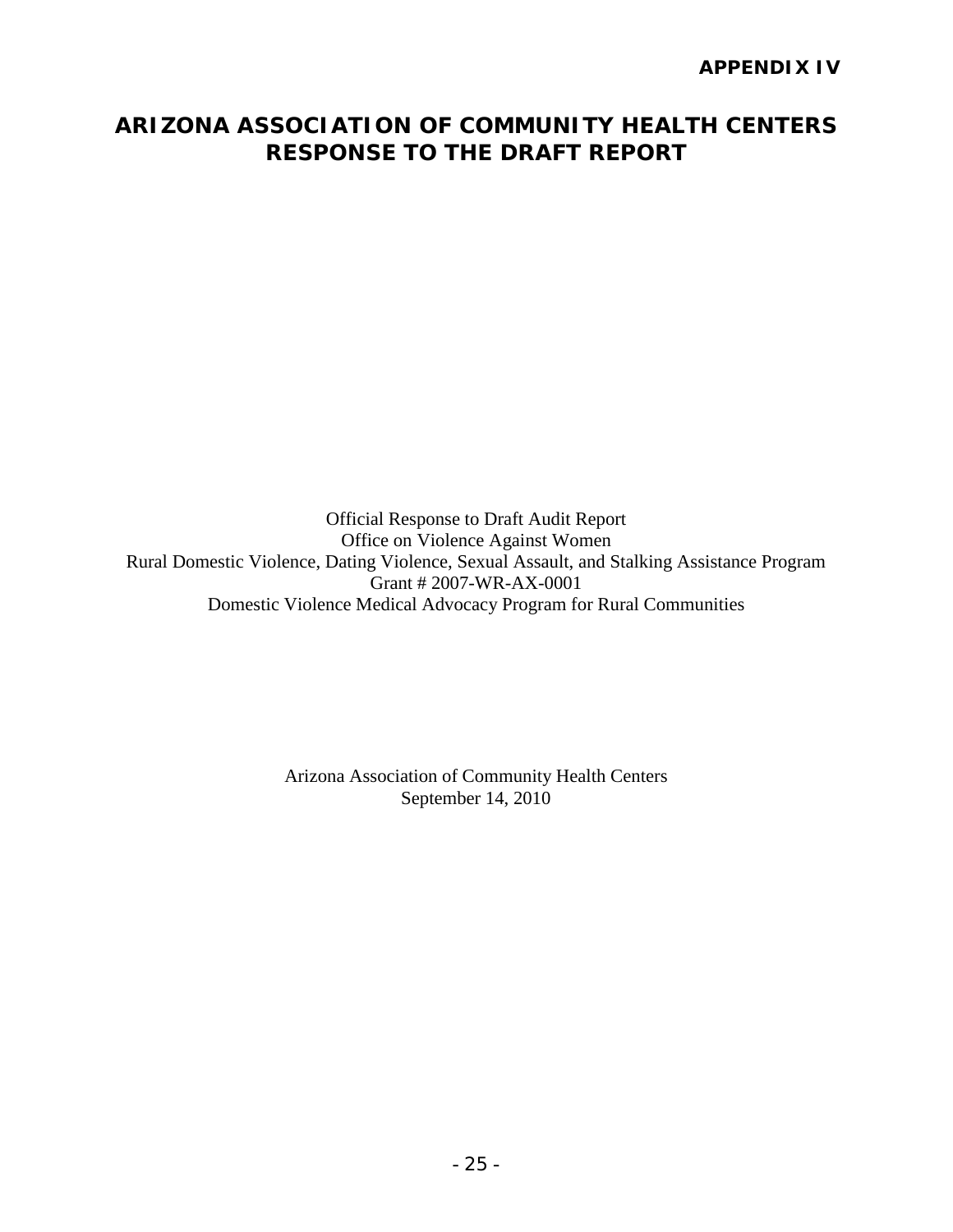# **ARIZONA ASSOCIATION OF COMMUNITY HEALTH CENTERS RESPONSE TO THE DRAFT REPORT**

Official Response to Draft Audit Report Office on Violence Against Women Rural Domestic Violence, Dating Violence, Sexual Assault, and Stalking Assistance Program Grant # 2007-WR-AX-0001 Domestic Violence Medical Advocacy Program for Rural Communities

> Arizona Association of Community Health Centers September 14, 2010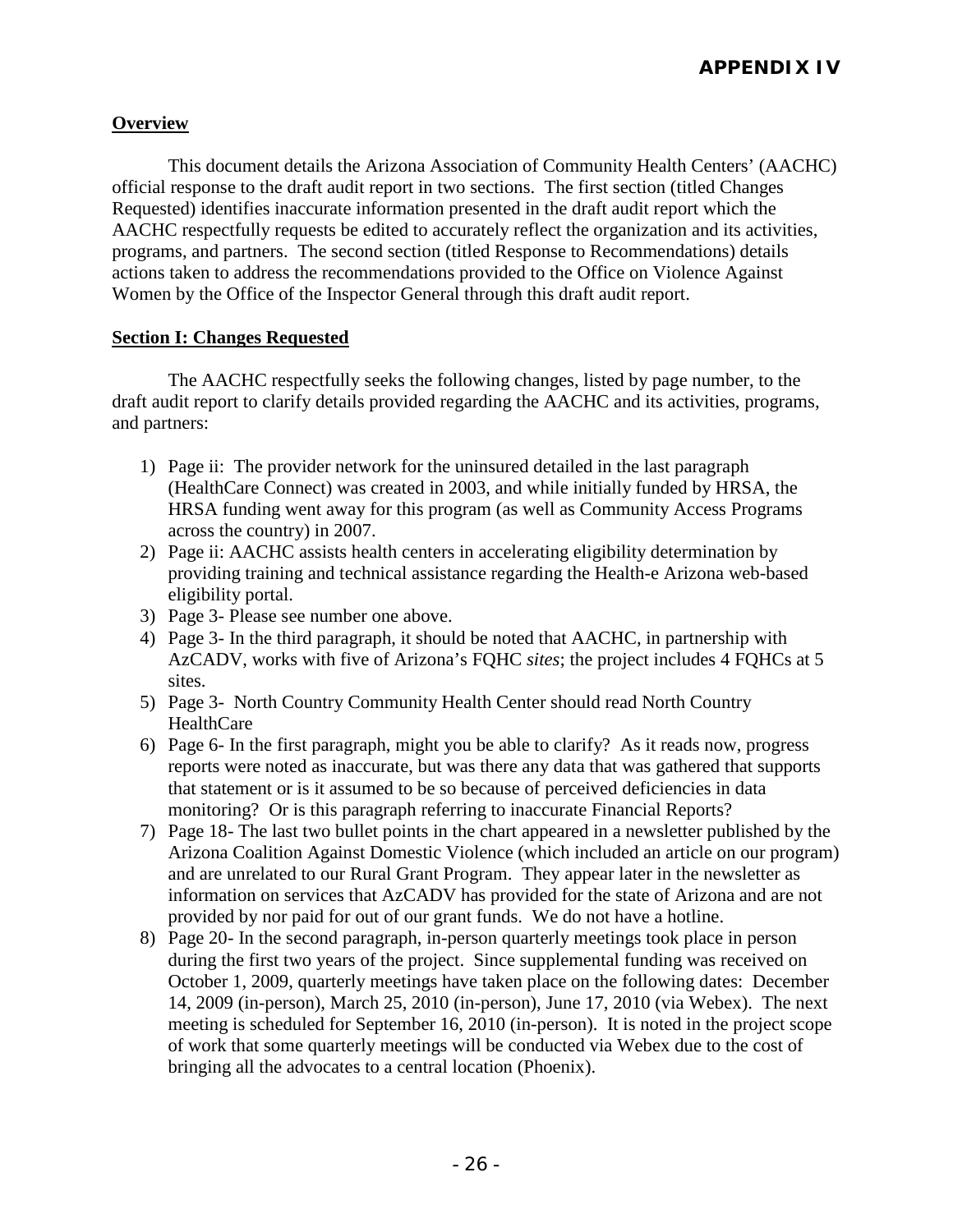#### **Overview**

 This document details the Arizona Association of Community Health Centers' (AACHC) official response to the draft audit report in two sections. The first section (titled Changes Requested) identifies inaccurate information presented in the draft audit report which the AACHC respectfully requests be edited to accurately reflect the organization and its activities, programs, and partners. The second section (titled Response to Recommendations) details actions taken to address the recommendations provided to the Office on Violence Against Women by the Office of the Inspector General through this draft audit report.

#### **Section I: Changes Requested**

 The AACHC respectfully seeks the following changes, listed by page number, to the draft audit report to clarify details provided regarding the AACHC and its activities, programs, and partners:

- 1) Page ii: The provider network for the uninsured detailed in the last paragraph (HealthCare Connect) was created in 2003, and while initially funded by HRSA, the HRSA funding went away for this program (as well as Community Access Programs across the country) in 2007.
- 2) Page ii: AACHC assists health centers in accelerating eligibility determination by providing training and technical assistance regarding the Health-e Arizona web-based eligibility portal.
- 3) Page 3- Please see number one above.
- 4) Page 3- In the third paragraph, it should be noted that AACHC, in partnership with AzCADV, works with five of Arizona's FQHC *sites*; the project includes 4 FQHCs at 5 sites.
- 5) Page 3- North Country Community Health Center should read North Country HealthCare
- 6) Page 6- In the first paragraph, might you be able to clarify? As it reads now, progress reports were noted as inaccurate, but was there any data that was gathered that supports that statement or is it assumed to be so because of perceived deficiencies in data monitoring? Or is this paragraph referring to inaccurate Financial Reports?
- 7) Page 18- The last two bullet points in the chart appeared in a newsletter published by the Arizona Coalition Against Domestic Violence (which included an article on our program) and are unrelated to our Rural Grant Program. They appear later in the newsletter as information on services that AzCADV has provided for the state of Arizona and are not provided by nor paid for out of our grant funds. We do not have a hotline.
- 8) Page 20- In the second paragraph, in-person quarterly meetings took place in person during the first two years of the project. Since supplemental funding was received on October 1, 2009, quarterly meetings have taken place on the following dates: December 14, 2009 (in-person), March 25, 2010 (in-person), June 17, 2010 (via Webex). The next meeting is scheduled for September 16, 2010 (in-person). It is noted in the project scope of work that some quarterly meetings will be conducted via Webex due to the cost of bringing all the advocates to a central location (Phoenix).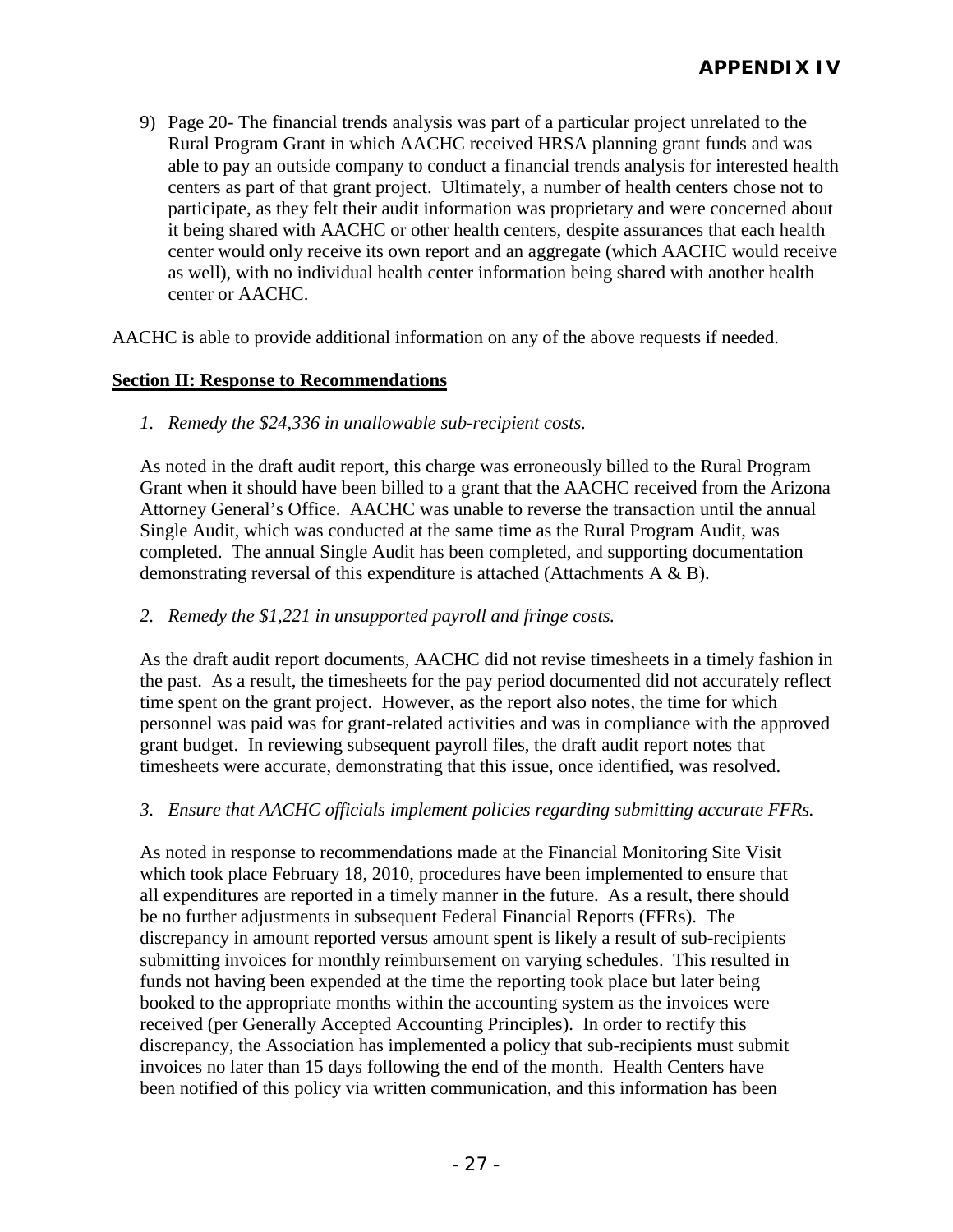9) Page 20- The financial trends analysis was part of a particular project unrelated to the Rural Program Grant in which AACHC received HRSA planning grant funds and was able to pay an outside company to conduct a financial trends analysis for interested health centers as part of that grant project. Ultimately, a number of health centers chose not to participate, as they felt their audit information was proprietary and were concerned about it being shared with AACHC or other health centers, despite assurances that each health center would only receive its own report and an aggregate (which AACHC would receive as well), with no individual health center information being shared with another health center or AACHC.

AACHC is able to provide additional information on any of the above requests if needed.

#### **Section II: Response to Recommendations**

*1. Remedy the \$24,336 in unallowable sub-recipient costs.*

As noted in the draft audit report, this charge was erroneously billed to the Rural Program Grant when it should have been billed to a grant that the AACHC received from the Arizona Attorney General's Office. AACHC was unable to reverse the transaction until the annual Single Audit, which was conducted at the same time as the Rural Program Audit, was completed. The annual Single Audit has been completed, and supporting documentation demonstrating reversal of this expenditure is attached (Attachments A & B).

#### *2. Remedy the \$1,221 in unsupported payroll and fringe costs.*

As the draft audit report documents, AACHC did not revise timesheets in a timely fashion in the past. As a result, the timesheets for the pay period documented did not accurately reflect time spent on the grant project. However, as the report also notes, the time for which personnel was paid was for grant-related activities and was in compliance with the approved grant budget. In reviewing subsequent payroll files, the draft audit report notes that timesheets were accurate, demonstrating that this issue, once identified, was resolved.

#### *3. Ensure that AACHC officials implement policies regarding submitting accurate FFRs.*

As noted in response to recommendations made at the Financial Monitoring Site Visit which took place February 18, 2010, procedures have been implemented to ensure that all expenditures are reported in a timely manner in the future. As a result, there should be no further adjustments in subsequent Federal Financial Reports (FFRs). The discrepancy in amount reported versus amount spent is likely a result of sub-recipients submitting invoices for monthly reimbursement on varying schedules. This resulted in funds not having been expended at the time the reporting took place but later being booked to the appropriate months within the accounting system as the invoices were received (per Generally Accepted Accounting Principles). In order to rectify this discrepancy, the Association has implemented a policy that sub-recipients must submit invoices no later than 15 days following the end of the month. Health Centers have been notified of this policy via written communication, and this information has been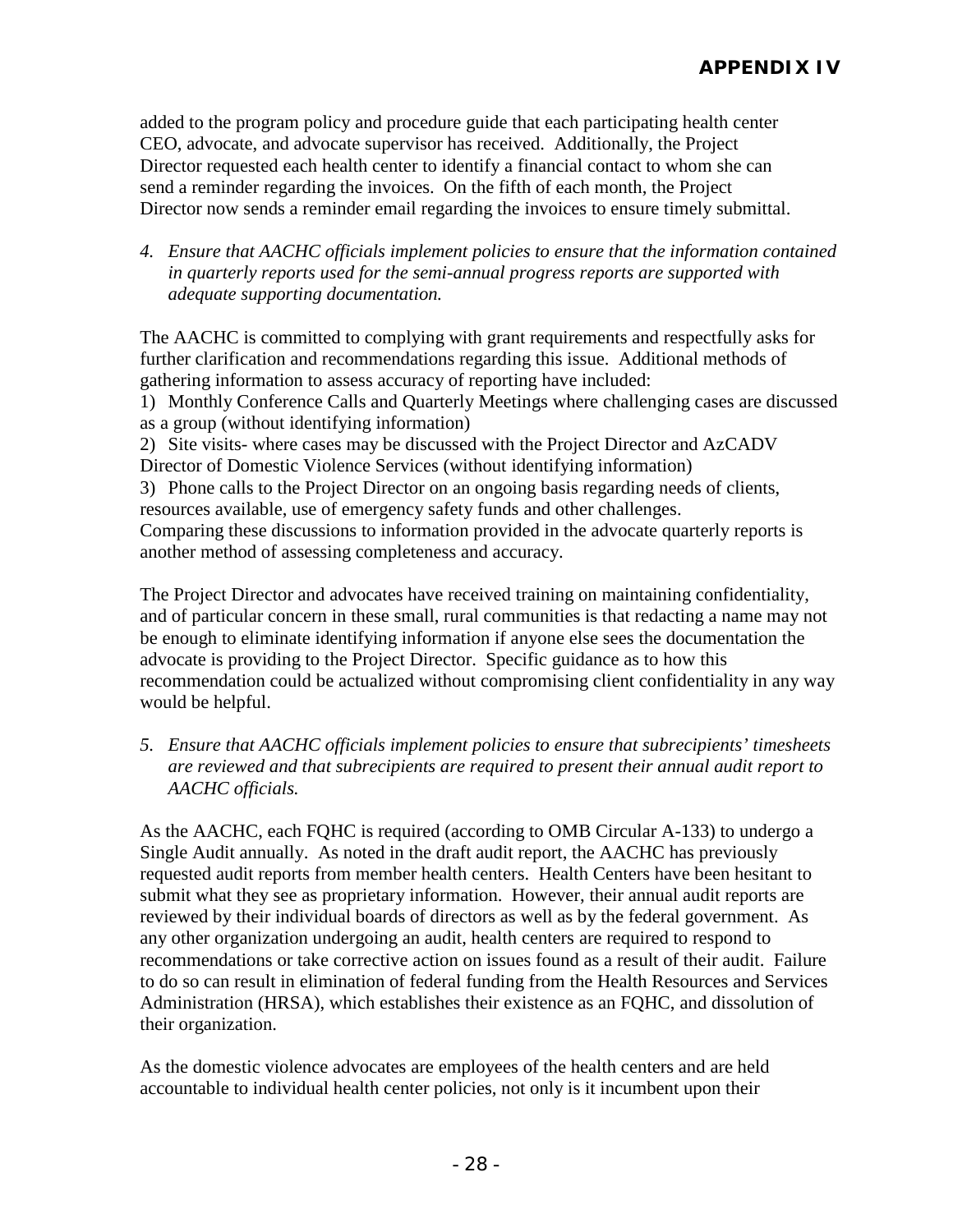added to the program policy and procedure guide that each participating health center CEO, advocate, and advocate supervisor has received. Additionally, the Project Director requested each health center to identify a financial contact to whom she can send a reminder regarding the invoices. On the fifth of each month, the Project Director now sends a reminder email regarding the invoices to ensure timely submittal.

*4. Ensure that AACHC officials implement policies to ensure that the information contained in quarterly reports used for the semi-annual progress reports are supported with adequate supporting documentation.* 

The AACHC is committed to complying with grant requirements and respectfully asks for further clarification and recommendations regarding this issue. Additional methods of gathering information to assess accuracy of reporting have included:

1) Monthly Conference Calls and Quarterly Meetings where challenging cases are discussed as a group (without identifying information)

2) Site visits- where cases may be discussed with the Project Director and AzCADV Director of Domestic Violence Services (without identifying information)

3) Phone calls to the Project Director on an ongoing basis regarding needs of clients, resources available, use of emergency safety funds and other challenges.

Comparing these discussions to information provided in the advocate quarterly reports is another method of assessing completeness and accuracy.

The Project Director and advocates have received training on maintaining confidentiality, and of particular concern in these small, rural communities is that redacting a name may not be enough to eliminate identifying information if anyone else sees the documentation the advocate is providing to the Project Director. Specific guidance as to how this recommendation could be actualized without compromising client confidentiality in any way would be helpful.

*5. Ensure that AACHC officials implement policies to ensure that subrecipients' timesheets are reviewed and that subrecipients are required to present their annual audit report to AACHC officials.*

As the AACHC, each FQHC is required (according to OMB Circular A-133) to undergo a Single Audit annually. As noted in the draft audit report, the AACHC has previously requested audit reports from member health centers. Health Centers have been hesitant to submit what they see as proprietary information. However, their annual audit reports are reviewed by their individual boards of directors as well as by the federal government. As any other organization undergoing an audit, health centers are required to respond to recommendations or take corrective action on issues found as a result of their audit. Failure to do so can result in elimination of federal funding from the Health Resources and Services Administration (HRSA), which establishes their existence as an FQHC, and dissolution of their organization.

As the domestic violence advocates are employees of the health centers and are held accountable to individual health center policies, not only is it incumbent upon their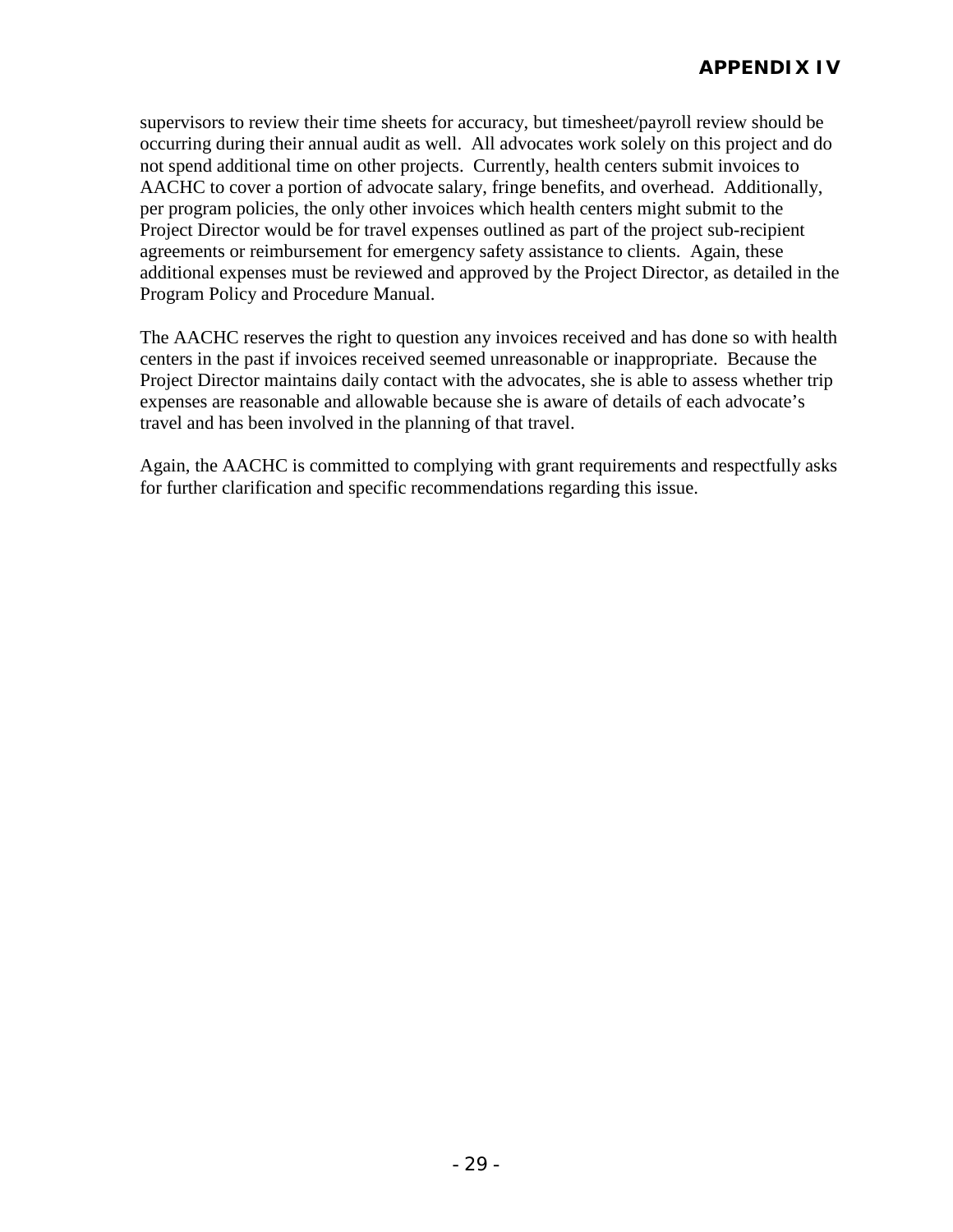supervisors to review their time sheets for accuracy, but timesheet/payroll review should be occurring during their annual audit as well. All advocates work solely on this project and do not spend additional time on other projects. Currently, health centers submit invoices to AACHC to cover a portion of advocate salary, fringe benefits, and overhead. Additionally, per program policies, the only other invoices which health centers might submit to the Project Director would be for travel expenses outlined as part of the project sub-recipient agreements or reimbursement for emergency safety assistance to clients. Again, these additional expenses must be reviewed and approved by the Project Director, as detailed in the Program Policy and Procedure Manual.

The AACHC reserves the right to question any invoices received and has done so with health centers in the past if invoices received seemed unreasonable or inappropriate. Because the Project Director maintains daily contact with the advocates, she is able to assess whether trip expenses are reasonable and allowable because she is aware of details of each advocate's travel and has been involved in the planning of that travel.

Again, the AACHC is committed to complying with grant requirements and respectfully asks for further clarification and specific recommendations regarding this issue.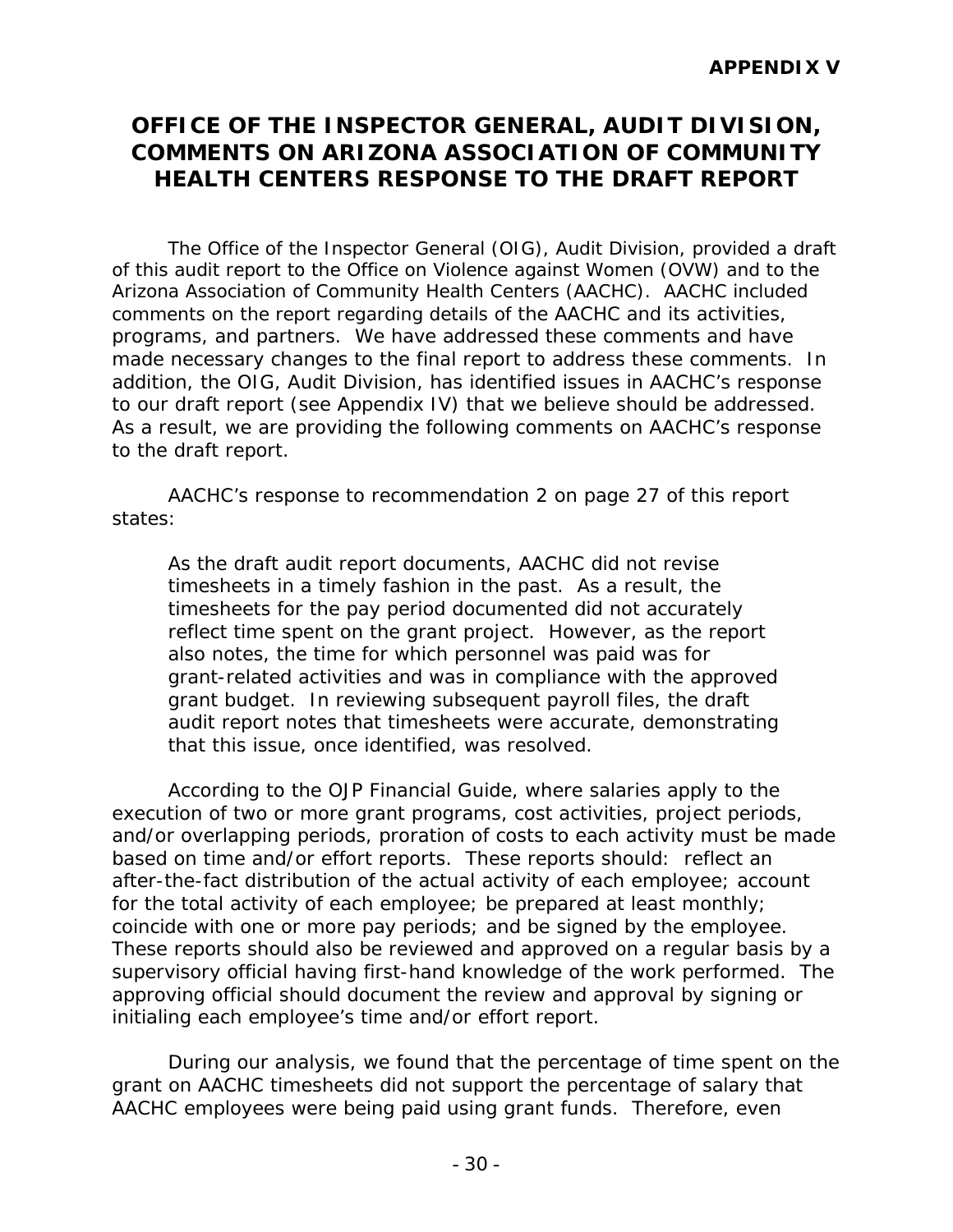# **OFFICE OF THE INSPECTOR GENERAL, AUDIT DIVISION, COMMENTS ON ARIZONA ASSOCIATION OF COMMUNITY HEALTH CENTERS RESPONSE TO THE DRAFT REPORT**

The Office of the Inspector General (OIG), Audit Division, provided a draft of this audit report to the Office on Violence against Women (OVW) and to the Arizona Association of Community Health Centers (AACHC). AACHC included comments on the report regarding details of the AACHC and its activities, programs, and partners. We have addressed these comments and have made necessary changes to the final report to address these comments. In addition, the OIG, Audit Division, has identified issues in AACHC's response to our draft report (see Appendix IV) that we believe should be addressed. As a result, we are providing the following comments on AACHC's response to the draft report.

AACHC's response to recommendation 2 on page 27 of this report states:

*As the draft audit report documents, AACHC did not revise timesheets in a timely fashion in the past. As a result, the timesheets for the pay period documented did not accurately reflect time spent on the grant project. However, as the report also notes, the time for which personnel was paid was for grant-related activities and was in compliance with the approved grant budget. In reviewing subsequent payroll files, the draft audit report notes that timesheets were accurate, demonstrating that this issue, once identified, was resolved.*

According to the *OJP Financial Guide*, where salaries apply to the execution of two or more grant programs, cost activities, project periods, and/or overlapping periods, proration of costs to each activity must be made based on time and/or effort reports. These reports should: reflect an after-the-fact distribution of the actual activity of each employee; account for the total activity of each employee; be prepared at least monthly; coincide with one or more pay periods; and be signed by the employee. These reports should also be reviewed and approved on a regular basis by a supervisory official having first-hand knowledge of the work performed. The approving official should document the review and approval by signing or initialing each employee's time and/or effort report.

During our analysis, we found that the percentage of time spent on the grant on AACHC timesheets did not support the percentage of salary that AACHC employees were being paid using grant funds. Therefore, even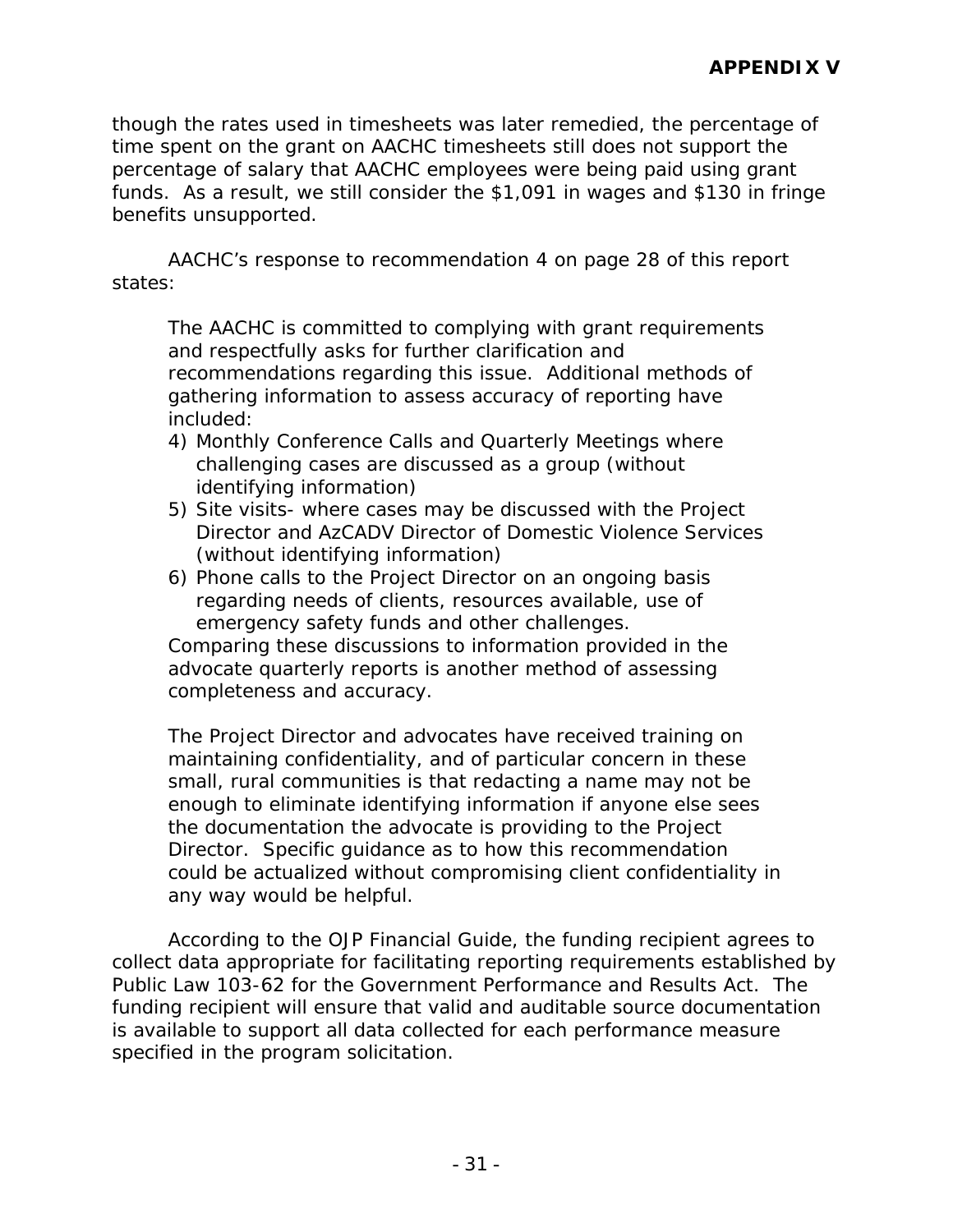though the rates used in timesheets was later remedied, the percentage of time spent on the grant on AACHC timesheets still does not support the percentage of salary that AACHC employees were being paid using grant funds. As a result, we still consider the \$1,091 in wages and \$130 in fringe benefits unsupported.

AACHC's response to recommendation 4 on page 28 of this report states:

*The AACHC is committed to complying with grant requirements and respectfully asks for further clarification and recommendations regarding this issue. Additional methods of gathering information to assess accuracy of reporting have included:*

- *4) Monthly Conference Calls and Quarterly Meetings where challenging cases are discussed as a group (without identifying information)*
- *5) Site visits- where cases may be discussed with the Project Director and AzCADV Director of Domestic Violence Services (without identifying information)*
- *6) Phone calls to the Project Director on an ongoing basis regarding needs of clients, resources available, use of emergency safety funds and other challenges.*

*Comparing these discussions to information provided in the advocate quarterly reports is another method of assessing completeness and accuracy.* 

*The Project Director and advocates have received training on maintaining confidentiality, and of particular concern in these small, rural communities is that redacting a name may not be enough to eliminate identifying information if anyone else sees the documentation the advocate is providing to the Project Director. Specific guidance as to how this recommendation could be actualized without compromising client confidentiality in any way would be helpful.*

According to the *OJP Financial Guide*, the funding recipient agrees to collect data appropriate for facilitating reporting requirements established by Public Law 103-62 for the Government Performance and Results Act. The funding recipient will ensure that valid and auditable source documentation is available to support all data collected for each performance measure specified in the program solicitation.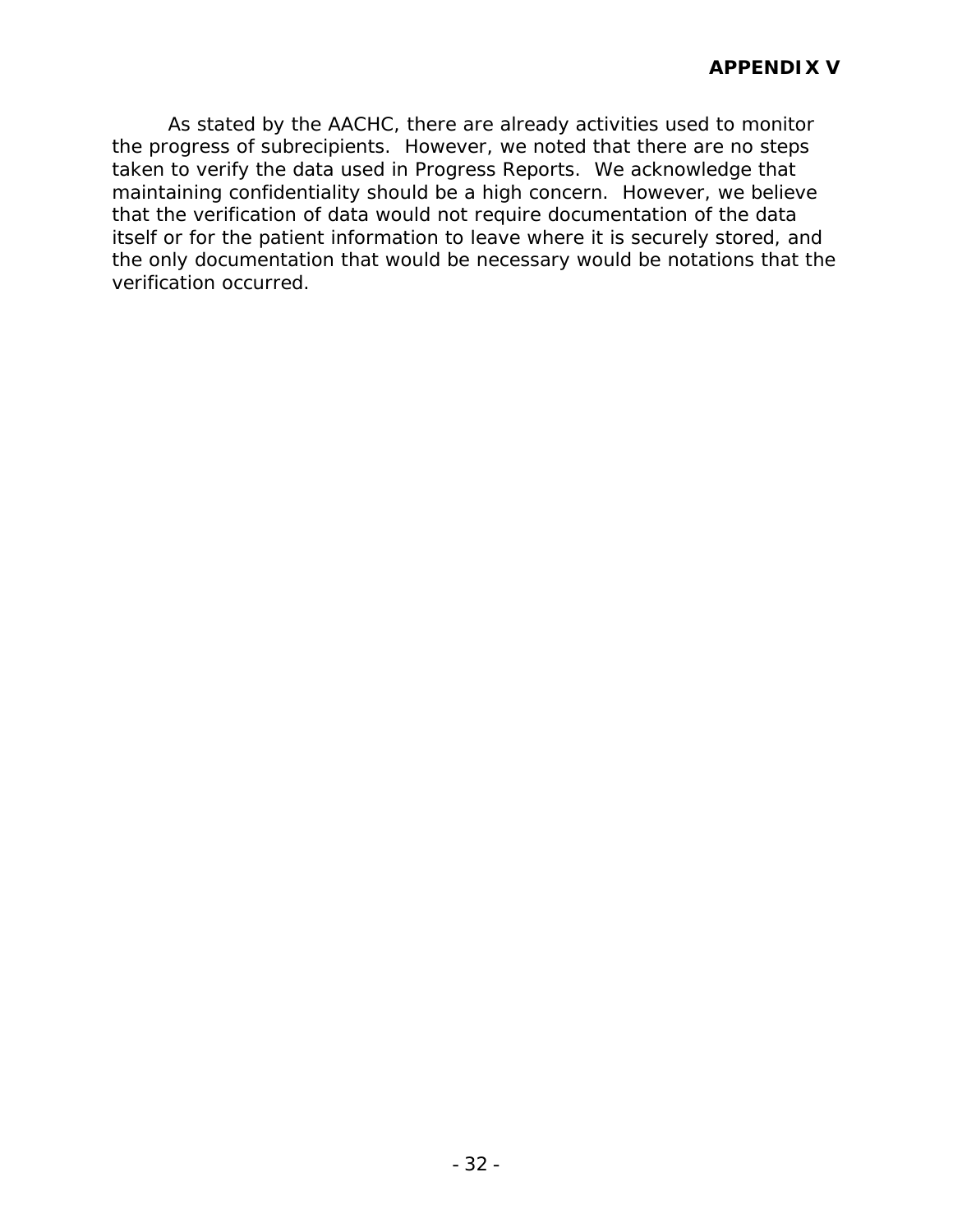As stated by the AACHC, there are already activities used to monitor the progress of subrecipients. However, we noted that there are no steps taken to verify the data used in Progress Reports. We acknowledge that maintaining confidentiality should be a high concern. However, we believe that the verification of data would not require documentation of the data itself or for the patient information to leave where it is securely stored, and the only documentation that would be necessary would be notations that the verification occurred.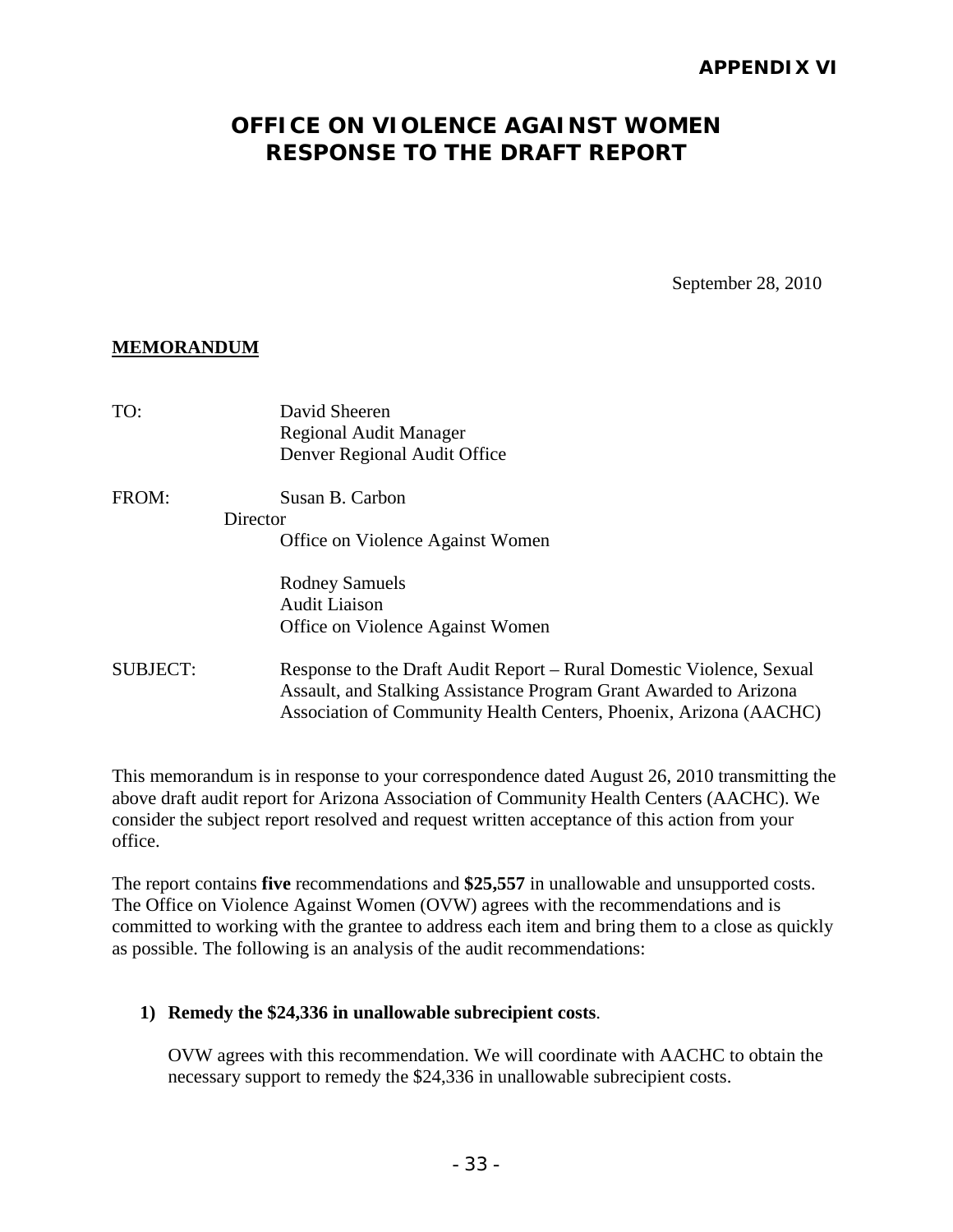### **APPENDIX VI**

# **OFFICE ON VIOLENCE AGAINST WOMEN RESPONSE TO THE DRAFT REPORT**

September 28, 2010

#### **MEMORANDUM**

| TO:             | David Sheeren<br>Regional Audit Manager<br>Denver Regional Audit Office                                                                                                                                        |
|-----------------|----------------------------------------------------------------------------------------------------------------------------------------------------------------------------------------------------------------|
| FROM:           | Susan B. Carbon                                                                                                                                                                                                |
|                 | Director                                                                                                                                                                                                       |
|                 | Office on Violence Against Women                                                                                                                                                                               |
|                 | <b>Rodney Samuels</b>                                                                                                                                                                                          |
|                 | <b>Audit Liaison</b>                                                                                                                                                                                           |
|                 | Office on Violence Against Women                                                                                                                                                                               |
| <b>SUBJECT:</b> | Response to the Draft Audit Report – Rural Domestic Violence, Sexual<br>Assault, and Stalking Assistance Program Grant Awarded to Arizona<br>Association of Community Health Centers, Phoenix, Arizona (AACHC) |
|                 |                                                                                                                                                                                                                |

This memorandum is in response to your correspondence dated August 26, 2010 transmitting the above draft audit report for Arizona Association of Community Health Centers (AACHC). We consider the subject report resolved and request written acceptance of this action from your office.

The report contains **five** recommendations and **\$25,557** in unallowable and unsupported costs. The Office on Violence Against Women (OVW) agrees with the recommendations and is committed to working with the grantee to address each item and bring them to a close as quickly as possible. The following is an analysis of the audit recommendations:

#### **1) Remedy the \$24,336 in unallowable subrecipient costs**.

OVW agrees with this recommendation. We will coordinate with AACHC to obtain the necessary support to remedy the \$24,336 in unallowable subrecipient costs.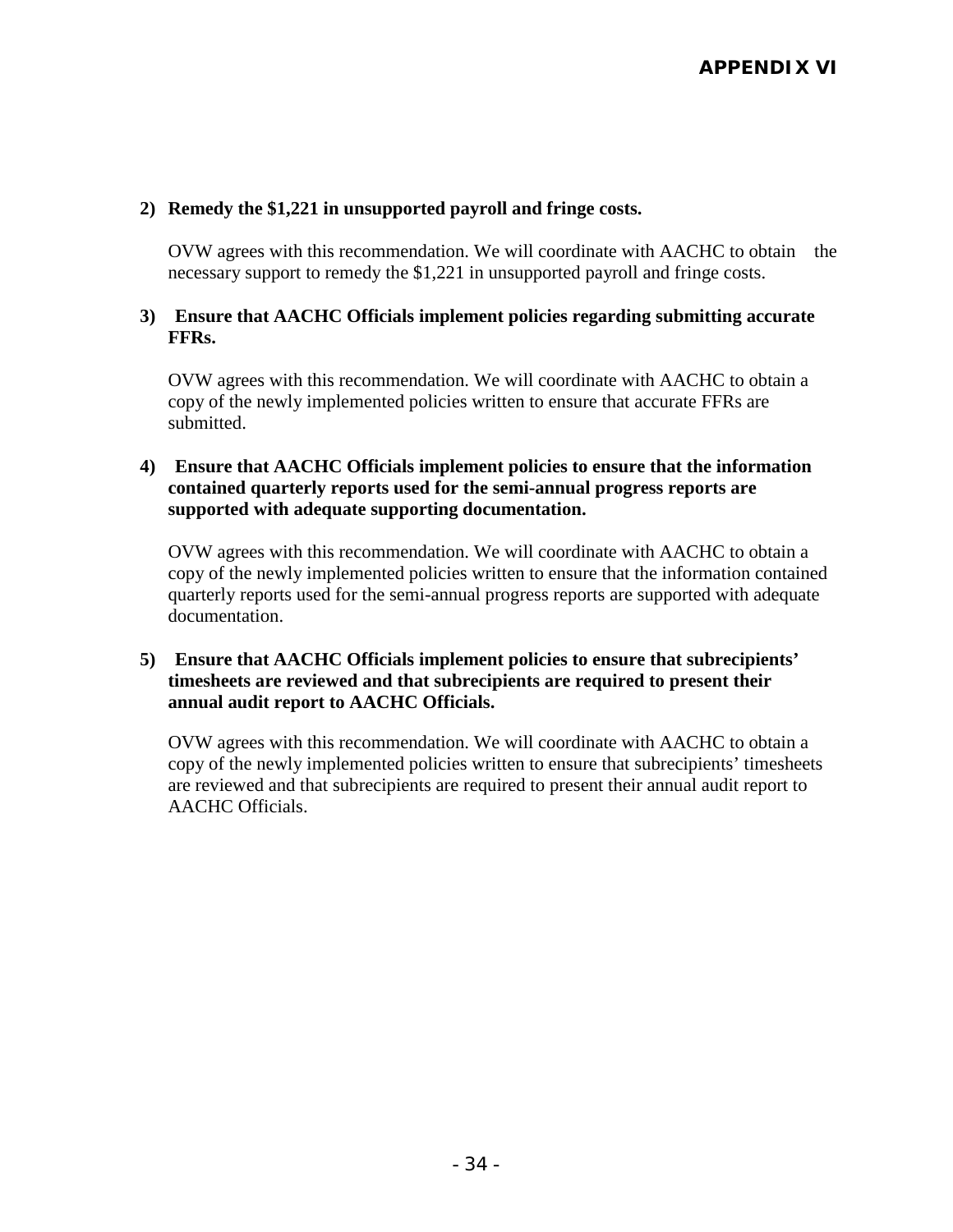#### **2) Remedy the \$1,221 in unsupported payroll and fringe costs.**

OVW agrees with this recommendation. We will coordinate with AACHC to obtain the necessary support to remedy the \$1,221 in unsupported payroll and fringe costs.

#### **3) Ensure that AACHC Officials implement policies regarding submitting accurate FFRs.**

OVW agrees with this recommendation. We will coordinate with AACHC to obtain a copy of the newly implemented policies written to ensure that accurate FFRs are submitted.

#### **4) Ensure that AACHC Officials implement policies to ensure that the information contained quarterly reports used for the semi-annual progress reports are supported with adequate supporting documentation.**

OVW agrees with this recommendation. We will coordinate with AACHC to obtain a copy of the newly implemented policies written to ensure that the information contained quarterly reports used for the semi-annual progress reports are supported with adequate documentation.

#### **5) Ensure that AACHC Officials implement policies to ensure that subrecipients' timesheets are reviewed and that subrecipients are required to present their annual audit report to AACHC Officials.**

OVW agrees with this recommendation. We will coordinate with AACHC to obtain a copy of the newly implemented policies written to ensure that subrecipients' timesheets are reviewed and that subrecipients are required to present their annual audit report to AACHC Officials.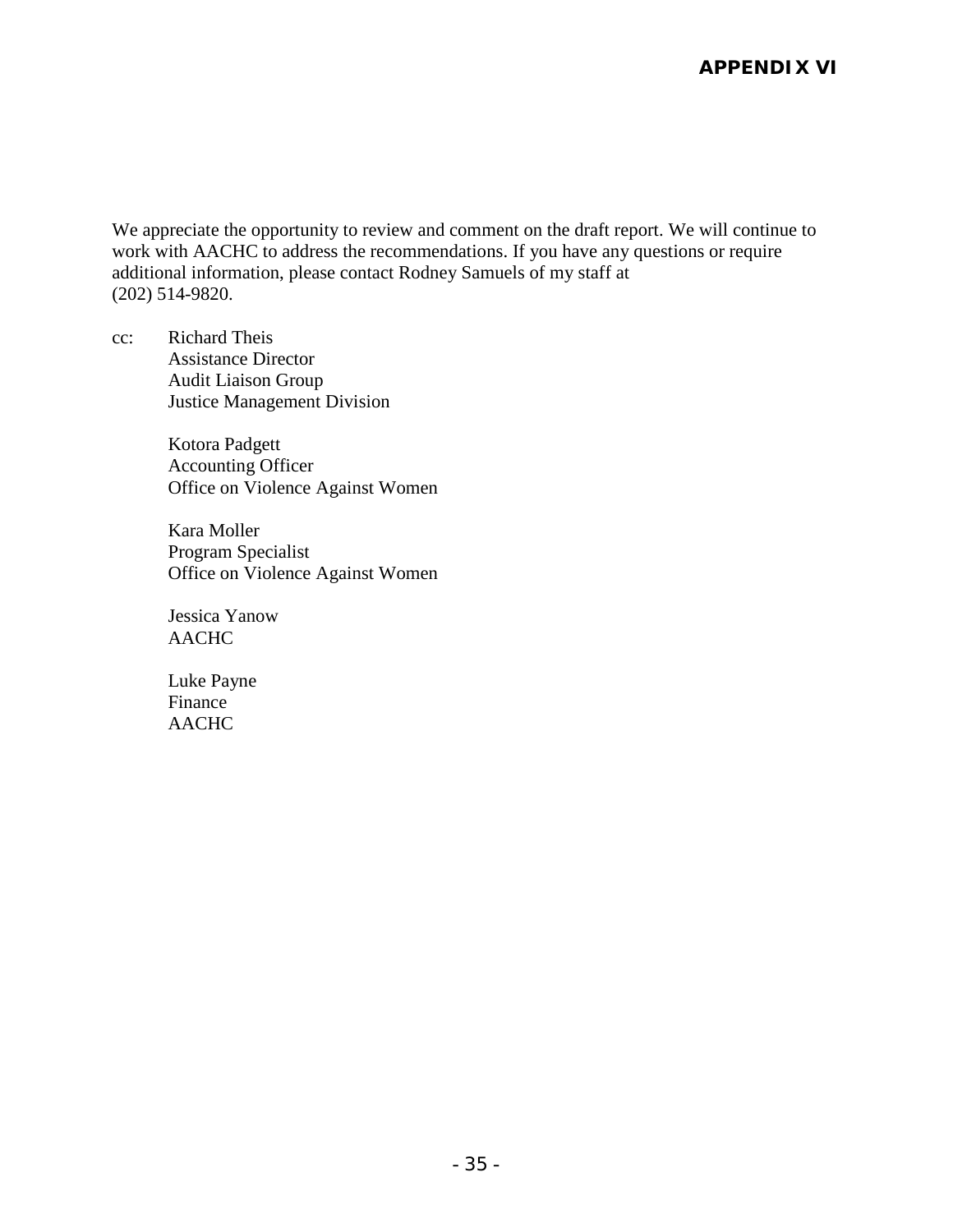### **APPENDIX VI**

We appreciate the opportunity to review and comment on the draft report. We will continue to work with AACHC to address the recommendations. If you have any questions or require additional information, please contact Rodney Samuels of my staff at (202) 514-9820.

cc: Richard Theis Assistance Director Audit Liaison Group Justice Management Division

> Kotora Padgett Accounting Officer Office on Violence Against Women

> Kara Moller Program Specialist Office on Violence Against Women

Jessica Yanow AACHC

Luke Payne Finance AACHC